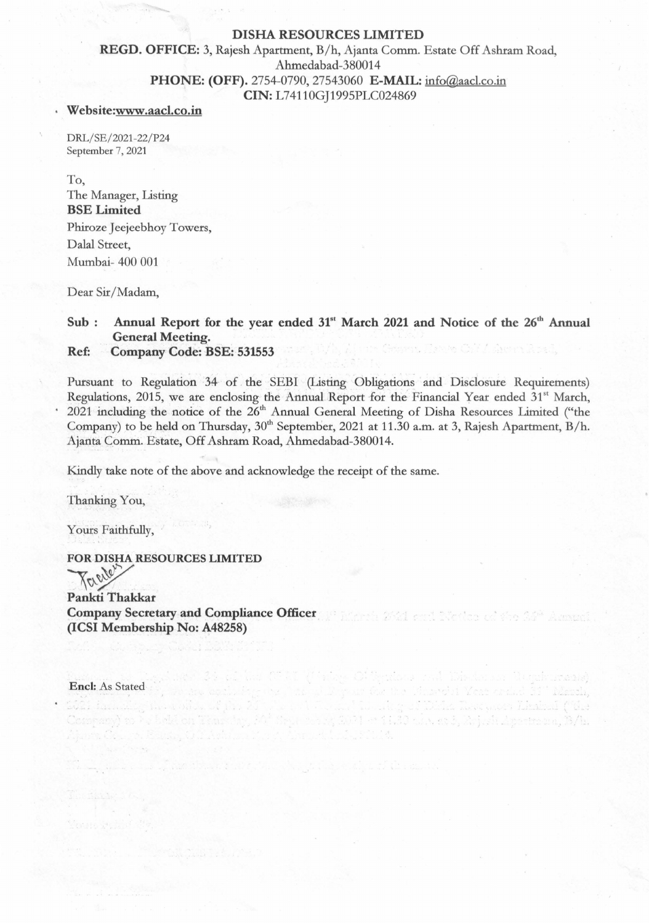# **DISHA RESOURCES LIMITED REGD. OFFICE:** 3, Rajesh Apartment, B/h, Ajanta Comm. Estate Off Ashram Road, Ahmedabad-380014 **PHONE: (OFF).** 2754-0790, 27543060 **E-MAIL:** info@aacl.co.in **CIN:** L74110GJ1995PLC024869

# , **Website:www.aacl.co.in**

DRL/SE/2021-22/P24 September 7, 2021

To, The Manager, Listing **BSE Limited**  Phiroze Jeejeebhoy Towers, Dalal Street, Mumbai- 400 001

Dear Sir/Madam,

# Sub : Annual Report for the year ended 31<sup>st</sup> March 2021 and Notice of the 26<sup>th</sup> Annual **General Meeting.**

# **Ref: Company Code: BSE: 531553**

Pursuant to Regulation 34 of the SEBI (Listing Obligations and Disclosure Requirements) Regulations, 2015, we are enclosing the Annual Report for the Financial Year ended 31<sup>st</sup> March,  $2021$  including the notice of the  $26<sup>th</sup>$  Annual General Meeting of Disha Resources Limited ("the Company) to be held on Thursday, 30<sup>th</sup> September, 2021 at 11.30 a.m. at 3, Rajesh Apartment, B/h. Ajanta Comm. Estate, Off Ashram Road, Ahmedabad-380014.

il Galery 104 Bratistics and

e di Didin Tung ques Limiud ("Gre

9 a.a. es 3. Ariesk Azertroua, B/k

Kindly take note of the above and acknowledge the receipt of the same.

Thanking You,

Yours Faithfully,

**FOR DISHA RESOURCES LIMITED** 

**Pankti Thakkar Company Secretary and Compliance Officer (ICSI Membership No: A48258)** 

**Encl:** As Stated

lemment no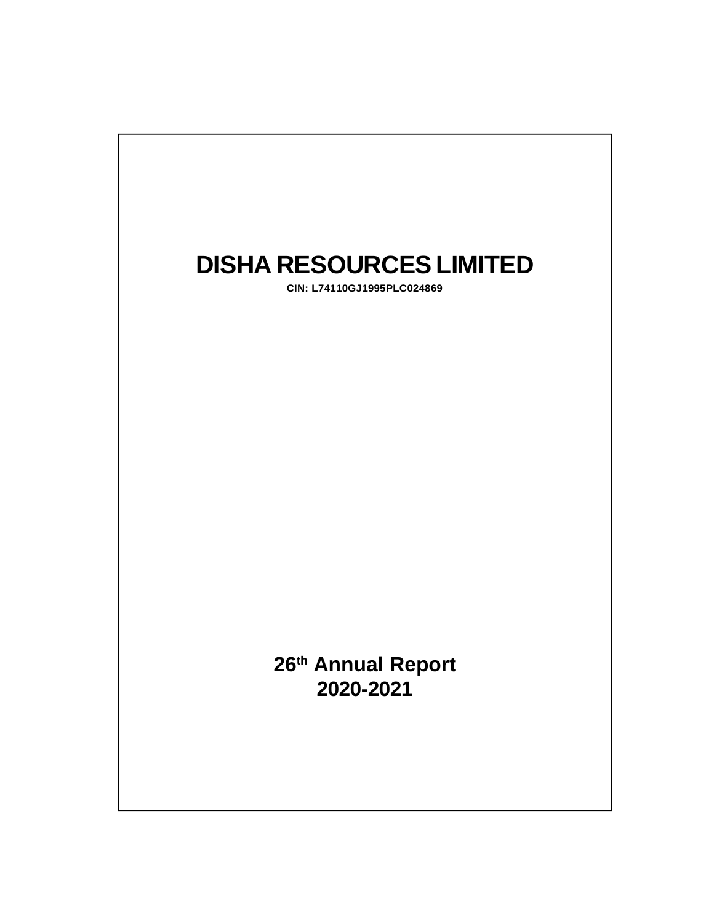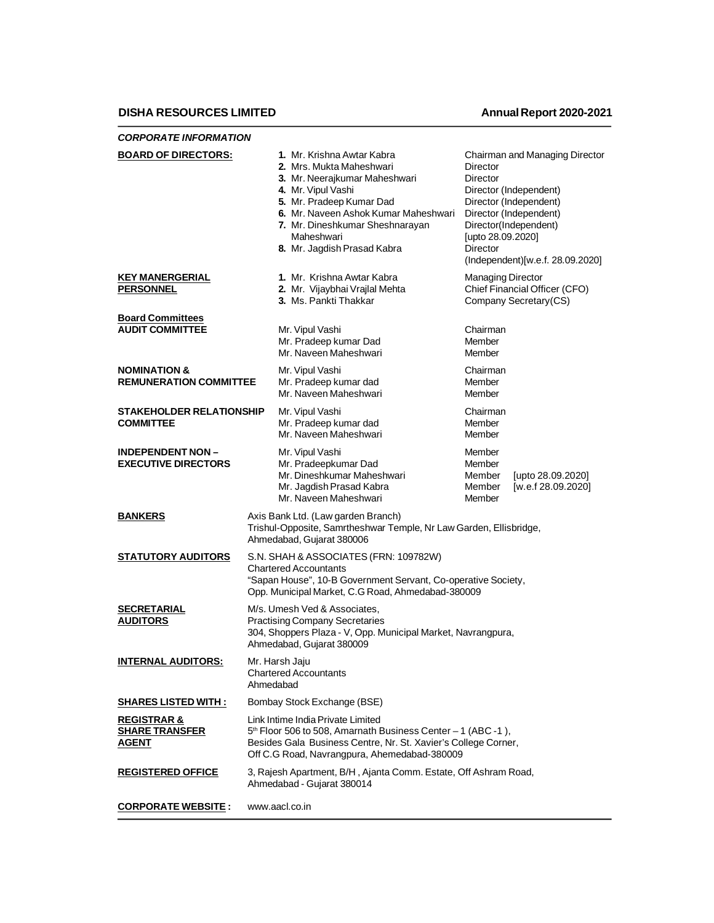| <b>CORPORATE INFORMATION</b>                                    |                                                                                                                                                                                                                        |                                                                                                                                                                                                                                                                   |                                                       |                                                                                                                                                                           |  |
|-----------------------------------------------------------------|------------------------------------------------------------------------------------------------------------------------------------------------------------------------------------------------------------------------|-------------------------------------------------------------------------------------------------------------------------------------------------------------------------------------------------------------------------------------------------------------------|-------------------------------------------------------|---------------------------------------------------------------------------------------------------------------------------------------------------------------------------|--|
| <b>BOARD OF DIRECTORS:</b>                                      |                                                                                                                                                                                                                        | 1. Mr. Krishna Awtar Kabra<br>2. Mrs. Mukta Maheshwari<br>3. Mr. Neerajkumar Maheshwari<br>4. Mr. Vipul Vashi<br>5. Mr. Pradeep Kumar Dad<br>6. Mr. Naveen Ashok Kumar Maheshwari<br>7. Mr. Dineshkumar Sheshnarayan<br>Maheshwari<br>8. Mr. Jagdish Prasad Kabra | Director<br>Director<br>[upto 28.09.2020]<br>Director | Chairman and Managing Director<br>Director (Independent)<br>Director (Independent)<br>Director (Independent)<br>Director(Independent)<br>(Independent)[w.e.f. 28.09.2020] |  |
| <b>KEY MANERGERIAL</b><br><b>PERSONNEL</b>                      |                                                                                                                                                                                                                        | 1. Mr. Krishna Awtar Kabra<br>2. Mr. Vijaybhai Vrajlal Mehta<br>3. Ms. Pankti Thakkar                                                                                                                                                                             |                                                       | <b>Managing Director</b><br>Chief Financial Officer (CFO)<br>Company Secretary(CS)                                                                                        |  |
| <b>Board Committees</b><br><b>AUDIT COMMITTEE</b>               |                                                                                                                                                                                                                        | Mr. Vipul Vashi<br>Mr. Pradeep kumar Dad<br>Mr. Naveen Maheshwari                                                                                                                                                                                                 | Chairman<br>Member<br>Member                          |                                                                                                                                                                           |  |
| <b>NOMINATION &amp;</b><br><b>REMUNERATION COMMITTEE</b>        |                                                                                                                                                                                                                        | Mr. Vipul Vashi<br>Mr. Pradeep kumar dad<br>Mr. Naveen Maheshwari                                                                                                                                                                                                 | Chairman<br>Member<br>Member                          |                                                                                                                                                                           |  |
| STAKEHOLDER RELATIONSHIP<br><b>COMMITTEE</b>                    |                                                                                                                                                                                                                        | Mr. Vipul Vashi<br>Mr. Pradeep kumar dad<br>Mr. Naveen Maheshwari                                                                                                                                                                                                 | Chairman<br>Member<br>Member                          |                                                                                                                                                                           |  |
| <b>INDEPENDENT NON –</b><br><b>EXECUTIVE DIRECTORS</b>          |                                                                                                                                                                                                                        | Mr. Vipul Vashi<br>Mr. Pradeepkumar Dad<br>Mr. Dineshkumar Maheshwari<br>Mr. Jagdish Prasad Kabra<br>Mr. Naveen Maheshwari                                                                                                                                        | Member<br>Member<br>Member<br>Member<br>Member        | [upto 28.09.2020]<br>[w.e.f 28.09.2020]                                                                                                                                   |  |
| <b>BANKERS</b>                                                  |                                                                                                                                                                                                                        | Axis Bank Ltd. (Law garden Branch)<br>Trishul-Opposite, Samrtheshwar Temple, Nr Law Garden, Ellisbridge,<br>Ahmedabad, Gujarat 380006                                                                                                                             |                                                       |                                                                                                                                                                           |  |
| <b>STATUTORY AUDITORS</b>                                       |                                                                                                                                                                                                                        | S.N. SHAH & ASSOCIATES (FRN: 109782W)<br><b>Chartered Accountants</b><br>"Sapan House", 10-B Government Servant, Co-operative Society,<br>Opp. Municipal Market, C.G Road, Ahmedabad-380009                                                                       |                                                       |                                                                                                                                                                           |  |
| <b>SECRETARIAL</b><br><b>AUDITORS</b>                           |                                                                                                                                                                                                                        | M/s. Umesh Ved & Associates,<br><b>Practising Company Secretaries</b><br>304, Shoppers Plaza - V, Opp. Municipal Market, Navrangpura,<br>Ahmedabad, Gujarat 380009                                                                                                |                                                       |                                                                                                                                                                           |  |
| <u>INTERNAL AUDITORS:</u>                                       | Ahmedabad                                                                                                                                                                                                              | Mr. Harsh Jaju<br><b>Chartered Accountants</b>                                                                                                                                                                                                                    |                                                       |                                                                                                                                                                           |  |
| <b>SHARES LISTED WITH :</b>                                     |                                                                                                                                                                                                                        | Bombay Stock Exchange (BSE)                                                                                                                                                                                                                                       |                                                       |                                                                                                                                                                           |  |
| <b>REGISTRAR &amp;</b><br><b>SHARE TRANSFER</b><br><b>AGENT</b> | Link Intime India Private Limited<br>$5th$ Floor 506 to 508, Amarnath Business Center $-1$ (ABC -1),<br>Besides Gala Business Centre, Nr. St. Xavier's College Corner,<br>Off C.G Road, Navrangpura, Ahemedabad-380009 |                                                                                                                                                                                                                                                                   |                                                       |                                                                                                                                                                           |  |
| <b>REGISTERED OFFICE</b>                                        |                                                                                                                                                                                                                        | 3, Rajesh Apartment, B/H, Ajanta Comm. Estate, Off Ashram Road,<br>Ahmedabad - Gujarat 380014                                                                                                                                                                     |                                                       |                                                                                                                                                                           |  |
| <b>CORPORATE WEBSITE:</b>                                       |                                                                                                                                                                                                                        | www.aacl.co.in                                                                                                                                                                                                                                                    |                                                       |                                                                                                                                                                           |  |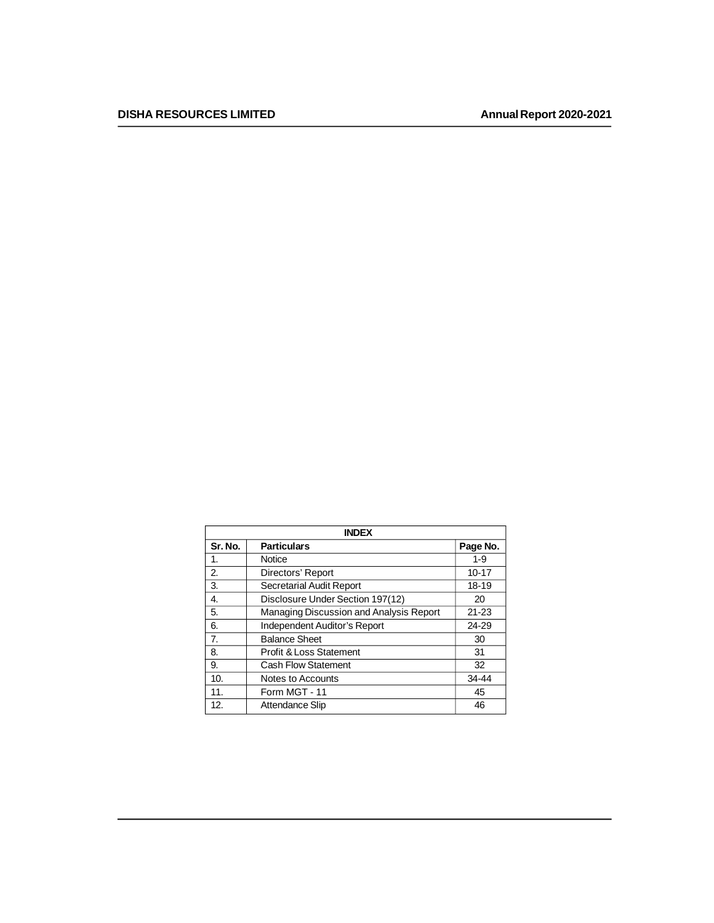| <b>INDEX</b> |                                         |           |  |  |
|--------------|-----------------------------------------|-----------|--|--|
| Sr. No.      | <b>Particulars</b>                      | Page No.  |  |  |
| 1.           | Notice                                  | $1 - 9$   |  |  |
| 2.           | Directors' Report                       | $10 - 17$ |  |  |
| 3.           | Secretarial Audit Report                | 18-19     |  |  |
| 4.           | Disclosure Under Section 197(12)        | 20        |  |  |
| 5.           | Managing Discussion and Analysis Report | $21 - 23$ |  |  |
| 6.           | Independent Auditor's Report            | 24-29     |  |  |
| 7.           | <b>Balance Sheet</b>                    | 30        |  |  |
| 8.           | Profit & Loss Statement                 | 31        |  |  |
| 9.           | Cash Flow Statement                     | 32        |  |  |
| 10.          | Notes to Accounts                       | 34-44     |  |  |
| 11.          | Form MGT - 11                           | 45        |  |  |
| 12.          | Attendance Slip                         | 46        |  |  |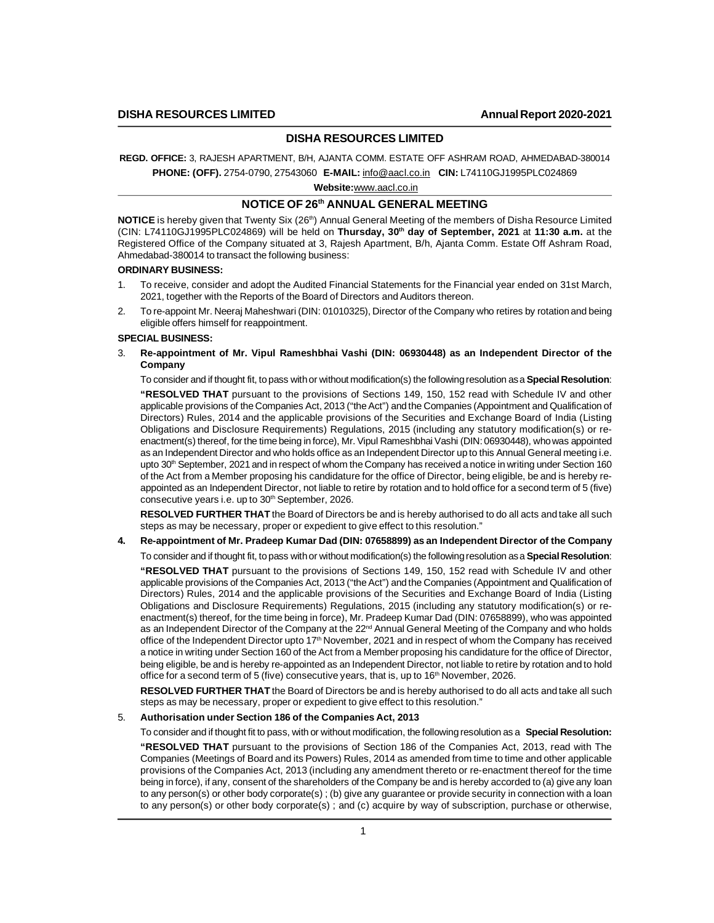## **DISHA RESOURCES LIMITED**

**REGD. OFFICE:** 3, RAJESH APARTMENT, B/H, AJANTA COMM. ESTATE OFF ASHRAM ROAD, AHMEDABAD-380014

**PHONE: (OFF).** 2754-0790, 27543060 **E-MAIL:** [info@aacl.co.in](mailto:info@aacl.co.in) **CIN:** L74110GJ1995PLC024869

**Website:**[www.aacl.co.in](http://www.aacl.co.in)

# **NOTICE OF 26th ANNUAL GENERAL MEETING**

**NOTICE** is hereby given that Twenty Six (26<sup>th</sup>) Annual General Meeting of the members of Disha Resource Limited (CIN: L74110GJ1995PLC024869) will be held on **Thursday, 30th day of September, 2021** at **11:30 a.m.** at the Registered Office of the Company situated at 3, Rajesh Apartment, B/h, Ajanta Comm. Estate Off Ashram Road, Ahmedabad-380014 to transact the following business:

#### **ORDINARY BUSINESS:**

- 1. To receive, consider and adopt the Audited Financial Statements for the Financial year ended on 31st March, 2021, together with the Reports of the Board of Directors and Auditors thereon.
- 2. To re-appoint Mr. Neeraj Maheshwari (DIN: 01010325), Director of the Company who retires by rotation and being eligible offers himself for reappointment.

#### **SPECIAL BUSINESS:**

3. **Re-appointment of Mr. Vipul Rameshbhai Vashi (DIN: 06930448) as an Independent Director of the Company**

To consider and if thought fit, to pass with or without modification(s) the following resolution as a **Special Resolution**:

**"RESOLVED THAT** pursuant to the provisions of Sections 149, 150, 152 read with Schedule IV and other applicable provisions of the Companies Act, 2013 ("the Act") and the Companies (Appointment and Qualification of Directors) Rules, 2014 and the applicable provisions of the Securities and Exchange Board of India (Listing Obligations and Disclosure Requirements) Regulations, 2015 (including any statutory modification(s) or reenactment(s) thereof, for the time being in force), Mr. Vipul Rameshbhai Vashi (DIN: 06930448), who was appointed as an Independent Director and who holds office as an Independent Director up to this Annual General meeting i.e. upto 30<sup>th</sup> September, 2021 and in respect of whom the Company has received a notice in writing under Section 160 of the Act from a Member proposing his candidature for the office of Director, being eligible, be and is hereby reappointed as an Independent Director, not liable to retire by rotation and to hold office for a second term of 5 (five) consecutive years i.e. up to 30<sup>th</sup> September, 2026.

**RESOLVED FURTHER THAT** the Board of Directors be and is hereby authorised to do all acts and take all such steps as may be necessary, proper or expedient to give effect to this resolution."

## **4. Re-appointment of Mr. Pradeep Kumar Dad (DIN: 07658899) as an Independent Director of the Company**

To consider and if thought fit, to pass with or without modification(s) the following resolution as a **Special Resolution**:

**"RESOLVED THAT** pursuant to the provisions of Sections 149, 150, 152 read with Schedule IV and other applicable provisions of the Companies Act, 2013 ("the Act") and the Companies (Appointment and Qualification of Directors) Rules, 2014 and the applicable provisions of the Securities and Exchange Board of India (Listing Obligations and Disclosure Requirements) Regulations, 2015 (including any statutory modification(s) or reenactment(s) thereof, for the time being in force), Mr. Pradeep Kumar Dad (DIN: 07658899), who was appointed as an Independent Director of the Company at the 22<sup>nd</sup> Annual General Meeting of the Company and who holds office of the Independent Director upto 17<sup>th</sup> November, 2021 and in respect of whom the Company has received a notice in writing under Section 160 of the Act from a Member proposing his candidature for the office of Director, being eligible, be and is hereby re-appointed as an Independent Director, not liable to retire by rotation and to hold office for a second term of 5 (five) consecutive years, that is, up to  $16<sup>th</sup>$  November, 2026.

**RESOLVED FURTHER THAT** the Board of Directors be and is hereby authorised to do all acts and take all such steps as may be necessary, proper or expedient to give effect to this resolution."

#### 5. **Authorisation under Section 186 of the Companies Act, 2013**

To consider and if thought fit to pass, with or without modification, the following resolution as a **Special Resolution:**

**"RESOLVED THAT** pursuant to the provisions of Section 186 of the Companies Act, 2013, read with The Companies (Meetings of Board and its Powers) Rules, 2014 as amended from time to time and other applicable provisions of the Companies Act, 2013 (including any amendment thereto or re-enactment thereof for the time being in force), if any, consent of the shareholders of the Company be and is hereby accorded to (a) give any loan to any person(s) or other body corporate(s) ; (b) give any guarantee or provide security in connection with a loan to any person(s) or other body corporate(s) ; and (c) acquire by way of subscription, purchase or otherwise,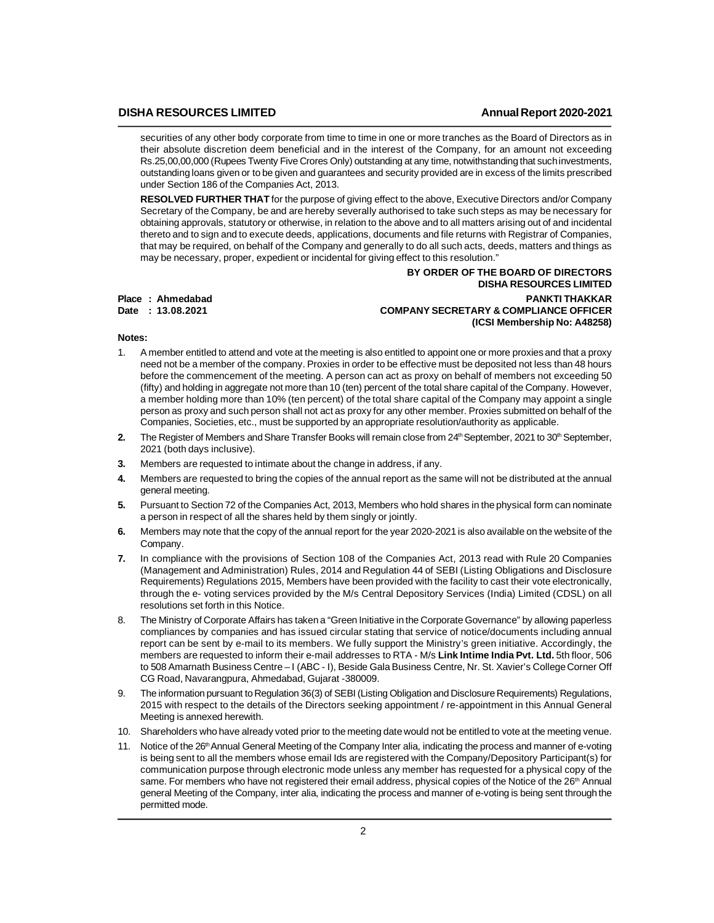**DISHA RESOURCES LIMITED**

securities of any other body corporate from time to time in one or more tranches as the Board of Directors as in their absolute discretion deem beneficial and in the interest of the Company, for an amount not exceeding Rs.25,00,00,000 (Rupees Twenty Five Crores Only) outstanding at any time, notwithstanding that such investments, outstanding loans given or to be given and guarantees and security provided are in excess of the limits prescribed under Section 186 of the Companies Act, 2013.

**RESOLVED FURTHER THAT** for the purpose of giving effect to the above, Executive Directors and/or Company Secretary of the Company, be and are hereby severally authorised to take such steps as may be necessary for obtaining approvals, statutory or otherwise, in relation to the above and to all matters arising out of and incidental thereto and to sign and to execute deeds, applications, documents and file returns with Registrar of Companies, that may be required, on behalf of the Company and generally to do all such acts, deeds, matters and things as may be necessary, proper, expedient or incidental for giving effect to this resolution."

**Place : Ahmedabad PANKTI THAKKAR Date : 13.08.2021 COMPANY SECRETARY & COMPLIANCE OFFICER (ICSI Membership No: A48258)**

**BY ORDER OF THE BOARD OF DIRECTORS**

#### **Notes:**

- 1. A member entitled to attend and vote at the meeting is also entitled to appoint one or more proxies and that a proxy need not be a member of the company. Proxies in order to be effective must be deposited not less than 48 hours before the commencement of the meeting. A person can act as proxy on behalf of members not exceeding 50 (fifty) and holding in aggregate not more than 10 (ten) percent of the total share capital of the Company. However, a member holding more than 10% (ten percent) of the total share capital of the Company may appoint a single person as proxy and such person shall not act as proxy for any other member. Proxies submitted on behalf of the Companies, Societies, etc., must be supported by an appropriate resolution/authority as applicable.
- **2.** The Register of Members and Share Transfer Books will remain close from 24<sup>th</sup> September, 2021 to 30<sup>th</sup> September, 2021 (both days inclusive).
- **3.** Members are requested to intimate about the change in address, if any.
- **4.** Members are requested to bring the copies of the annual report as the same will not be distributed at the annual general meeting.
- **5.** Pursuant to Section 72 of the Companies Act, 2013, Members who hold shares in the physical form can nominate a person in respect of all the shares held by them singly or jointly.
- **6.** Members may note that the copy of the annual report for the year 2020-2021 is also available on the website of the Company.
- **7.** In compliance with the provisions of Section 108 of the Companies Act, 2013 read with Rule 20 Companies (Management and Administration) Rules, 2014 and Regulation 44 of SEBI (Listing Obligations and Disclosure Requirements) Regulations 2015, Members have been provided with the facility to cast their vote electronically, through the e- voting services provided by the M/s Central Depository Services (India) Limited (CDSL) on all resolutions set forth in this Notice.
- 8. The Ministry of Corporate Affairs has taken a "Green Initiative in the Corporate Governance" by allowing paperless compliances by companies and has issued circular stating that service of notice/documents including annual report can be sent by e-mail to its members. We fully support the Ministry's green initiative. Accordingly, the members are requested to inform their e-mail addresses to RTA - M/s **Link Intime India Pvt. Ltd.** 5th floor, 506 to 508 Amarnath Business Centre – I (ABC - I), Beside Gala Business Centre, Nr. St. Xavier's College Corner Off CG Road, Navarangpura, Ahmedabad, Gujarat -380009.
- 9. The information pursuant to Regulation 36(3) of SEBI (Listing Obligation and Disclosure Requirements) Regulations, 2015 with respect to the details of the Directors seeking appointment / re-appointment in this Annual General Meeting is annexed herewith.
- 10. Shareholders who have already voted prior to the meeting date would not be entitled to vote at the meeting venue.
- 11. Notice of the 26<sup>th</sup> Annual General Meeting of the Company Inter alia, indicating the process and manner of e-voting is being sent to all the members whose email Ids are registered with the Company/Depository Participant(s) for communication purpose through electronic mode unless any member has requested for a physical copy of the same. For members who have not registered their email address, physical copies of the Notice of the 26<sup>th</sup> Annual general Meeting of the Company, inter alia, indicating the process and manner of e-voting is being sent through the permitted mode.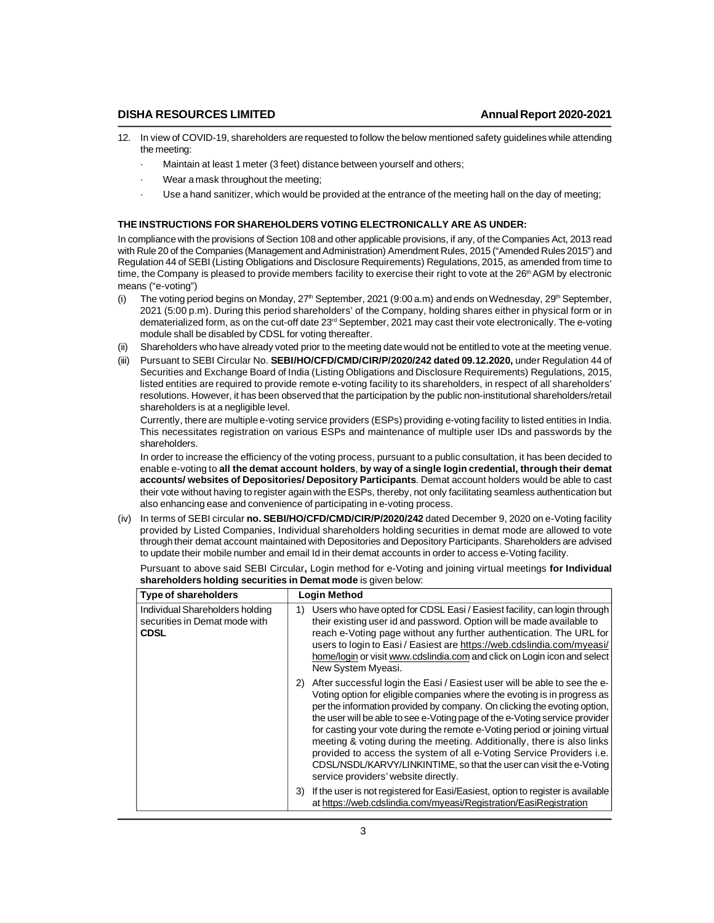- 12. In view of COVID-19, shareholders are requested to follow the below mentioned safety guidelines while attending the meeting:
	- Maintain at least 1 meter (3 feet) distance between yourself and others;
	- Wear a mask throughout the meeting;
	- Use a hand sanitizer, which would be provided at the entrance of the meeting hall on the day of meeting;

#### **THE INSTRUCTIONS FOR SHAREHOLDERS VOTING ELECTRONICALLY ARE AS UNDER:**

In compliance with the provisions of Section 108 and other applicable provisions, if any, of the Companies Act, 2013 read with Rule 20 of the Companies (Management and Administration) Amendment Rules, 2015 ("Amended Rules 2015") and Regulation 44 of SEBI (Listing Obligations and Disclosure Requirements) Regulations, 2015, as amended from time to time, the Company is pleased to provide members facility to exercise their right to vote at the 26<sup>th</sup> AGM by electronic means ("e-voting")

- (i) The voting period begins on Monday, 27<sup>th</sup> September, 2021 (9:00 a.m) and ends on Wednesday, 29<sup>th</sup> September, 2021 (5:00 p.m). During this period shareholders' of the Company, holding shares either in physical form or in dematerialized form, as on the cut-off date 23<sup>rd</sup> September, 2021 may cast their vote electronically. The e-voting module shall be disabled by CDSL for voting thereafter.
- (ii) Shareholders who have already voted prior to the meeting date would not be entitled to vote at the meeting venue.
- (iii) Pursuant to SEBI Circular No. **SEBI/HO/CFD/CMD/CIR/P/2020/242 dated 09.12.2020,** under Regulation 44 of Securities and Exchange Board of India (Listing Obligations and Disclosure Requirements) Regulations, 2015, listed entities are required to provide remote e-voting facility to its shareholders, in respect of all shareholders' resolutions. However, it has been observed that the participation by the public non-institutional shareholders/retail shareholders is at a negligible level.

Currently, there are multiple e-voting service providers (ESPs) providing e-voting facility to listed entities in India. This necessitates registration on various ESPs and maintenance of multiple user IDs and passwords by the shareholders.

In order to increase the efficiency of the voting process, pursuant to a public consultation, it has been decided to enable e-voting to **all the demat account holders**, **by way of a single login credential, through their demat accounts/ websites of Depositories/ Depository Participants**. Demat account holders would be able to cast their vote without having to register again with the ESPs, thereby, not only facilitating seamless authentication but also enhancing ease and convenience of participating in e-voting process.

(iv) In terms of SEBI circular **no. SEBI/HO/CFD/CMD/CIR/P/2020/242** dated December 9, 2020 on e-Voting facility provided by Listed Companies, Individual shareholders holding securities in demat mode are allowed to vote through their demat account maintained with Depositories and Depository Participants. Shareholders are advised to update their mobile number and email Id in their demat accounts in order to access e-Voting facility.

| <b>Type of shareholders</b>                                                     | <b>Login Method</b>                                                                                                                                                                                                                                                                                                                                                                                                                                                                                                                                                                                                                                                           |  |  |
|---------------------------------------------------------------------------------|-------------------------------------------------------------------------------------------------------------------------------------------------------------------------------------------------------------------------------------------------------------------------------------------------------------------------------------------------------------------------------------------------------------------------------------------------------------------------------------------------------------------------------------------------------------------------------------------------------------------------------------------------------------------------------|--|--|
| Individual Shareholders holding<br>securities in Demat mode with<br><b>CDSL</b> | Users who have opted for CDSL Easi / Easiest facility, can login through<br>1)<br>their existing user id and password. Option will be made available to<br>reach e-Voting page without any further authentication. The URL for<br>users to login to Easi / Easiest are https://web.cdslindia.com/myeasi/<br>home/login or visit www.cdslindia.com and click on Login icon and select<br>New System Myeasi.                                                                                                                                                                                                                                                                    |  |  |
|                                                                                 | After successful login the Easi / Easiest user will be able to see the e-<br>(2)<br>Voting option for eligible companies where the evoting is in progress as<br>per the information provided by company. On clicking the evoting option,<br>the user will be able to see e-Voting page of the e-Voting service provider<br>for casting your vote during the remote e-Voting period or joining virtual<br>meeting & voting during the meeting. Additionally, there is also links<br>provided to access the system of all e-Voting Service Providers <i>i.e.</i><br>CDSL/NSDL/KARVY/LINKINTIME, so that the user can visit the e-Voting<br>service providers' website directly. |  |  |
|                                                                                 | If the user is not registered for Easi/Easiest, option to register is available<br>3)<br>at https://web.cdslindia.com/myeasi/Registration/EasiRegistration                                                                                                                                                                                                                                                                                                                                                                                                                                                                                                                    |  |  |

Pursuant to above said SEBI Circular**,** Login method for e-Voting and joining virtual meetings **for Individual shareholders holding securities in Demat mode** is given below: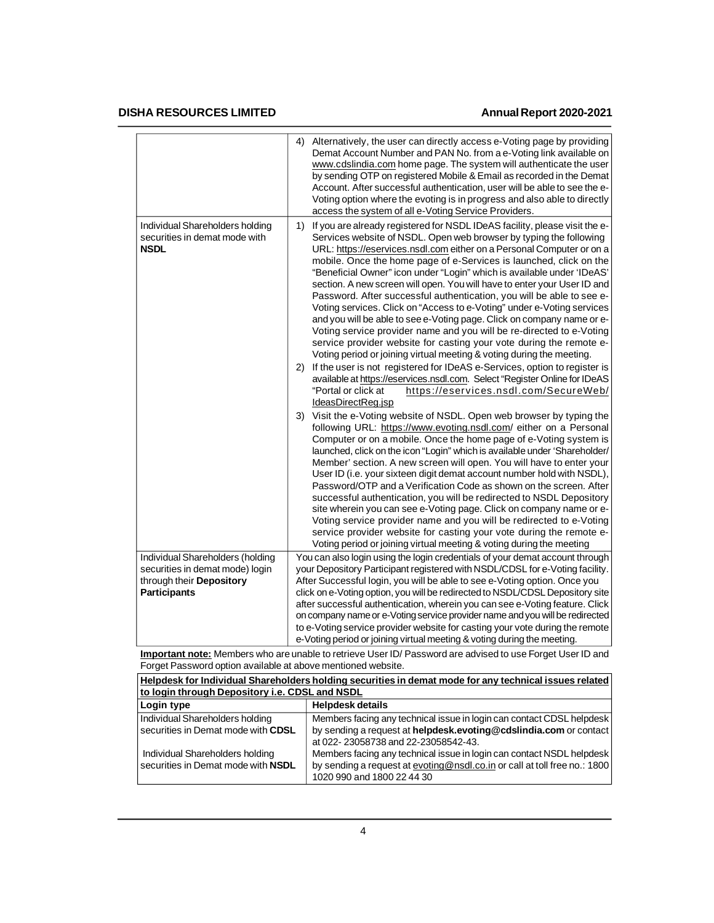|                                                                                 | Alternatively, the user can directly access e-Voting page by providing<br>4)<br>Demat Account Number and PAN No. from a e-Voting link available on<br>www.cdslindia.com home page. The system will authenticate the user<br>by sending OTP on registered Mobile & Email as recorded in the Demat<br>Account. After successful authentication, user will be able to see the e-<br>Voting option where the evoting is in progress and also able to directly<br>access the system of all e-Voting Service Providers.                                                                                                                                                                                                                                                                                                                                                                                                                                                                                                                                                                 |
|---------------------------------------------------------------------------------|-----------------------------------------------------------------------------------------------------------------------------------------------------------------------------------------------------------------------------------------------------------------------------------------------------------------------------------------------------------------------------------------------------------------------------------------------------------------------------------------------------------------------------------------------------------------------------------------------------------------------------------------------------------------------------------------------------------------------------------------------------------------------------------------------------------------------------------------------------------------------------------------------------------------------------------------------------------------------------------------------------------------------------------------------------------------------------------|
| Individual Shareholders holding<br>securities in demat mode with<br><b>NSDL</b> | If you are already registered for NSDL IDeAS facility, please visit the e-<br>1)<br>Services website of NSDL. Open web browser by typing the following<br>URL: https://eservices.nsdl.com either on a Personal Computer or on a<br>mobile. Once the home page of e-Services is launched, click on the<br>"Beneficial Owner" icon under "Login" which is available under 'IDeAS'<br>section. A new screen will open. You will have to enter your User ID and<br>Password. After successful authentication, you will be able to see e-<br>Voting services. Click on "Access to e-Voting" under e-Voting services<br>and you will be able to see e-Voting page. Click on company name or e-<br>Voting service provider name and you will be re-directed to e-Voting<br>service provider website for casting your vote during the remote e-<br>Voting period or joining virtual meeting & voting during the meeting.<br>If the user is not registered for IDeAS e-Services, option to register is<br>2)<br>available at https://eservices.nsdl.com. Select "Register Online for IDeAS |
|                                                                                 | "Portal or click at<br>https://eservices.nsdl.com/SecureWeb/<br>IdeasDirectReg.jsp                                                                                                                                                                                                                                                                                                                                                                                                                                                                                                                                                                                                                                                                                                                                                                                                                                                                                                                                                                                                |
|                                                                                 | Visit the e-Voting website of NSDL. Open web browser by typing the<br>3)<br>following URL: https://www.evoting.nsdl.com/ either on a Personal<br>Computer or on a mobile. Once the home page of e-Voting system is<br>launched, click on the icon "Login" which is available under 'Shareholder/<br>Member' section. A new screen will open. You will have to enter your<br>User ID (i.e. your sixteen digit demat account number hold with NSDL),<br>Password/OTP and a Verification Code as shown on the screen. After<br>successful authentication, you will be redirected to NSDL Depository<br>site wherein you can see e-Voting page. Click on company name or e-<br>Voting service provider name and you will be redirected to e-Voting<br>service provider website for casting your vote during the remote e-<br>Voting period or joining virtual meeting & voting during the meeting                                                                                                                                                                                     |
| Individual Shareholders (holding<br>securities in demat mode) login             | You can also login using the login credentials of your demat account through<br>your Depository Participant registered with NSDL/CDSL for e-Voting facility.                                                                                                                                                                                                                                                                                                                                                                                                                                                                                                                                                                                                                                                                                                                                                                                                                                                                                                                      |
| through their Depository                                                        | After Successful login, you will be able to see e-Voting option. Once you                                                                                                                                                                                                                                                                                                                                                                                                                                                                                                                                                                                                                                                                                                                                                                                                                                                                                                                                                                                                         |
| <b>Participants</b>                                                             | click on e-Voting option, you will be redirected to NSDL/CDSL Depository site<br>after successful authentication, wherein you can see e-Voting feature. Click<br>on company name or e-Voting service provider name and you will be redirected<br>to e-Voting service provider website for casting your vote during the remote<br>e-Voting period or joining virtual meeting & voting during the meeting.                                                                                                                                                                                                                                                                                                                                                                                                                                                                                                                                                                                                                                                                          |
|                                                                                 | $\mathbf{1}$<br>and the company of the company of the com-                                                                                                                                                                                                                                                                                                                                                                                                                                                                                                                                                                                                                                                                                                                                                                                                                                                                                                                                                                                                                        |

**Important note:** Members who are unable to retrieve User ID/ Password are advised to use Forget User ID and Forget Password option available at above mentioned website.

| Helpdesk for Individual Shareholders holding securities in demat mode for any technical issues related |                                                                                                                                                                                  |  |  |
|--------------------------------------------------------------------------------------------------------|----------------------------------------------------------------------------------------------------------------------------------------------------------------------------------|--|--|
| to login through Depository i.e. CDSL and NSDL                                                         |                                                                                                                                                                                  |  |  |
| Login type                                                                                             | <b>Helpdesk details</b>                                                                                                                                                          |  |  |
| Individual Shareholders holding                                                                        | Members facing any technical issue in login can contact CDSL helpdesk                                                                                                            |  |  |
| securities in Demat mode with CDSL                                                                     | by sending a request at helpdesk.evoting@cdslindia.com or contact<br>at 022-23058738 and 22-23058542-43.                                                                         |  |  |
| Individual Shareholders holding<br>securities in Demat mode with NSDL                                  | Members facing any technical issue in login can contact NSDL helpdesk<br>by sending a request at evoting@nsdl.co.in or call at toll free no.: 1800<br>1020 990 and 1800 22 44 30 |  |  |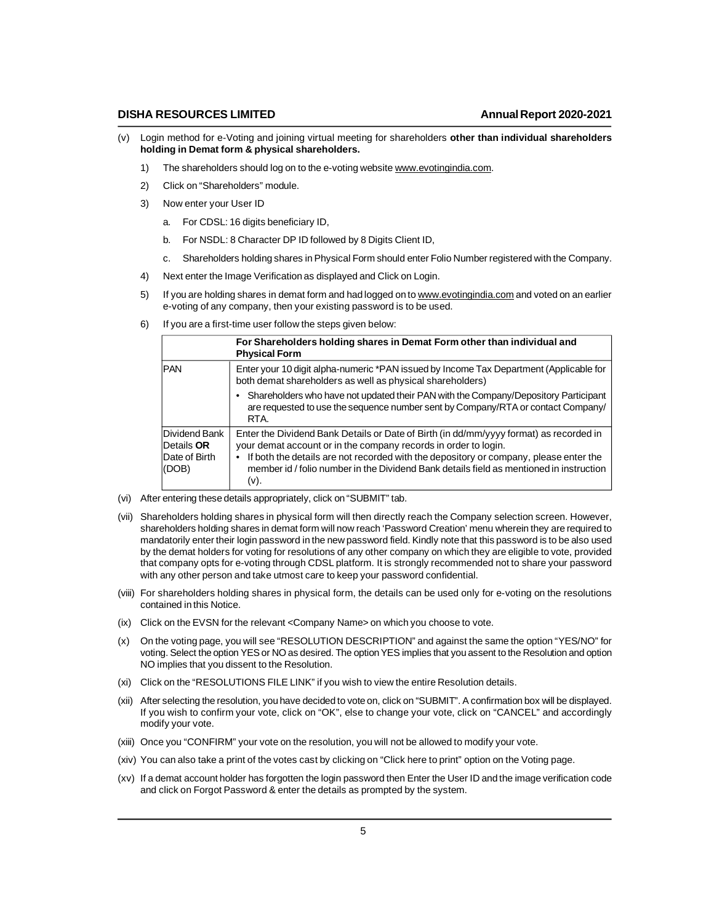- (v) Login method for e-Voting and joining virtual meeting for shareholders **other than individual shareholders holding in Demat form & physical shareholders.**
	- 1) The shareholders should log on to the e-voting website [www.evotingindia.com.](http://www.evotingindia.com.)
	- 2) Click on "Shareholders" module.
	- 3) Now enter your User ID
		- a. For CDSL: 16 digits beneficiary ID,
		- b. For NSDL: 8 Character DP ID followed by 8 Digits Client ID,
		- c. Shareholders holding shares in Physical Form should enter Folio Number registered with the Company.
	- 4) Next enter the Image Verification as displayed and Click on Login.
	- 5) If you are holding shares in demat form and had logged on to [www.evotingindia.com](http://www.evotingindia.com) and voted on an earlier e-voting of any company, then your existing password is to be used.
	- 6) If you are a first-time user follow the steps given below:

|                                                               | For Shareholders holding shares in Demat Form other than individual and<br><b>Physical Form</b>                                                                                                                                                                                                                                                            |
|---------------------------------------------------------------|------------------------------------------------------------------------------------------------------------------------------------------------------------------------------------------------------------------------------------------------------------------------------------------------------------------------------------------------------------|
| IPAN                                                          | Enter your 10 digit alpha-numeric *PAN issued by Income Tax Department (Applicable for<br>both demat shareholders as well as physical shareholders)                                                                                                                                                                                                        |
|                                                               | • Shareholders who have not updated their PAN with the Company/Depository Participant<br>are requested to use the sequence number sent by Company/RTA or contact Company/<br>RTA.                                                                                                                                                                          |
| Dividend Bank<br>lDetails <b>OR</b><br>Date of Birth<br>(DOB) | Enter the Dividend Bank Details or Date of Birth (in dd/mm/yyyy format) as recorded in<br>your demat account or in the company records in order to login.<br>• If both the details are not recorded with the depository or company, please enter the<br>member id / folio number in the Dividend Bank details field as mentioned in instruction<br>$(v)$ . |

- (vi) After entering these details appropriately, click on "SUBMIT" tab.
- (vii) Shareholders holding shares in physical form will then directly reach the Company selection screen. However, shareholders holding shares in demat form will now reach 'Password Creation' menu wherein they are required to mandatorily enter their login password in the new password field. Kindly note that this password is to be also used by the demat holders for voting for resolutions of any other company on which they are eligible to vote, provided that company opts for e-voting through CDSL platform. It is strongly recommended not to share your password with any other person and take utmost care to keep your password confidential.
- (viii) For shareholders holding shares in physical form, the details can be used only for e-voting on the resolutions contained in this Notice.
- (ix) Click on the EVSN for the relevant <Company Name> on which you choose to vote.
- (x) On the voting page, you will see "RESOLUTION DESCRIPTION" and against the same the option "YES/NO" for voting. Select the option YES or NO as desired. The option YES implies that you assent to the Resolution and option NO implies that you dissent to the Resolution.
- (xi) Click on the "RESOLUTIONS FILE LINK" if you wish to view the entire Resolution details.
- (xii) After selecting the resolution, you have decided to vote on, click on "SUBMIT". A confirmation box will be displayed. If you wish to confirm your vote, click on "OK", else to change your vote, click on "CANCEL" and accordingly modify your vote.
- (xiii) Once you "CONFIRM" your vote on the resolution, you will not be allowed to modify your vote.
- (xiv) You can also take a print of the votes cast by clicking on "Click here to print" option on the Voting page.
- (xv) If a demat account holder has forgotten the login password then Enter the User ID and the image verification code and click on Forgot Password & enter the details as prompted by the system.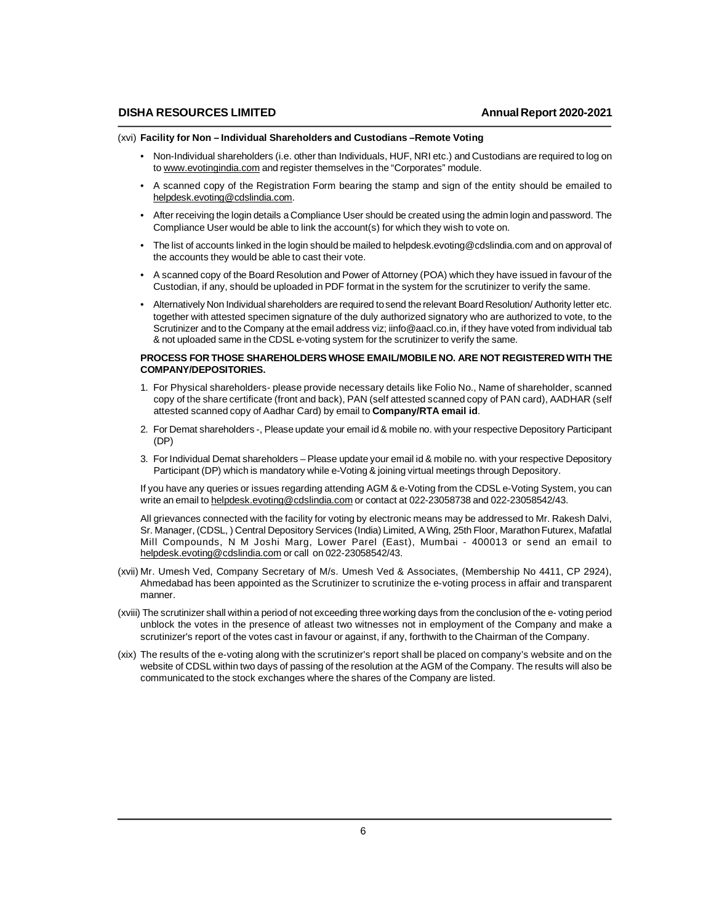#### (xvi) **Facility for Non – Individual Shareholders and Custodians –Remote Voting**

- Non-Individual shareholders (i.e. other than Individuals, HUF, NRI etc.) and Custodians are required to log on to [www.evotingindia.com](http://www.evotingindia.com) and register themselves in the "Corporates" module.
- A scanned copy of the Registration Form bearing the stamp and sign of the entity should be emailed to [helpdesk.evoting@cdslindia.com.](mailto:helpdesk.evoting@cdslindia.com.)
- After receiving the login details a Compliance User should be created using the admin login and password. The Compliance User would be able to link the account(s) for which they wish to vote on.
- The list of accounts linked in the login should be mailed to [helpdesk.evoting@cdslindia.com](mailto:helpdesk.evoting@cdslindia.com) and on approval of the accounts they would be able to cast their vote.
- A scanned copy of the Board Resolution and Power of Attorney (POA) which they have issued in favour of the Custodian, if any, should be uploaded in PDF format in the system for the scrutinizer to verify the same.
- Alternatively Non Individual shareholders are required to send the relevant Board Resolution/ Authority letter etc. together with attested specimen signature of the duly authorized signatory who are authorized to vote, to the Scrutinizer and to the Company at the email address viz; [iinfo@aacl.co.in,](mailto:iinfo@aacl.co.in,) if they have voted from individual tab & not uploaded same in the CDSL e-voting system for the scrutinizer to verify the same.

#### **PROCESS FOR THOSE SHAREHOLDERS WHOSE EMAIL/MOBILE NO. ARE NOT REGISTERED WITH THE COMPANY/DEPOSITORIES.**

- 1. For Physical shareholders- please provide necessary details like Folio No., Name of shareholder, scanned copy of the share certificate (front and back), PAN (self attested scanned copy of PAN card), AADHAR (self attested scanned copy of Aadhar Card) by email to **Company/RTA email id**.
- 2. For Demat shareholders -, Please update your email id & mobile no. with your respective Depository Participant (DP)
- 3. For Individual Demat shareholders Please update your email id & mobile no. with your respective Depository Participant (DP) which is mandatory while e-Voting & joining virtual meetings through Depository.

If you have any queries or issues regarding attending AGM & e-Voting from the CDSL e-Voting System, you can write an email to [helpdesk.evoting@cdslindia.com](mailto:helpdesk.evoting@cdslindia.com) or contact at 022-23058738 and 022-23058542/43.

All grievances connected with the facility for voting by electronic means may be addressed to Mr. Rakesh Dalvi, Sr. Manager, (CDSL, ) Central Depository Services (India) Limited, A Wing, 25th Floor, Marathon Futurex, Mafatlal Mill Compounds, N M Joshi Marg, Lower Parel (East), Mumbai - 400013 or send an email to [helpdesk.evoting@cdslindia.com](mailto:helpdesk.evoting@cdslindia.com) or call on 022-23058542/43.

- (xvii) Mr. Umesh Ved, Company Secretary of M/s. Umesh Ved & Associates, (Membership No 4411, CP 2924), Ahmedabad has been appointed as the Scrutinizer to scrutinize the e-voting process in affair and transparent manner.
- (xviii) The scrutinizer shall within a period of not exceeding three working days from the conclusion of the e- voting period unblock the votes in the presence of atleast two witnesses not in employment of the Company and make a scrutinizer's report of the votes cast in favour or against, if any, forthwith to the Chairman of the Company.
- (xix) The results of the e-voting along with the scrutinizer's report shall be placed on company's website and on the website of CDSL within two days of passing of the resolution at the AGM of the Company. The results will also be communicated to the stock exchanges where the shares of the Company are listed.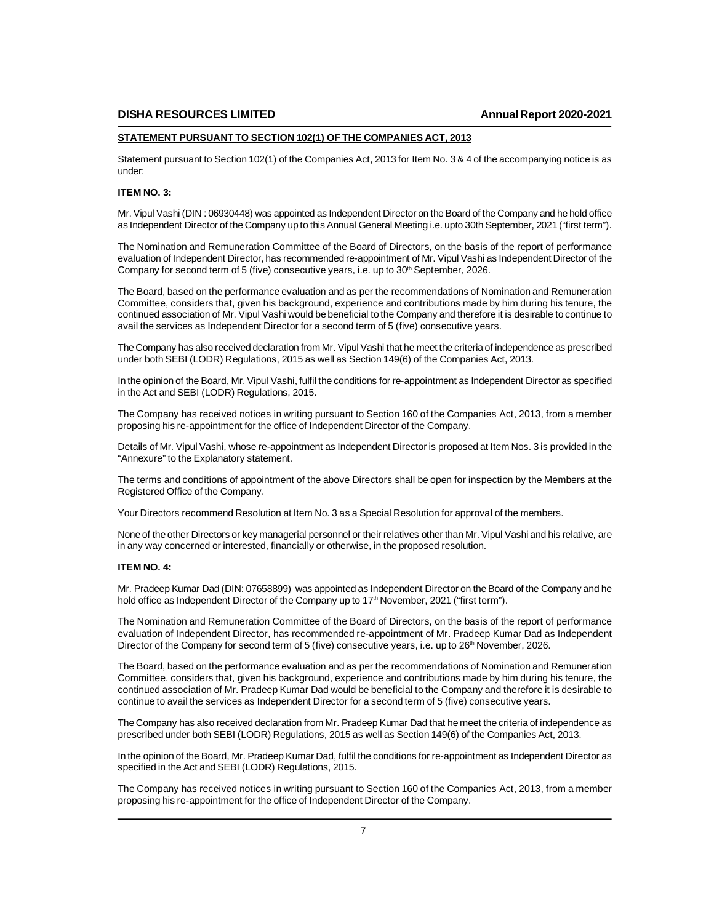#### **STATEMENT PURSUANT TO SECTION 102(1) OF THE COMPANIES ACT, 2013**

Statement pursuant to Section 102(1) of the Companies Act, 2013 for Item No. 3 & 4 of the accompanying notice is as under:

# **ITEM NO. 3:**

Mr. Vipul Vashi (DIN : 06930448) was appointed as Independent Director on the Board of the Company and he hold office as Independent Director of the Company up to this Annual General Meeting i.e. upto 30th September, 2021 ("first term").

The Nomination and Remuneration Committee of the Board of Directors, on the basis of the report of performance evaluation of Independent Director, has recommended re-appointment of Mr. Vipul Vashi as Independent Director of the Company for second term of 5 (five) consecutive years, i.e. up to 30<sup>th</sup> September, 2026.

The Board, based on the performance evaluation and as per the recommendations of Nomination and Remuneration Committee, considers that, given his background, experience and contributions made by him during his tenure, the continued association of Mr. Vipul Vashi would be beneficial to the Company and therefore it is desirable to continue to avail the services as Independent Director for a second term of 5 (five) consecutive years.

The Company has also received declaration from Mr. Vipul Vashi that he meet the criteria of independence as prescribed under both SEBI (LODR) Regulations, 2015 as well as Section 149(6) of the Companies Act, 2013.

In the opinion of the Board, Mr. Vipul Vashi, fulfil the conditions for re-appointment as Independent Director as specified in the Act and SEBI (LODR) Regulations, 2015.

The Company has received notices in writing pursuant to Section 160 of the Companies Act, 2013, from a member proposing his re-appointment for the office of Independent Director of the Company.

Details of Mr. Vipul Vashi, whose re-appointment as Independent Director is proposed at Item Nos. 3 is provided in the "Annexure" to the Explanatory statement.

The terms and conditions of appointment of the above Directors shall be open for inspection by the Members at the Registered Office of the Company.

Your Directors recommend Resolution at Item No. 3 as a Special Resolution for approval of the members.

None of the other Directors or key managerial personnel or their relatives other than Mr. Vipul Vashi and his relative, are in any way concerned or interested, financially or otherwise, in the proposed resolution.

#### **ITEM NO. 4:**

Mr. Pradeep Kumar Dad (DIN: 07658899) was appointed as Independent Director on the Board of the Company and he hold office as Independent Director of the Company up to 17<sup>th</sup> November, 2021 ("first term").

The Nomination and Remuneration Committee of the Board of Directors, on the basis of the report of performance evaluation of Independent Director, has recommended re-appointment of Mr. Pradeep Kumar Dad as Independent Director of the Company for second term of 5 (five) consecutive years, i.e. up to 26<sup>th</sup> November, 2026.

The Board, based on the performance evaluation and as per the recommendations of Nomination and Remuneration Committee, considers that, given his background, experience and contributions made by him during his tenure, the continued association of Mr. Pradeep Kumar Dad would be beneficial to the Company and therefore it is desirable to continue to avail the services as Independent Director for a second term of 5 (five) consecutive years.

The Company has also received declaration from Mr. Pradeep Kumar Dad that he meet the criteria of independence as prescribed under both SEBI (LODR) Regulations, 2015 as well as Section 149(6) of the Companies Act, 2013.

In the opinion of the Board, Mr. Pradeep Kumar Dad, fulfil the conditions for re-appointment as Independent Director as specified in the Act and SEBI (LODR) Regulations, 2015.

The Company has received notices in writing pursuant to Section 160 of the Companies Act, 2013, from a member proposing his re-appointment for the office of Independent Director of the Company.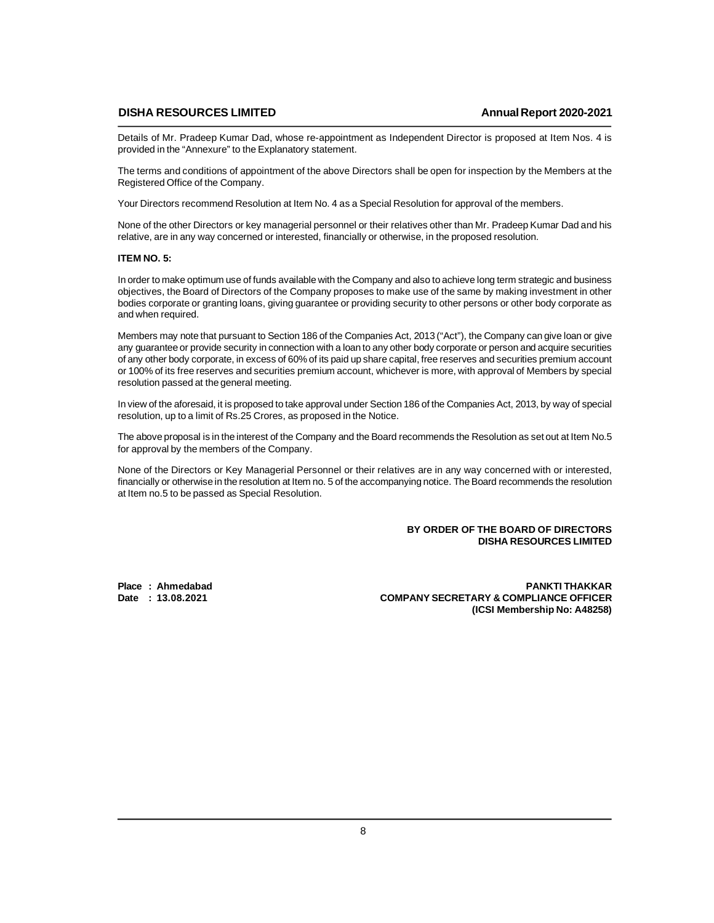Details of Mr. Pradeep Kumar Dad, whose re-appointment as Independent Director is proposed at Item Nos. 4 is provided in the "Annexure" to the Explanatory statement.

The terms and conditions of appointment of the above Directors shall be open for inspection by the Members at the Registered Office of the Company.

Your Directors recommend Resolution at Item No. 4 as a Special Resolution for approval of the members.

None of the other Directors or key managerial personnel or their relatives other than Mr. Pradeep Kumar Dad and his relative, are in any way concerned or interested, financially or otherwise, in the proposed resolution.

#### **ITEM NO. 5:**

In order to make optimum use of funds available with the Company and also to achieve long term strategic and business objectives, the Board of Directors of the Company proposes to make use of the same by making investment in other bodies corporate or granting loans, giving guarantee or providing security to other persons or other body corporate as and when required.

Members may note that pursuant to Section 186 of the Companies Act, 2013 ("Act"), the Company can give loan or give any guarantee or provide security in connection with a loan to any other body corporate or person and acquire securities of any other body corporate, in excess of 60% of its paid up share capital, free reserves and securities premium account or 100% of its free reserves and securities premium account, whichever is more, with approval of Members by special resolution passed at the general meeting.

In view of the aforesaid, it is proposed to take approval under Section 186 of the Companies Act, 2013, by way of special resolution, up to a limit of Rs.25 Crores, as proposed in the Notice.

The above proposal is in the interest of the Company and the Board recommends the Resolution as set out at Item No.5 for approval by the members of the Company.

None of the Directors or Key Managerial Personnel or their relatives are in any way concerned with or interested, financially or otherwise in the resolution at Item no. 5 of the accompanying notice. The Board recommends the resolution at Item no.5 to be passed as Special Resolution.

### **BY ORDER OF THE BOARD OF DIRECTORS DISHA RESOURCES LIMITED**

**Place : Ahmedabad PANKTI THAKKAR COMPANY SECRETARY & COMPLIANCE OFFICER (ICSI Membership No: A48258)**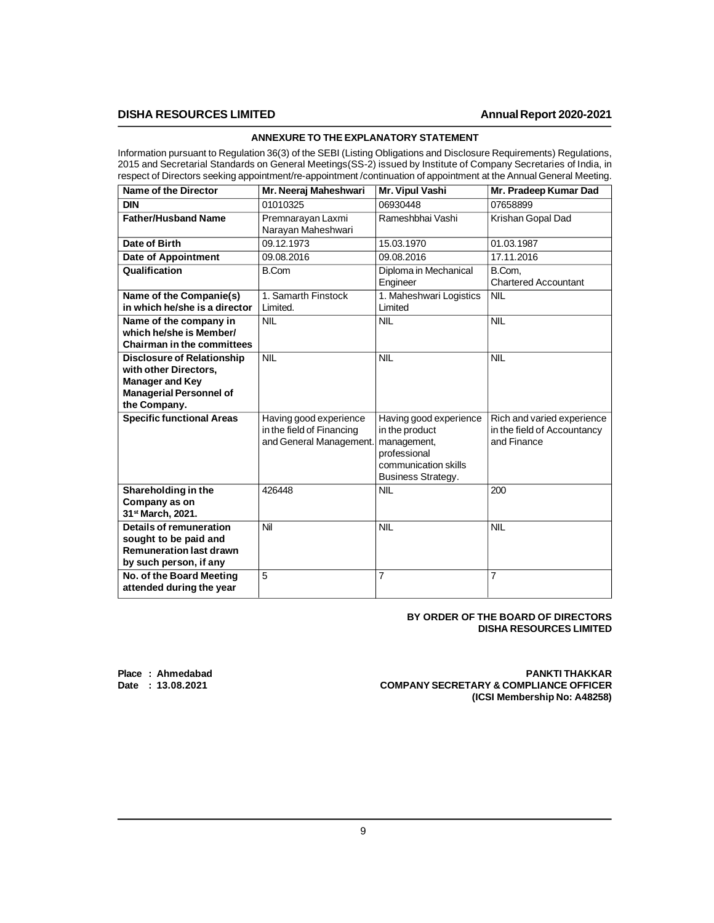### **ANNEXURE TO THE EXPLANATORY STATEMENT**

Information pursuant to Regulation 36(3) of the SEBI (Listing Obligations and Disclosure Requirements) Regulations, 2015 and Secretarial Standards on General Meetings(SS-2) issued by Institute of Company Secretaries of India, in respect of Directors seeking appointment/re-appointment /continuation of appointment at the Annual General Meeting.

| Name of the Director                                                                                                                   | Mr. Neeraj Maheshwari                                                          | Mr. Vipul Vashi                                                                                                       | Mr. Pradeep Kumar Dad                                                    |
|----------------------------------------------------------------------------------------------------------------------------------------|--------------------------------------------------------------------------------|-----------------------------------------------------------------------------------------------------------------------|--------------------------------------------------------------------------|
| <b>DIN</b>                                                                                                                             | 01010325                                                                       | 06930448                                                                                                              | 07658899                                                                 |
| <b>Father/Husband Name</b>                                                                                                             | Premnarayan Laxmi<br>Narayan Maheshwari                                        | Rameshbhai Vashi                                                                                                      | Krishan Gopal Dad                                                        |
| Date of Birth                                                                                                                          | 09.12.1973                                                                     | 15.03.1970                                                                                                            | 01.03.1987                                                               |
| <b>Date of Appointment</b>                                                                                                             | 09.08.2016                                                                     | 09.08.2016                                                                                                            | 17.11.2016                                                               |
| Qualification                                                                                                                          | <b>B.Com</b>                                                                   | Diploma in Mechanical<br>Engineer                                                                                     | B.Com.<br><b>Chartered Accountant</b>                                    |
| Name of the Companie(s)<br>in which he/she is a director                                                                               | 1. Samarth Finstock<br>Limited.                                                | 1. Maheshwari Logistics<br>Limited                                                                                    | <b>NIL</b>                                                               |
| Name of the company in<br>which he/she is Member/<br><b>Chairman in the committees</b>                                                 | <b>NIL</b>                                                                     | <b>NIL</b>                                                                                                            | <b>NIL</b>                                                               |
| <b>Disclosure of Relationship</b><br>with other Directors.<br><b>Manager and Key</b><br><b>Managerial Personnel of</b><br>the Company. | <b>NIL</b>                                                                     | <b>NIL</b>                                                                                                            | <b>NIL</b>                                                               |
| <b>Specific functional Areas</b>                                                                                                       | Having good experience<br>in the field of Financing<br>and General Management. | Having good experience<br>in the product<br>management,<br>professional<br>communication skills<br>Business Strategy. | Rich and varied experience<br>in the field of Accountancy<br>and Finance |
| Shareholding in the<br>Company as on<br>31st March, 2021.                                                                              | 426448                                                                         | <b>NIL</b>                                                                                                            | 200                                                                      |
| <b>Details of remuneration</b><br>sought to be paid and<br><b>Remuneration last drawn</b><br>by such person, if any                    | Nil                                                                            | <b>NIL</b>                                                                                                            | <b>NIL</b>                                                               |
| No. of the Board Meeting<br>attended during the year                                                                                   | 5                                                                              | 7                                                                                                                     | $\overline{7}$                                                           |

# **BY ORDER OF THE BOARD OF DIRECTORS DISHA RESOURCES LIMITED**

**Place : Ahmedabad PANKTI THAKKAR COMPANY SECRETARY & COMPLIANCE OFFICER (ICSI Membership No: A48258)**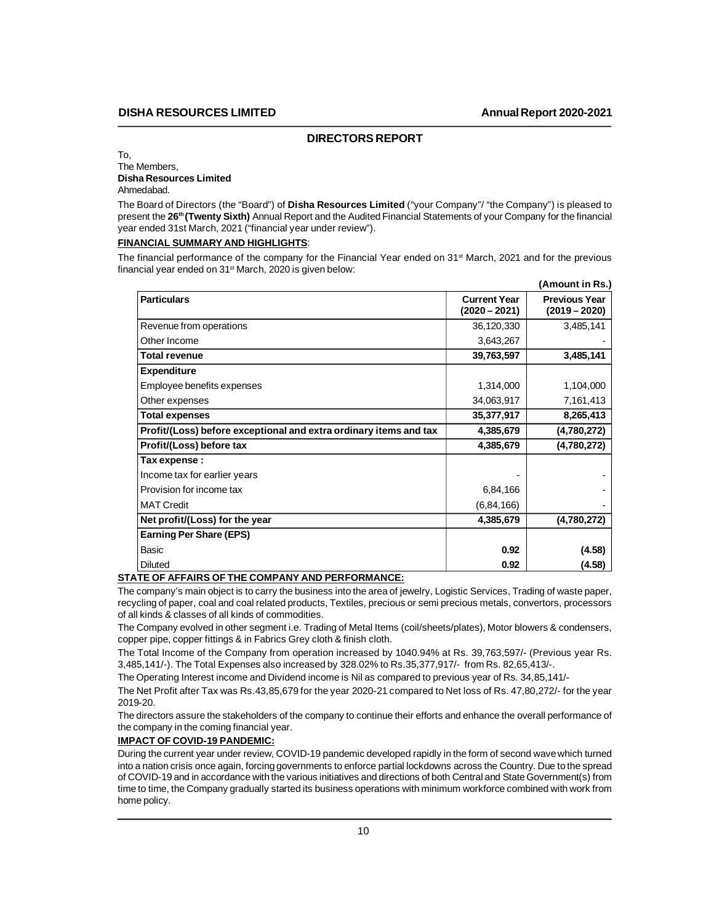# **DIRECTORS REPORT**

To,

#### The Members, **Disha Resources Limited** Ahmedabad.

The Board of Directors (the "Board") of **Disha Resources Limited** ("your Company"/ "the Company") is pleased to present the **26th (Twenty Sixth)** Annual Report and the Audited Financial Statements of your Company for the financial year ended 31st March, 2021 ("financial year under review").

### **FINANCIAL SUMMARY AND HIGHLIGHTS**:

The financial performance of the company for the Financial Year ended on 31<sup>st</sup> March, 2021 and for the previous financial year ended on 31st March, 2020 is given below:

|                                                                   |                                        | (Amount in Rs.)                         |
|-------------------------------------------------------------------|----------------------------------------|-----------------------------------------|
| <b>Particulars</b>                                                | <b>Current Year</b><br>$(2020 - 2021)$ | <b>Previous Year</b><br>$(2019 - 2020)$ |
| Revenue from operations                                           | 36,120,330                             | 3,485,141                               |
| Other Income                                                      | 3,643,267                              |                                         |
| <b>Total revenue</b>                                              | 39,763,597                             | 3,485,141                               |
| <b>Expenditure</b>                                                |                                        |                                         |
| Employee benefits expenses                                        | 1,314,000                              | 1,104,000                               |
| Other expenses                                                    | 34,063,917                             | 7,161,413                               |
| <b>Total expenses</b>                                             | 35,377,917                             | 8,265,413                               |
| Profit/(Loss) before exceptional and extra ordinary items and tax | 4,385,679                              | (4,780,272)                             |
| Profit/(Loss) before tax                                          | 4,385,679                              | (4,780,272)                             |
| Tax expense :                                                     |                                        |                                         |
| Income tax for earlier years                                      |                                        |                                         |
| Provision for income tax                                          | 6,84,166                               |                                         |
| <b>MAT Credit</b>                                                 | (6, 84, 166)                           |                                         |
| Net profit/(Loss) for the year                                    | 4,385,679                              | (4,780,272)                             |
| <b>Earning Per Share (EPS)</b>                                    |                                        |                                         |
| Basic                                                             | 0.92                                   | (4.58)                                  |
| Diluted                                                           | 0.92                                   | (4.58)                                  |

## **STATE OF AFFAIRS OF THE COMPANY AND PERFORMANCE:**

The company's main object is to carry the business into the area of jewelry, Logistic Services, Trading of waste paper, recycling of paper, coal and coal related products, Textiles, precious or semi precious metals, convertors, processors of all kinds & classes of all kinds of commodities.

The Company evolved in other segment i.e. Trading of Metal Items (coil/sheets/plates), Motor blowers & condensers, copper pipe, copper fittings & in Fabrics Grey cloth & finish cloth.

The Total Income of the Company from operation increased by 1040.94% at Rs. 39,763,597/- (Previous year Rs. 3,485,141/-). The Total Expenses also increased by 328.02% to Rs.35,377,917/- from Rs. 82,65,413/-.

The Operating Interest income and Dividend income is Nil as compared to previous year of Rs. 34,85,141/-

The Net Profit after Tax was Rs.43,85,679 for the year 2020-21 compared to Net loss of Rs. 47,80,272/- for the year 2019-20.

The directors assure the stakeholders of the company to continue their efforts and enhance the overall performance of the company in the coming financial year.

### **IMPACT OF COVID-19 PANDEMIC:**

During the current year under review, COVID-19 pandemic developed rapidly in the form of second wave which turned into a nation crisis once again, forcing governments to enforce partial lockdowns across the Country. Due to the spread of COVID-19 and in accordance with the various initiatives and directions of both Central and State Government(s) from time to time, the Company gradually started its business operations with minimum workforce combined with work from home policy.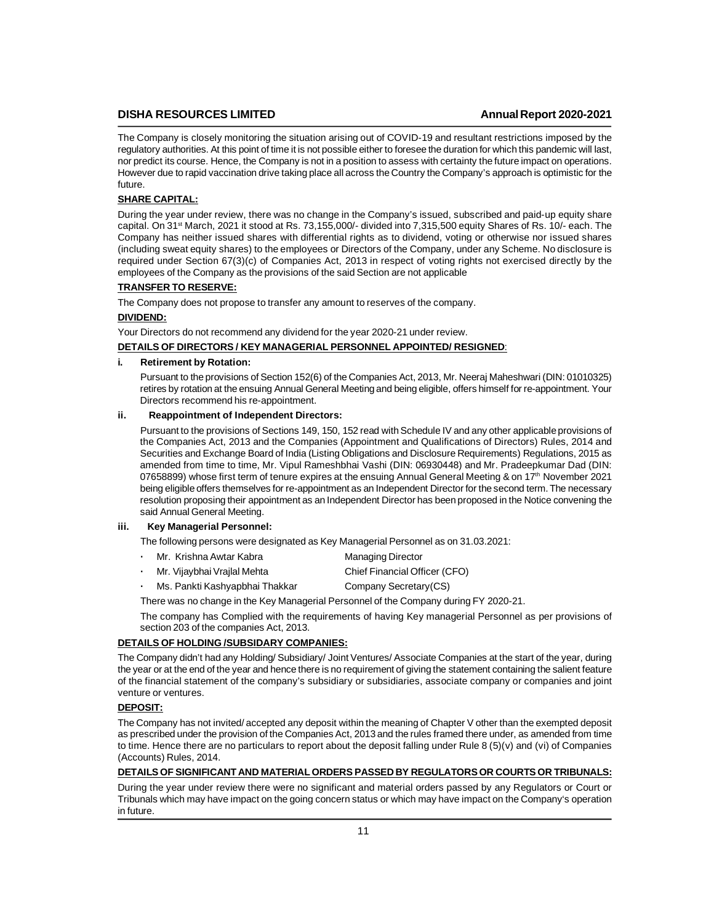The Company is closely monitoring the situation arising out of COVID-19 and resultant restrictions imposed by the regulatory authorities. At this point of time it is not possible either to foresee the duration for which this pandemic will last, nor predict its course. Hence, the Company is not in a position to assess with certainty the future impact on operations. However due to rapid vaccination drive taking place all across the Country the Company's approach is optimistic for the future.

### **SHARE CAPITAL:**

During the year under review, there was no change in the Company's issued, subscribed and paid-up equity share capital. On 31st March, 2021 it stood at Rs. 73,155,000/- divided into 7,315,500 equity Shares of Rs. 10/- each. The Company has neither issued shares with differential rights as to dividend, voting or otherwise nor issued shares (including sweat equity shares) to the employees or Directors of the Company, under any Scheme. No disclosure is required under Section 67(3)(c) of Companies Act, 2013 in respect of voting rights not exercised directly by the employees of the Company as the provisions of the said Section are not applicable

### **TRANSFER TO RESERVE:**

The Company does not propose to transfer any amount to reserves of the company.

#### **DIVIDEND:**

Your Directors do not recommend any dividend for the year 2020-21 under review.

#### **DETAILS OF DIRECTORS / KEY MANAGERIAL PERSONNEL APPOINTED/ RESIGNED**:

#### **i. Retirement by Rotation:**

Pursuant to the provisions of Section 152(6) of the Companies Act, 2013, Mr. Neeraj Maheshwari (DIN: 01010325) retires by rotation at the ensuing Annual General Meeting and being eligible, offers himself for re-appointment. Your Directors recommend his re-appointment.

## **ii. Reappointment of Independent Directors:**

Pursuant to the provisions of Sections 149, 150, 152 read with Schedule IV and any other applicable provisions of the Companies Act, 2013 and the Companies (Appointment and Qualifications of Directors) Rules, 2014 and Securities and Exchange Board of India (Listing Obligations and Disclosure Requirements) Regulations, 2015 as amended from time to time, Mr. Vipul Rameshbhai Vashi (DIN: 06930448) and Mr. Pradeepkumar Dad (DIN: 07658899) whose first term of tenure expires at the ensuing Annual General Meeting & on 17<sup>th</sup> November 2021 being eligible offers themselves for re-appointment as an Independent Director for the second term. The necessary resolution proposing their appointment as an Independent Director has been proposed in the Notice convening the said Annual General Meeting.

### **iii. Key Managerial Personnel:**

The following persons were designated as Key Managerial Personnel as on 31.03.2021:

|  | Mr. Krishna Awtar Kabra | <b>Managing Director</b> |
|--|-------------------------|--------------------------|
|--|-------------------------|--------------------------|

- **Mr. Vijaybhai Vrajlal Mehta** Chief Financial Officer (CFO)
- **·** Ms. Pankti Kashyapbhai Thakkar Company Secretary(CS)

There was no change in the Key Managerial Personnel of the Company during FY 2020-21.

The company has Complied with the requirements of having Key managerial Personnel as per provisions of section 203 of the companies Act, 2013.

### **DETAILS OF HOLDING /SUBSIDARY COMPANIES:**

The Company didn't had any Holding/ Subsidiary/ Joint Ventures/ Associate Companies at the start of the year, during the year or at the end of the year and hence there is no requirement of giving the statement containing the salient feature of the financial statement of the company's subsidiary or subsidiaries, associate company or companies and joint venture or ventures.

# **DEPOSIT:**

The Company has not invited/ accepted any deposit within the meaning of Chapter V other than the exempted deposit as prescribed under the provision of the Companies Act, 2013 and the rules framed there under, as amended from time to time. Hence there are no particulars to report about the deposit falling under Rule 8 (5)(v) and (vi) of Companies (Accounts) Rules, 2014.

### **DETAILS OF SIGNIFICANT AND MATERIAL ORDERS PASSED BY REGULATORS OR COURTS OR TRIBUNALS:**

During the year under review there were no significant and material orders passed by any Regulators or Court or Tribunals which may have impact on the going concern status or which may have impact on the Company's operation in future.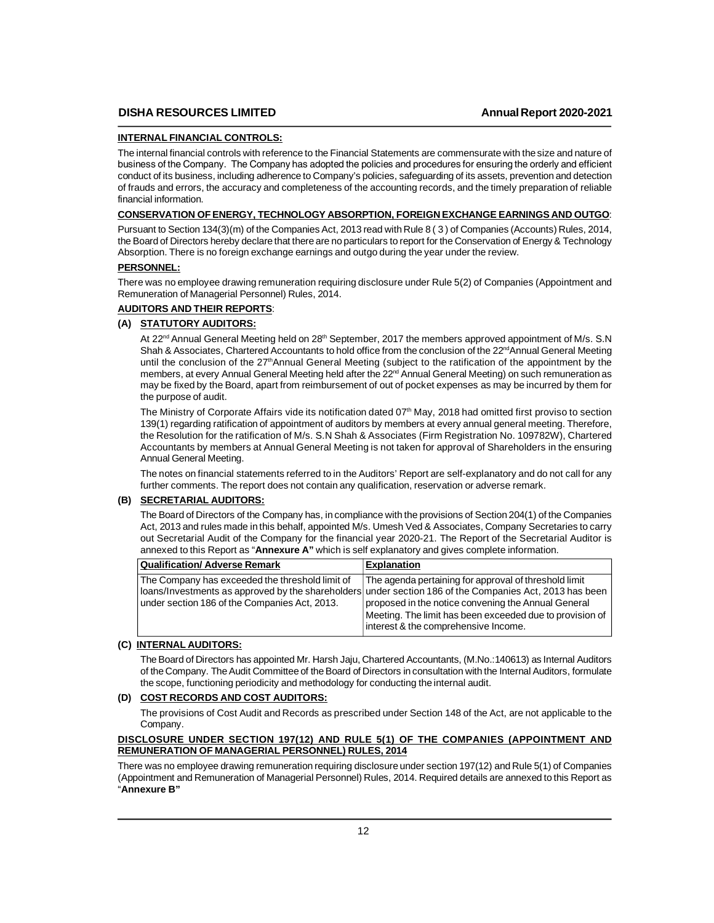#### **INTERNAL FINANCIAL CONTROLS:**

The internal financial controls with reference to the Financial Statements are commensurate with the size and nature of business of the Company. The Company has adopted the policies and procedures for ensuring the orderly and efficient conduct of its business, including adherence to Company's policies, safeguarding of its assets, prevention and detection of frauds and errors, the accuracy and completeness of the accounting records, and the timely preparation of reliable financial information.

# **CONSERVATION OF ENERGY, TECHNOLOGY ABSORPTION, FOREIGN EXCHANGE EARNINGS AND OUTGO**:

Pursuant to Section 134(3)(m) of the Companies Act, 2013 read with Rule 8 ( 3 ) of Companies (Accounts) Rules, 2014, the Board of Directors hereby declare that there are no particulars to report for the Conservation of Energy & Technology Absorption. There is no foreign exchange earnings and outgo during the year under the review.

# **PERSONNEL:**

There was no employee drawing remuneration requiring disclosure under Rule 5(2) of Companies (Appointment and Remuneration of Managerial Personnel) Rules, 2014.

# **AUDITORS AND THEIR REPORTS**:

### **(A) STATUTORY AUDITORS:**

At 22<sup>nd</sup> Annual General Meeting held on 28<sup>th</sup> September, 2017 the members approved appointment of M/s. S.N Shah & Associates, Chartered Accountants to hold office from the conclusion of the 22<sup>nd</sup>Annual General Meeting until the conclusion of the 27<sup>th</sup>Annual General Meeting (subject to the ratification of the appointment by the members, at every Annual General Meeting held after the 22<sup>nd</sup> Annual General Meeting) on such remuneration as may be fixed by the Board, apart from reimbursement of out of pocket expenses as may be incurred by them for the purpose of audit.

The Ministry of Corporate Affairs vide its notification dated 07th May, 2018 had omitted first proviso to section 139(1) regarding ratification of appointment of auditors by members at every annual general meeting. Therefore, the Resolution for the ratification of M/s. S.N Shah & Associates (Firm Registration No. 109782W), Chartered Accountants by members at Annual General Meeting is not taken for approval of Shareholders in the ensuring Annual General Meeting.

The notes on financial statements referred to in the Auditors' Report are self-explanatory and do not call for any further comments. The report does not contain any qualification, reservation or adverse remark.

## **(B) SECRETARIAL AUDITORS:**

The Board of Directors of the Company has, in compliance with the provisions of Section 204(1) of the Companies Act, 2013 and rules made in this behalf, appointed M/s. Umesh Ved & Associates, Company Secretaries to carry out Secretarial Audit of the Company for the financial year 2020-21. The Report of the Secretarial Auditor is annexed to this Report as "**Annexure A"** which is self explanatory and gives complete information.

| Qualification/ Adverse Remark                                                                    | <b>Explanation</b>                                                                                                                                                                                                                                                                                                          |
|--------------------------------------------------------------------------------------------------|-----------------------------------------------------------------------------------------------------------------------------------------------------------------------------------------------------------------------------------------------------------------------------------------------------------------------------|
| The Company has exceeded the threshold limit of<br>under section 186 of the Companies Act, 2013. | The agenda pertaining for approval of threshold limit<br>loans/Investments as approved by the shareholders under section 186 of the Companies Act, 2013 has been<br>proposed in the notice convening the Annual General<br>Meeting. The limit has been exceeded due to provision of<br>interest & the comprehensive Income. |

### **(C) INTERNAL AUDITORS:**

The Board of Directors has appointed Mr. Harsh Jaju, Chartered Accountants, (M.No.:140613) as Internal Auditors of the Company. The Audit Committee of the Board of Directors in consultation with the Internal Auditors, formulate the scope, functioning periodicity and methodology for conducting the internal audit.

# **(D) COST RECORDS AND COST AUDITORS:**

The provisions of Cost Audit and Records as prescribed under Section 148 of the Act, are not applicable to the Company.

#### **DISCLOSURE UNDER SECTION 197(12) AND RULE 5(1) OF THE COMPANIES (APPOINTMENT AND REMUNERATION OF MANAGERIAL PERSONNEL) RULES, 2014**

There was no employee drawing remuneration requiring disclosure under section 197(12) and Rule 5(1) of Companies (Appointment and Remuneration of Managerial Personnel) Rules, 2014. Required details are annexed to this Report as "**Annexure B"**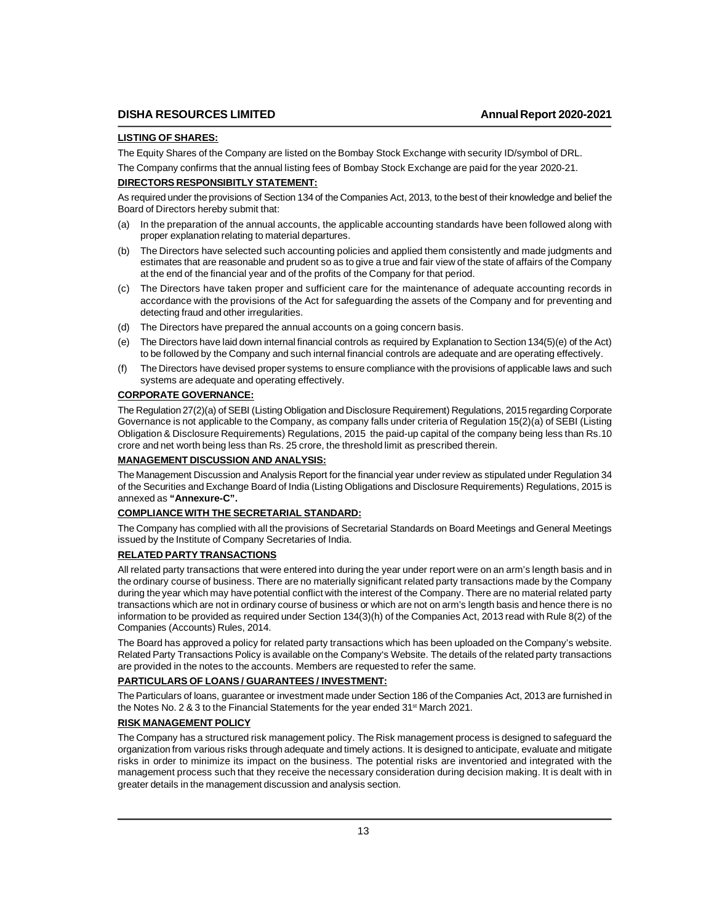## **LISTING OF SHARES:**

The Equity Shares of the Company are listed on the Bombay Stock Exchange with security ID/symbol of DRL.

The Company confirms that the annual listing fees of Bombay Stock Exchange are paid for the year 2020-21.

#### **DIRECTORS RESPONSIBITLY STATEMENT:**

As required under the provisions of Section 134 of the Companies Act, 2013, to the best of their knowledge and belief the Board of Directors hereby submit that:

- (a) In the preparation of the annual accounts, the applicable accounting standards have been followed along with proper explanation relating to material departures.
- (b) The Directors have selected such accounting policies and applied them consistently and made judgments and estimates that are reasonable and prudent so as to give a true and fair view of the state of affairs of the Company at the end of the financial year and of the profits of the Company for that period.
- (c) The Directors have taken proper and sufficient care for the maintenance of adequate accounting records in accordance with the provisions of the Act for safeguarding the assets of the Company and for preventing and detecting fraud and other irregularities.
- (d) The Directors have prepared the annual accounts on a going concern basis.
- (e) The Directors have laid down internal financial controls as required by Explanation to Section 134(5)(e) of the Act) to be followed by the Company and such internal financial controls are adequate and are operating effectively.
- (f) The Directors have devised proper systems to ensure compliance with the provisions of applicable laws and such systems are adequate and operating effectively.

#### **CORPORATE GOVERNANCE:**

The Regulation 27(2)(a) of SEBI (Listing Obligation and Disclosure Requirement) Regulations, 2015 regarding Corporate Governance is not applicable to the Company, as company falls under criteria of Regulation 15(2)(a) of SEBI (Listing Obligation & Disclosure Requirements) Regulations, 2015 the paid-up capital of the company being less than Rs.10 crore and net worth being less than Rs. 25 crore, the threshold limit as prescribed therein.

#### **MANAGEMENT DISCUSSION AND ANALYSIS:**

The Management Discussion and Analysis Report for the financial year under review as stipulated under Regulation 34 of the Securities and Exchange Board of India (Listing Obligations and Disclosure Requirements) Regulations, 2015 is annexed as **"Annexure-C".**

# **COMPLIANCE WITH THE SECRETARIAL STANDARD:**

The Company has complied with all the provisions of Secretarial Standards on Board Meetings and General Meetings issued by the Institute of Company Secretaries of India.

#### **RELATED PARTY TRANSACTIONS**

All related party transactions that were entered into during the year under report were on an arm's length basis and in the ordinary course of business. There are no materially significant related party transactions made by the Company during the year which may have potential conflict with the interest of the Company. There are no material related party transactions which are not in ordinary course of business or which are not on arm's length basis and hence there is no information to be provided as required under Section 134(3)(h) of the Companies Act, 2013 read with Rule 8(2) of the Companies (Accounts) Rules, 2014.

The Board has approved a policy for related party transactions which has been uploaded on the Company's website. Related Party Transactions Policy is available on the Company's Website. The details of the related party transactions are provided in the notes to the accounts. Members are requested to refer the same.

#### **PARTICULARS OF LOANS / GUARANTEES / INVESTMENT:**

The Particulars of loans, guarantee or investment made under Section 186 of the Companies Act, 2013 are furnished in the Notes No. 2 & 3 to the Financial Statements for the year ended 31<sup>st</sup> March 2021.

## **RISK MANAGEMENT POLICY**

The Company has a structured risk management policy. The Risk management process is designed to safeguard the organization from various risks through adequate and timely actions. It is designed to anticipate, evaluate and mitigate risks in order to minimize its impact on the business. The potential risks are inventoried and integrated with the management process such that they receive the necessary consideration during decision making. It is dealt with in greater details in the management discussion and analysis section.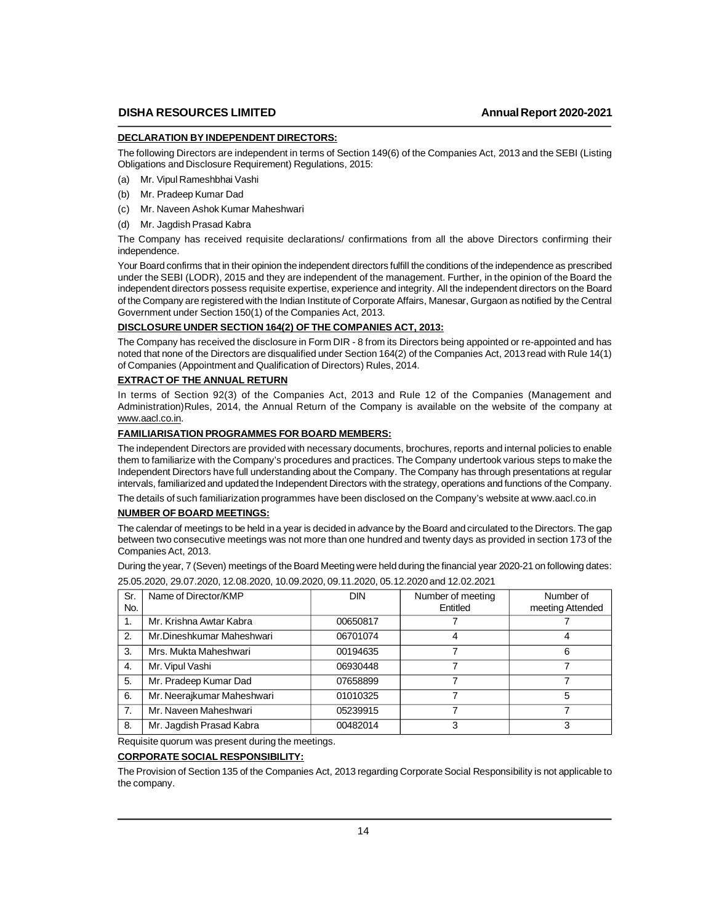#### **DECLARATION BY INDEPENDENT DIRECTORS:**

The following Directors are independent in terms of Section 149(6) of the Companies Act, 2013 and the SEBI (Listing Obligations and Disclosure Requirement) Regulations, 2015:

- (a) Mr. Vipul Rameshbhai Vashi
- (b) Mr. Pradeep Kumar Dad
- (c) Mr. Naveen Ashok Kumar Maheshwari
- (d) Mr. Jagdish Prasad Kabra

The Company has received requisite declarations/ confirmations from all the above Directors confirming their independence.

Your Board confirms that in their opinion the independent directors fulfill the conditions of the independence as prescribed under the SEBI (LODR), 2015 and they are independent of the management. Further, in the opinion of the Board the independent directors possess requisite expertise, experience and integrity. All the independent directors on the Board of the Company are registered with the Indian Institute of Corporate Affairs, Manesar, Gurgaon as notified by the Central Government under Section 150(1) of the Companies Act, 2013.

#### **DISCLOSURE UNDER SECTION 164(2) OF THE COMPANIES ACT, 2013:**

The Company has received the disclosure in Form DIR - 8 from its Directors being appointed or re-appointed and has noted that none of the Directors are disqualified under Section 164(2) of the Companies Act, 2013 read with Rule 14(1) of Companies (Appointment and Qualification of Directors) Rules, 2014.

#### **EXTRACT OF THE ANNUAL RETURN**

In terms of Section 92(3) of the Companies Act, 2013 and Rule 12 of the Companies (Management and Administration)Rules, 2014, the Annual Return of the Company is available on the website of the company at [www.aacl.co.in.](http://www.aacl.co.in.)

#### **FAMILIARISATION PROGRAMMES FOR BOARD MEMBERS:**

The independent Directors are provided with necessary documents, brochures, reports and internal policies to enable them to familiarize with the Company's procedures and practices. The Company undertook various steps to make the Independent Directors have full understanding about the Company. The Company has through presentations at regular intervals, familiarized and updated the Independent Directors with the strategy, operations and functions of the Company.

The details of such familiarization programmes have been disclosed on the Company's website at [www.aacl.co.in](http://www.aacl.co.in)

## **NUMBER OF BOARD MEETINGS:**

The calendar of meetings to be held in a year is decided in advance by the Board and circulated to the Directors. The gap between two consecutive meetings was not more than one hundred and twenty days as provided in section 173 of the Companies Act, 2013.

During the year, 7 (Seven) meetings of the Board Meeting were held during the financial year 2020-21 on following dates: 25.05.2020, 29.07.2020, 12.08.2020, 10.09.2020, 09.11.2020, 05.12.2020 and 12.02.2021

| Sr.<br>No. | Name of Director/KMP       | <b>DIN</b> | Number of meeting<br>Entitled | Number of<br>meeting Attended |
|------------|----------------------------|------------|-------------------------------|-------------------------------|
| 1.         | Mr. Krishna Awtar Kabra    | 00650817   |                               |                               |
| 2.         | Mr.Dineshkumar Maheshwari  | 06701074   | 4                             | 4                             |
| 3.         | Mrs. Mukta Maheshwari      | 00194635   |                               | 6                             |
| 4.         | Mr. Vipul Vashi            | 06930448   |                               |                               |
| 5.         | Mr. Pradeep Kumar Dad      | 07658899   |                               |                               |
| 6.         | Mr. Neerajkumar Maheshwari | 01010325   |                               | 5                             |
| 7.         | Mr. Naveen Maheshwari      | 05239915   |                               |                               |
| 8.         | Mr. Jagdish Prasad Kabra   | 00482014   | 3                             | 3                             |

Requisite quorum was present during the meetings.

# **CORPORATE SOCIAL RESPONSIBILITY:**

The Provision of Section 135 of the Companies Act, 2013 regarding Corporate Social Responsibility is not applicable to the company.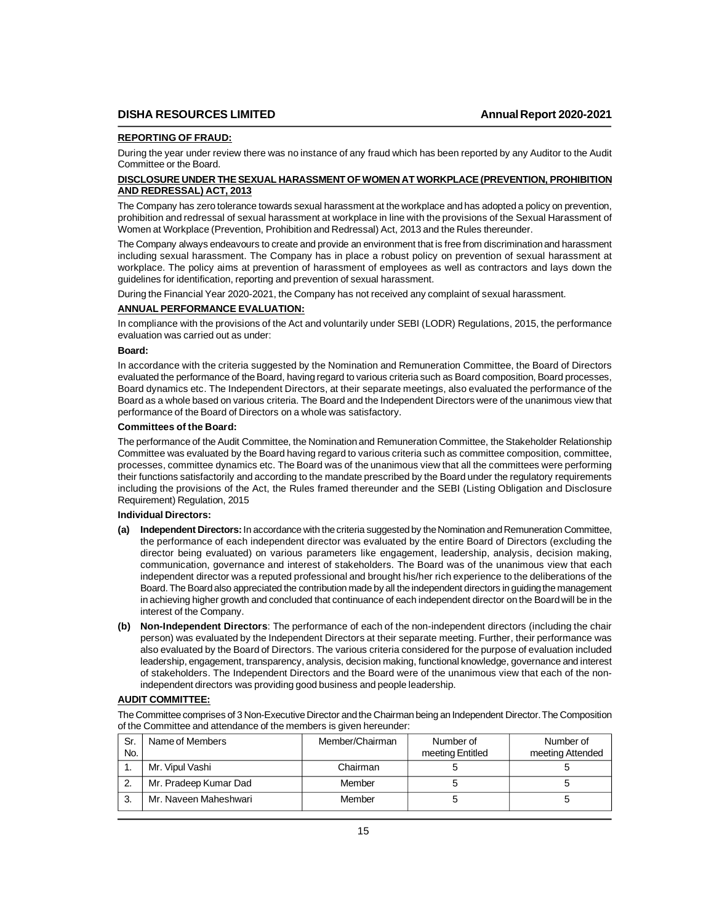## **REPORTING OF FRAUD:**

During the year under review there was no instance of any fraud which has been reported by any Auditor to the Audit Committee or the Board.

#### **DISCLOSURE UNDER THE SEXUAL HARASSMENT OF WOMEN AT WORKPLACE (PREVENTION, PROHIBITION AND REDRESSAL) ACT, 2013**

The Company has zero tolerance towards sexual harassment at the workplace and has adopted a policy on prevention, prohibition and redressal of sexual harassment at workplace in line with the provisions of the Sexual Harassment of Women at Workplace (Prevention, Prohibition and Redressal) Act, 2013 and the Rules thereunder.

The Company always endeavours to create and provide an environment that is free from discrimination and harassment including sexual harassment. The Company has in place a robust policy on prevention of sexual harassment at workplace. The policy aims at prevention of harassment of employees as well as contractors and lays down the guidelines for identification, reporting and prevention of sexual harassment.

During the Financial Year 2020-2021, the Company has not received any complaint of sexual harassment.

## **ANNUAL PERFORMANCE EVALUATION:**

In compliance with the provisions of the Act and voluntarily under SEBI (LODR) Regulations, 2015, the performance evaluation was carried out as under:

#### **Board:**

In accordance with the criteria suggested by the Nomination and Remuneration Committee, the Board of Directors evaluated the performance of the Board, having regard to various criteria such as Board composition, Board processes, Board dynamics etc. The Independent Directors, at their separate meetings, also evaluated the performance of the Board as a whole based on various criteria. The Board and the Independent Directors were of the unanimous view that performance of the Board of Directors on a whole was satisfactory.

#### **Committees of the Board:**

The performance of the Audit Committee, the Nomination and Remuneration Committee, the Stakeholder Relationship Committee was evaluated by the Board having regard to various criteria such as committee composition, committee, processes, committee dynamics etc. The Board was of the unanimous view that all the committees were performing their functions satisfactorily and according to the mandate prescribed by the Board under the regulatory requirements including the provisions of the Act, the Rules framed thereunder and the SEBI (Listing Obligation and Disclosure Requirement) Regulation, 2015

# **Individual Directors:**

- **(a) Independent Directors:** In accordance with the criteria suggested by the Nomination and Remuneration Committee, the performance of each independent director was evaluated by the entire Board of Directors (excluding the director being evaluated) on various parameters like engagement, leadership, analysis, decision making, communication, governance and interest of stakeholders. The Board was of the unanimous view that each independent director was a reputed professional and brought his/her rich experience to the deliberations of the Board. The Board also appreciated the contribution made by all the independent directors in guiding the management in achieving higher growth and concluded that continuance of each independent director on the Board will be in the interest of the Company.
- **(b) Non-Independent Directors**: The performance of each of the non-independent directors (including the chair person) was evaluated by the Independent Directors at their separate meeting. Further, their performance was also evaluated by the Board of Directors. The various criteria considered for the purpose of evaluation included leadership, engagement, transparency, analysis, decision making, functional knowledge, governance and interest of stakeholders. The Independent Directors and the Board were of the unanimous view that each of the nonindependent directors was providing good business and people leadership.

# **AUDIT COMMITTEE:**

The Committee comprises of 3 Non-Executive Director and the Chairman being an Independent Director. The Composition of the Committee and attendance of the members is given hereunder:

| Sr.            | Name of Members       | Member/Chairman | Number of        | Number of        |
|----------------|-----------------------|-----------------|------------------|------------------|
| No.            |                       |                 | meeting Entitled | meeting Attended |
|                | Mr. Vipul Vashi       | Chairman        |                  |                  |
| $\overline{2}$ | Mr. Pradeep Kumar Dad | Member          |                  |                  |
| 3.             | Mr. Naveen Maheshwari | Member          |                  | 5                |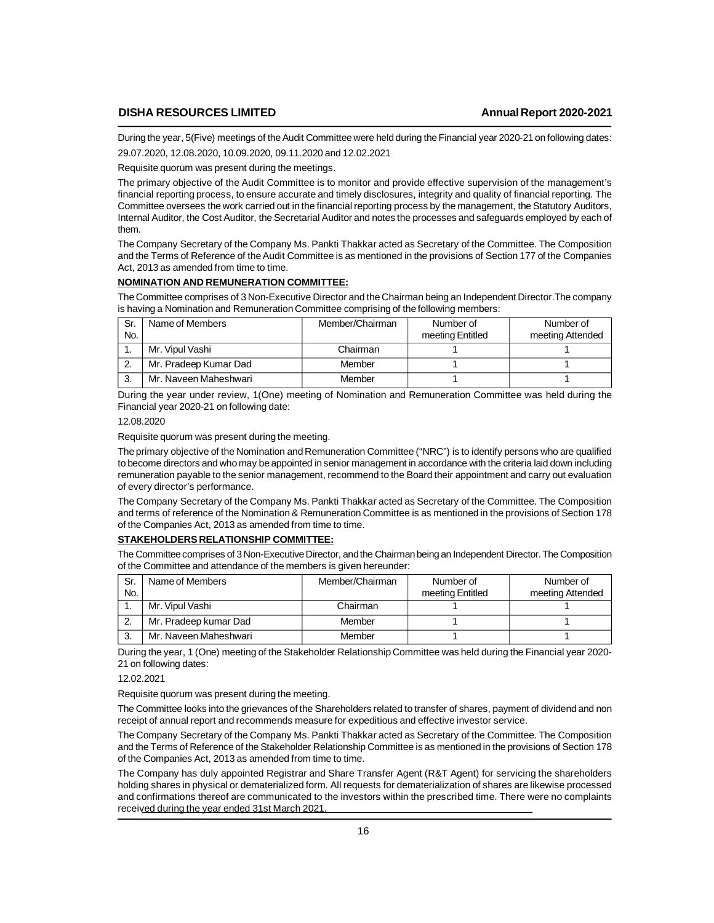During the year, 5(Five) meetings of the Audit Committee were held during the Financial year 2020-21 on following dates: 29.07.2020, 12.08.2020, 10.09.2020, 09.11.2020 and 12.02.2021

Requisite quorum was present during the meetings.

The primary objective of the Audit Committee is to monitor and provide effective supervision of the management's financial reporting process, to ensure accurate and timely disclosures, integrity and quality of financial reporting. The Committee oversees the work carried out in the financial reporting process by the management, the Statutory Auditors, Internal Auditor, the Cost Auditor, the Secretarial Auditor and notes the processes and safeguards employed by each of them.

The Company Secretary of the Company Ms. Pankti Thakkar acted as Secretary of the Committee. The Composition and the Terms of Reference of the Audit Committee is as mentioned in the provisions of Section 177 of the Companies Act, 2013 as amended from time to time.

#### **NOMINATION AND REMUNERATION COMMITTEE:**

The Committee comprises of 3 Non-Executive Director and the Chairman being an Independent Director.The company is having a Nomination and Remuneration Committee comprising of the following members:

| Sr. | Name of Members       | Member/Chairman | Number of        | Number of        |
|-----|-----------------------|-----------------|------------------|------------------|
| No. |                       |                 | meeting Entitled | meeting Attended |
|     | Mr. Vipul Vashi       | Chairman        |                  |                  |
|     | Mr. Pradeep Kumar Dad | Member          |                  |                  |
| 3.  | Mr. Naveen Maheshwari | Member          |                  |                  |

During the year under review, 1(One) meeting of Nomination and Remuneration Committee was held during the Financial year 2020-21 on following date:

# 12.08.2020

Requisite quorum was present during the meeting.

The primary objective of the Nomination and Remuneration Committee ("NRC") is to identify persons who are qualified to become directors and who may be appointed in senior management in accordance with the criteria laid down including remuneration payable to the senior management, recommend to the Board their appointment and carry out evaluation of every director's performance.

The Company Secretary of the Company Ms. Pankti Thakkar acted as Secretary of the Committee. The Composition and terms of reference of the Nomination & Remuneration Committee is as mentioned in the provisions of Section 178 of the Companies Act, 2013 as amended from time to time.

# **STAKEHOLDERS RELATIONSHIP COMMITTEE:**

The Committee comprises of 3 Non-Executive Director, and the Chairman being an Independent Director. The Composition of the Committee and attendance of the members is given hereunder:

| Sr.<br>No. | Name of Members       | Member/Chairman | Number of<br>meeting Entitled | Number of<br>meeting Attended |
|------------|-----------------------|-----------------|-------------------------------|-------------------------------|
|            | Mr. Vipul Vashi       | Chairman        |                               |                               |
|            | Mr. Pradeep kumar Dad | Member          |                               |                               |
| 2<br>J.    | Mr. Naveen Maheshwari | Member          |                               |                               |

During the year, 1 (One) meeting of the Stakeholder Relationship Committee was held during the Financial year 2020- 21 on following dates:

12.02.2021

Requisite quorum was present during the meeting.

The Committee looks into the grievances of the Shareholders related to transfer of shares, payment of dividend and non receipt of annual report and recommends measure for expeditious and effective investor service.

The Company Secretary of the Company Ms. Pankti Thakkar acted as Secretary of the Committee. The Composition and the Terms of Reference of the Stakeholder Relationship Committee is as mentioned in the provisions of Section 178 of the Companies Act, 2013 as amended from time to time.

The Company has duly appointed Registrar and Share Transfer Agent (R&T Agent) for servicing the shareholders holding shares in physical or dematerialized form. All requests for dematerialization of shares are likewise processed and confirmations thereof are communicated to the investors within the prescribed time. There were no complaints received during the year ended 31st March 2021.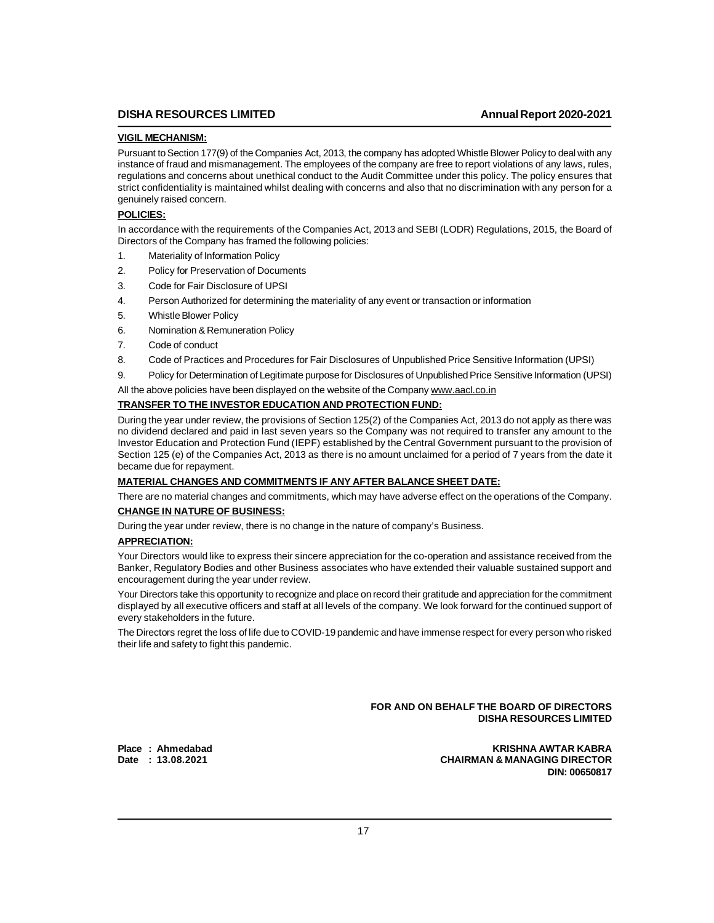### **VIGIL MECHANISM:**

Pursuant to Section 177(9) of the Companies Act, 2013, the company has adopted Whistle Blower Policy to deal with any instance of fraud and mismanagement. The employees of the company are free to report violations of any laws, rules, regulations and concerns about unethical conduct to the Audit Committee under this policy. The policy ensures that strict confidentiality is maintained whilst dealing with concerns and also that no discrimination with any person for a genuinely raised concern.

## **POLICIES:**

In accordance with the requirements of the Companies Act, 2013 and SEBI (LODR) Regulations, 2015, the Board of Directors of the Company has framed the following policies:

- 1. Materiality of Information Policy
- 2. Policy for Preservation of Documents
- 3. Code for Fair Disclosure of UPSI
- 4. Person Authorized for determining the materiality of any event or transaction or information
- 5. Whistle Blower Policy
- 6. Nomination & Remuneration Policy
- 7. Code of conduct
- 8. Code of Practices and Procedures for Fair Disclosures of Unpublished Price Sensitive Information (UPSI)
- 9. Policy for Determination of Legitimate purpose for Disclosures of Unpublished Price Sensitive Information (UPSI)

All the above policies have been displayed on the website of the Company [www.aacl.co.in](http://www.aacl.co.in)

## **TRANSFER TO THE INVESTOR EDUCATION AND PROTECTION FUND:**

During the year under review, the provisions of Section 125(2) of the Companies Act, 2013 do not apply as there was no dividend declared and paid in last seven years so the Company was not required to transfer any amount to the Investor Education and Protection Fund (IEPF) established by the Central Government pursuant to the provision of Section 125 (e) of the Companies Act, 2013 as there is no amount unclaimed for a period of 7 years from the date it became due for repayment.

### **MATERIAL CHANGES AND COMMITMENTS IF ANY AFTER BALANCE SHEET DATE:**

There are no material changes and commitments, which may have adverse effect on the operations of the Company. **CHANGE IN NATURE OF BUSINESS:**

During the year under review, there is no change in the nature of company's Business.

#### **APPRECIATION:**

Your Directors would like to express their sincere appreciation for the co-operation and assistance received from the Banker, Regulatory Bodies and other Business associates who have extended their valuable sustained support and encouragement during the year under review.

Your Directors take this opportunity to recognize and place on record their gratitude and appreciation for the commitment displayed by all executive officers and staff at all levels of the company. We look forward for the continued support of every stakeholders in the future.

The Directors regret the loss of life due to COVID-19 pandemic and have immense respect for every person who risked their life and safety to fight this pandemic.

> **FOR AND ON BEHALF THE BOARD OF DIRECTORS DISHA RESOURCES LIMITED**

**Place : Ahmedabad KRISHNA AWTAR KABRA Date : 13.08.2021 CHAIRMAN & MANAGING DIRECTOR DIN: 00650817**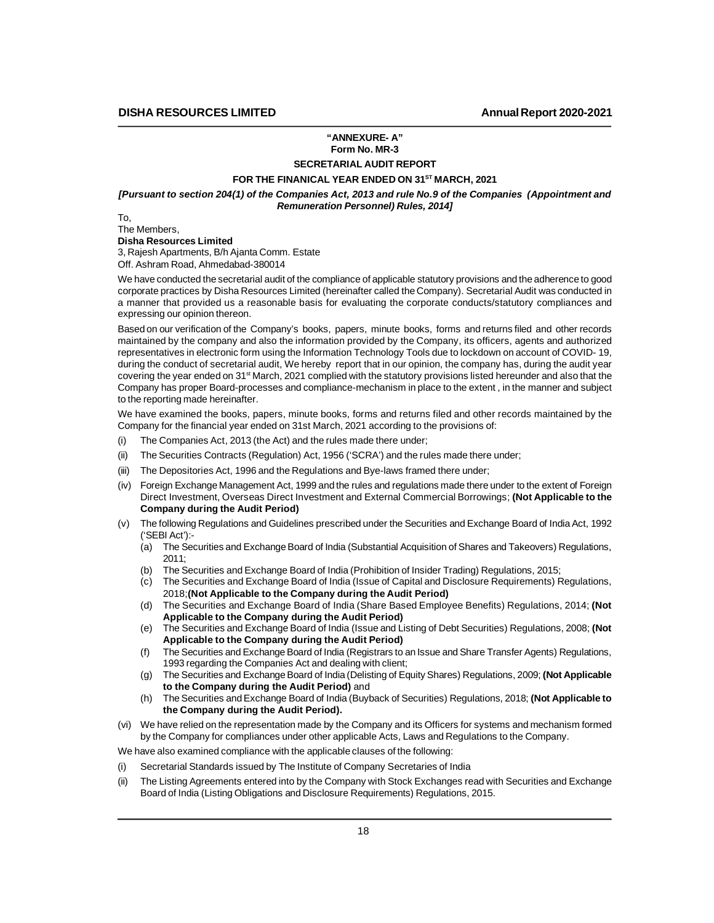#### **"ANNEXURE- A" Form No. MR-3 SECRETARIAL AUDIT REPORT**

## **FOR THE FINANICAL YEAR ENDED ON 31ST MARCH, 2021**

*[Pursuant to section 204(1) of the Companies Act, 2013 and rule No.9 of the Companies (Appointment and Remuneration Personnel) Rules, 2014]*

To,

The Members, **Disha Resources Limited** 3, Rajesh Apartments, B/h Ajanta Comm. Estate Off. Ashram Road, Ahmedabad-380014

We have conducted the secretarial audit of the compliance of applicable statutory provisions and the adherence to good corporate practices by Disha Resources Limited (hereinafter called the Company). Secretarial Audit was conducted in a manner that provided us a reasonable basis for evaluating the corporate conducts/statutory compliances and expressing our opinion thereon.

Based on our verification of the Company's books, papers, minute books, forms and returns filed and other records maintained by the company and also the information provided by the Company, its officers, agents and authorized representatives in electronic form using the Information Technology Tools due to lockdown on account of COVID- 19, during the conduct of secretarial audit, We hereby report that in our opinion, the company has, during the audit year covering the year ended on 31st March, 2021 complied with the statutory provisions listed hereunder and also that the Company has proper Board-processes and compliance-mechanism in place to the extent , in the manner and subject to the reporting made hereinafter.

We have examined the books, papers, minute books, forms and returns filed and other records maintained by the Company for the financial year ended on 31st March, 2021 according to the provisions of:

- (i) The Companies Act, 2013 (the Act) and the rules made there under;
- (ii) The Securities Contracts (Regulation) Act, 1956 ('SCRA') and the rules made there under;
- (iii) The Depositories Act, 1996 and the Regulations and Bye-laws framed there under;
- (iv) Foreign Exchange Management Act, 1999 and the rules and regulations made there under to the extent of Foreign Direct Investment, Overseas Direct Investment and External Commercial Borrowings; **(Not Applicable to the Company during the Audit Period)**
- (v) The following Regulations and Guidelines prescribed under the Securities and Exchange Board of India Act, 1992 ('SEBI Act'):-
	- (a) The Securities and Exchange Board of India (Substantial Acquisition of Shares and Takeovers) Regulations, 2011;
	- (b) The Securities and Exchange Board of India (Prohibition of Insider Trading) Regulations, 2015;
	- (c) The Securities and Exchange Board of India (Issue of Capital and Disclosure Requirements) Regulations, 2018;**(Not Applicable to the Company during the Audit Period)**
	- (d) The Securities and Exchange Board of India (Share Based Employee Benefits) Regulations, 2014; **(Not Applicable to the Company during the Audit Period)**
	- (e) The Securities and Exchange Board of India (Issue and Listing of Debt Securities) Regulations, 2008; **(Not Applicable to the Company during the Audit Period)**
	- (f) The Securities and Exchange Board of India (Registrars to an Issue and Share Transfer Agents) Regulations, 1993 regarding the Companies Act and dealing with client;
	- (g) The Securities and Exchange Board of India (Delisting of Equity Shares) Regulations, 2009; **(Not Applicable to the Company during the Audit Period)** and
	- (h) The Securities and Exchange Board of India (Buyback of Securities) Regulations, 2018; **(Not Applicable to the Company during the Audit Period).**
- (vi) We have relied on the representation made by the Company and its Officers for systems and mechanism formed by the Company for compliances under other applicable Acts, Laws and Regulations to the Company.

We have also examined compliance with the applicable clauses of the following:

- (i) Secretarial Standards issued by The Institute of Company Secretaries of India
- (ii) The Listing Agreements entered into by the Company with Stock Exchanges read with Securities and Exchange Board of India (Listing Obligations and Disclosure Requirements) Regulations, 2015.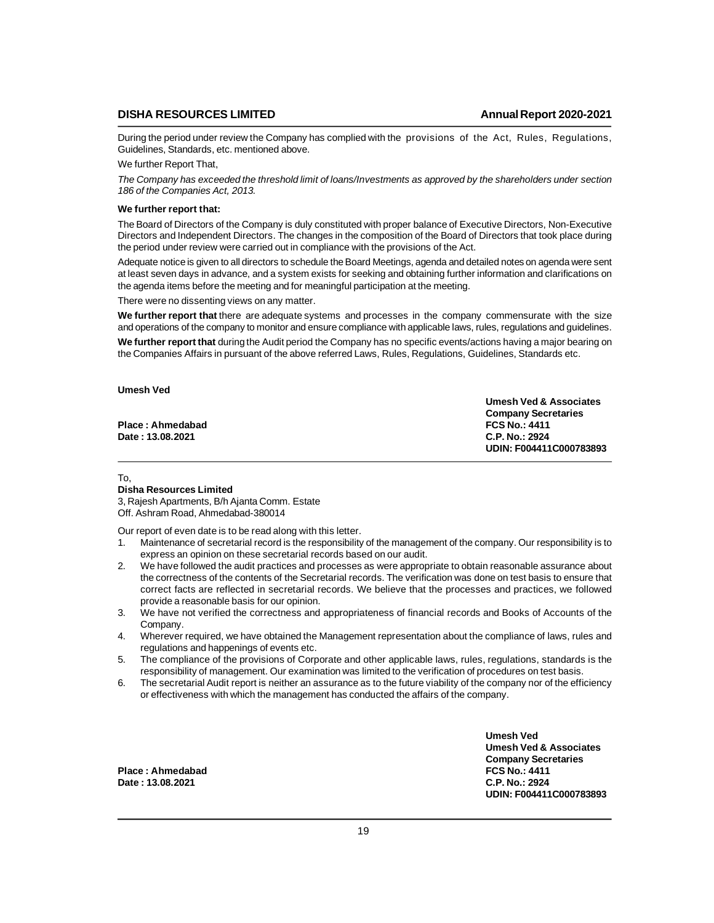During the period under review the Company has complied with the provisions of the Act, Rules, Regulations, Guidelines, Standards, etc. mentioned above.

We further Report That,

*The Company has exceeded the threshold limit of loans/Investments as approved by the shareholders under section 186 of the Companies Act, 2013.*

#### **We further report that:**

The Board of Directors of the Company is duly constituted with proper balance of Executive Directors, Non-Executive Directors and Independent Directors. The changes in the composition of the Board of Directors that took place during the period under review were carried out in compliance with the provisions of the Act.

Adequate notice is given to all directors to schedule the Board Meetings, agenda and detailed notes on agenda were sent at least seven days in advance, and a system exists for seeking and obtaining further information and clarifications on the agenda items before the meeting and for meaningful participation at the meeting.

There were no dissenting views on any matter.

**We further report that** there are adequate systems and processes in the company commensurate with the size and operations of the company to monitor and ensure compliance with applicable laws, rules, regulations and guidelines.

**We further report that** during the Audit period the Company has no specific events/actions having a major bearing on the Companies Affairs in pursuant of the above referred Laws, Rules, Regulations, Guidelines, Standards etc.

**Umesh Ved**

|                  | Umesh Ved & Associates         |
|------------------|--------------------------------|
|                  | <b>Company Secretaries</b>     |
| Place: Ahmedabad | <b>FCS No.: 4411</b>           |
| Date: 13.08.2021 | C.P. No.: 2924                 |
|                  | <b>UDIN: F004411C000783893</b> |

To,

### **Disha Resources Limited**

3, Rajesh Apartments, B/h Ajanta Comm. Estate Off. Ashram Road, Ahmedabad-380014

Our report of even date is to be read along with this letter.

- 1. Maintenance of secretarial record is the responsibility of the management of the company. Our responsibility is to express an opinion on these secretarial records based on our audit.
- 2. We have followed the audit practices and processes as were appropriate to obtain reasonable assurance about the correctness of the contents of the Secretarial records. The verification was done on test basis to ensure that correct facts are reflected in secretarial records. We believe that the processes and practices, we followed provide a reasonable basis for our opinion.
- 3. We have not verified the correctness and appropriateness of financial records and Books of Accounts of the Company.
- 4. Wherever required, we have obtained the Management representation about the compliance of laws, rules and regulations and happenings of events etc.
- 5. The compliance of the provisions of Corporate and other applicable laws, rules, regulations, standards is the responsibility of management. Our examination was limited to the verification of procedures on test basis.
- 6. The secretarial Audit report is neither an assurance as to the future viability of the company nor of the efficiency or effectiveness with which the management has conducted the affairs of the company.

**Place : Ahmedabad FCS No.: 4411 Date : 13.08.2021 C.P. No.: 2924**

**Umesh Ved Umesh Ved & Associates Company Secretaries UDIN: F004411C000783893**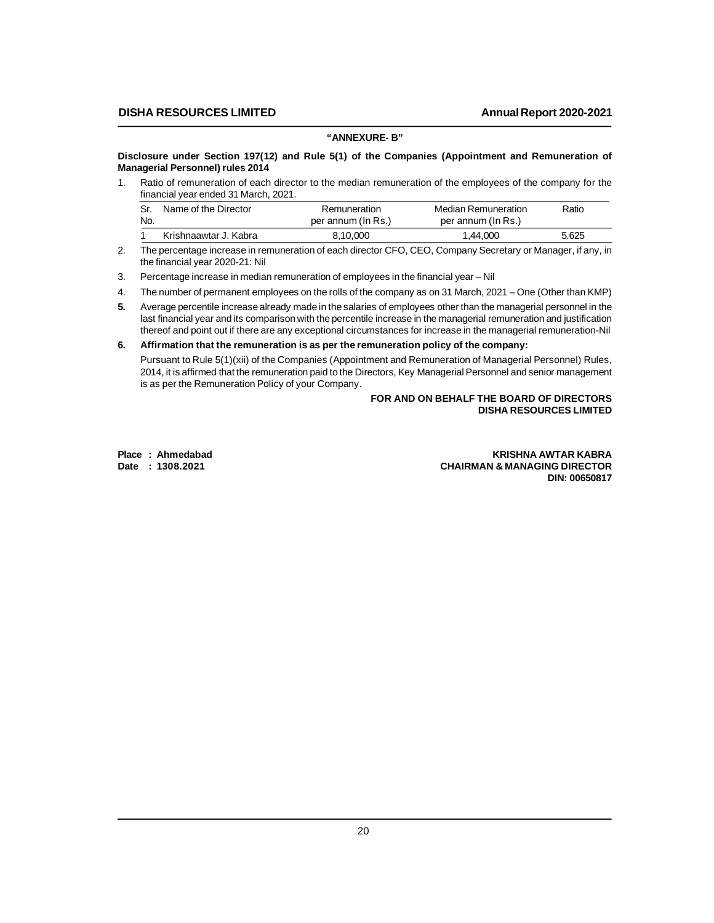## **"ANNEXURE- B"**

### **Disclosure under Section 197(12) and Rule 5(1) of the Companies (Appointment and Remuneration of Managerial Personnel) rules 2014**

1. Ratio of remuneration of each director to the median remuneration of the employees of the company for the financial year ended 31 March, 2021.

| Sr.<br>No. | Name of the Director  | Remuneration<br>per annum (In Rs.) | Median Remuneration<br>per annum (In Rs.) | Ratio |
|------------|-----------------------|------------------------------------|-------------------------------------------|-------|
|            | Krishnaawtar J. Kabra | 8.10.000                           | 1.44.000                                  | 5.625 |

- 2. The percentage increase in remuneration of each director CFO, CEO, Company Secretary or Manager, if any, in the financial year 2020-21: Nil
- 3. Percentage increase in median remuneration of employees in the financial year Nil
- 4. The number of permanent employees on the rolls of the company as on 31 March, 2021 One (Other than KMP)
- **5.** Average percentile increase already made in the salaries of employees other than the managerial personnel in the last financial year and its comparison with the percentile increase in the managerial remuneration and justification thereof and point out if there are any exceptional circumstances for increase in the managerial remuneration-Nil
- **6. Affirmation that the remuneration is as per the remuneration policy of the company:**

Pursuant to Rule 5(1)(xii) of the Companies (Appointment and Remuneration of Managerial Personnel) Rules, 2014, it is affirmed that the remuneration paid to the Directors, Key Managerial Personnel and senior management is as per the Remuneration Policy of your Company.

## **FOR AND ON BEHALF THE BOARD OF DIRECTORS DISHA RESOURCES LIMITED**

**Place : Ahmedabad KRISHNA AWTAR KABRA Date : 1308.2021 CHAIRMAN & MANAGING DIRECTOR DIN: 00650817**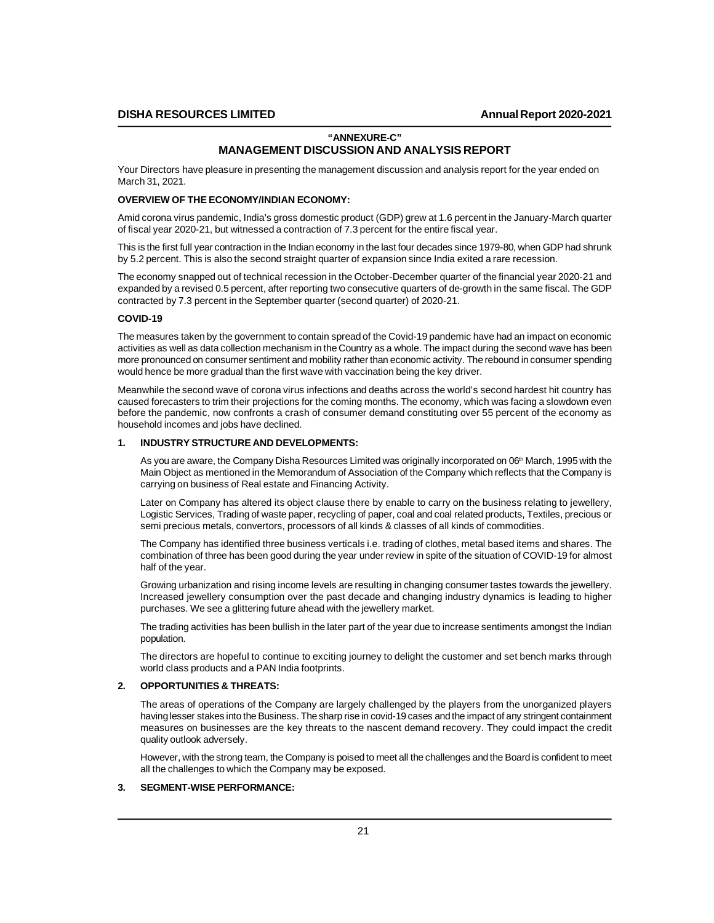**"ANNEXURE-C"**

## **MANAGEMENT DISCUSSION AND ANALYSIS REPORT**

Your Directors have pleasure in presenting the management discussion and analysis report for the year ended on March 31, 2021.

#### **OVERVIEW OF THE ECONOMY/INDIAN ECONOMY:**

Amid corona virus pandemic, India's gross domestic product (GDP) grew at 1.6 percent in the January-March quarter of fiscal year 2020-21, but witnessed a contraction of 7.3 percent for the entire fiscal year.

This is the first full year contraction in the Indian economy in the last four decades since 1979-80, when GDP had shrunk by 5.2 percent. This is also the second straight quarter of expansion since India exited a rare recession.

The economy snapped out of technical recession in the October-December quarter of the financial year 2020-21 and expanded by a revised 0.5 percent, after reporting two consecutive quarters of de-growth in the same fiscal. The GDP contracted by 7.3 percent in the September quarter (second quarter) of 2020-21.

### **COVID-19**

The measures taken by the government to contain spread of the Covid-19 pandemic have had an impact on economic activities as well as data collection mechanism in the Country as a whole. The impact during the second wave has been more pronounced on consumer sentiment and mobility rather than economic activity. The rebound in consumer spending would hence be more gradual than the first wave with vaccination being the key driver.

Meanwhile the second wave of corona virus infections and deaths across the world's second hardest hit country has caused forecasters to trim their projections for the coming months. The economy, which was facing a slowdown even before the pandemic, now confronts a crash of consumer demand constituting over 55 percent of the economy as household incomes and jobs have declined.

#### **1. INDUSTRY STRUCTURE AND DEVELOPMENTS:**

As you are aware, the Company Disha Resources Limited was originally incorporated on 06<sup>th</sup> March, 1995 with the Main Object as mentioned in the Memorandum of Association of the Company which reflects that the Company is carrying on business of Real estate and Financing Activity.

Later on Company has altered its object clause there by enable to carry on the business relating to jewellery, Logistic Services, Trading of waste paper, recycling of paper, coal and coal related products, Textiles, precious or semi precious metals, convertors, processors of all kinds & classes of all kinds of commodities.

The Company has identified three business verticals i.e. trading of clothes, metal based items and shares. The combination of three has been good during the year under review in spite of the situation of COVID-19 for almost half of the year.

Growing urbanization and rising income levels are resulting in changing consumer tastes towards the jewellery. Increased jewellery consumption over the past decade and changing industry dynamics is leading to higher purchases. We see a glittering future ahead with the jewellery market.

The trading activities has been bullish in the later part of the year due to increase sentiments amongst the Indian population.

The directors are hopeful to continue to exciting journey to delight the customer and set bench marks through world class products and a PAN India footprints.

## **2. OPPORTUNITIES & THREATS:**

The areas of operations of the Company are largely challenged by the players from the unorganized players having lesser stakes into the Business. The sharp rise in covid-19 cases and the impact of any stringent containment measures on businesses are the key threats to the nascent demand recovery. They could impact the credit quality outlook adversely.

However, with the strong team, the Company is poised to meet all the challenges and the Board is confident to meet all the challenges to which the Company may be exposed.

### **3. SEGMENT-WISE PERFORMANCE:**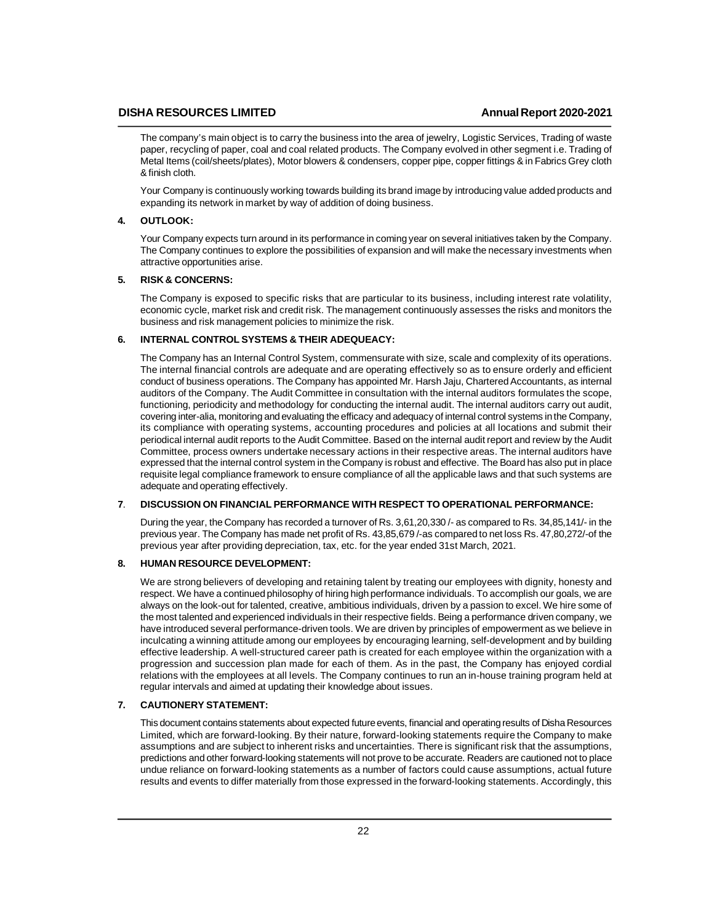The company's main object is to carry the business into the area of jewelry, Logistic Services, Trading of waste paper, recycling of paper, coal and coal related products. The Company evolved in other segment i.e. Trading of Metal Items (coil/sheets/plates), Motor blowers & condensers, copper pipe, copper fittings & in Fabrics Grey cloth & finish cloth.

Your Company is continuously working towards building its brand image by introducing value added products and expanding its network in market by way of addition of doing business.

#### **4. OUTLOOK:**

Your Company expects turn around in its performance in coming year on several initiatives taken by the Company. The Company continues to explore the possibilities of expansion and will make the necessary investments when attractive opportunities arise.

#### **5. RISK & CONCERNS:**

The Company is exposed to specific risks that are particular to its business, including interest rate volatility, economic cycle, market risk and credit risk. The management continuously assesses the risks and monitors the business and risk management policies to minimize the risk.

# **6. INTERNAL CONTROL SYSTEMS & THEIR ADEQUEACY:**

The Company has an Internal Control System, commensurate with size, scale and complexity of its operations. The internal financial controls are adequate and are operating effectively so as to ensure orderly and efficient conduct of business operations. The Company has appointed Mr. Harsh Jaju, Chartered Accountants, as internal auditors of the Company. The Audit Committee in consultation with the internal auditors formulates the scope, functioning, periodicity and methodology for conducting the internal audit. The internal auditors carry out audit, covering inter-alia, monitoring and evaluating the efficacy and adequacy of internal control systems in the Company, its compliance with operating systems, accounting procedures and policies at all locations and submit their periodical internal audit reports to the Audit Committee. Based on the internal audit report and review by the Audit Committee, process owners undertake necessary actions in their respective areas. The internal auditors have expressed that the internal control system in the Company is robust and effective. The Board has also put in place requisite legal compliance framework to ensure compliance of all the applicable laws and that such systems are adequate and operating effectively.

## **7**. **DISCUSSION ON FINANCIAL PERFORMANCE WITH RESPECT TO OPERATIONAL PERFORMANCE:**

During the year, the Company has recorded a turnover of Rs. 3,61,20,330 /- as compared to Rs. 34,85,141/- in the previous year. The Company has made net profit of Rs. 43,85,679 /-as compared to net loss Rs. 47,80,272/-of the previous year after providing depreciation, tax, etc. for the year ended 31st March, 2021.

# **8. HUMAN RESOURCE DEVELOPMENT:**

We are strong believers of developing and retaining talent by treating our employees with dignity, honesty and respect. We have a continued philosophy of hiring high performance individuals. To accomplish our goals, we are always on the look-out for talented, creative, ambitious individuals, driven by a passion to excel. We hire some of the most talented and experienced individuals in their respective fields. Being a performance driven company, we have introduced several performance-driven tools. We are driven by principles of empowerment as we believe in inculcating a winning attitude among our employees by encouraging learning, self-development and by building effective leadership. A well-structured career path is created for each employee within the organization with a progression and succession plan made for each of them. As in the past, the Company has enjoyed cordial relations with the employees at all levels. The Company continues to run an in-house training program held at regular intervals and aimed at updating their knowledge about issues.

#### **7. CAUTIONERY STATEMENT:**

This document contains statements about expected future events, financial and operating results of Disha Resources Limited, which are forward-looking. By their nature, forward-looking statements require the Company to make assumptions and are subject to inherent risks and uncertainties. There is significant risk that the assumptions, predictions and other forward-looking statements will not prove to be accurate. Readers are cautioned not to place undue reliance on forward-looking statements as a number of factors could cause assumptions, actual future results and events to differ materially from those expressed in the forward-looking statements. Accordingly, this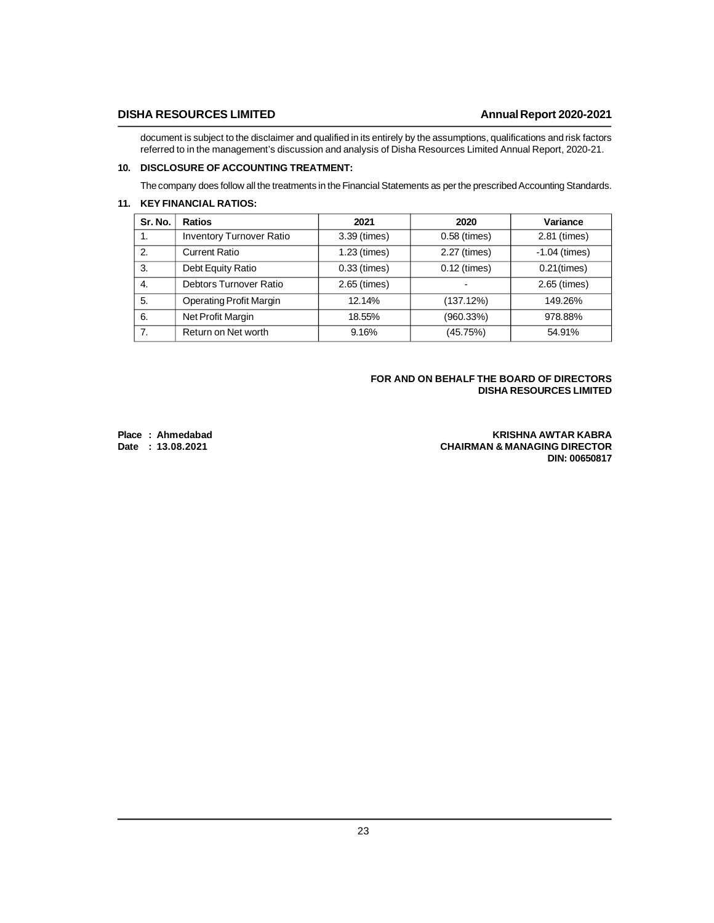document is subject to the disclaimer and qualified in its entirely by the assumptions, qualifications and risk factors referred to in the management's discussion and analysis of Disha Resources Limited Annual Report, 2020-21.

## **10. DISCLOSURE OF ACCOUNTING TREATMENT:**

The company does follow all the treatments in the Financial Statements as per the prescribed Accounting Standards.

#### **11. KEY FINANCIAL RATIOS:**

| Sr. No.             | <b>Ratios</b>                   | 2021           | 2020           | Variance       |
|---------------------|---------------------------------|----------------|----------------|----------------|
| 1.                  | <b>Inventory Turnover Ratio</b> | 3.39 (times)   | $0.58$ (times) | 2.81 (times)   |
| Current Ratio<br>2. |                                 | $1.23$ (times) | 2.27 (times)   |                |
| 3.                  | Debt Equity Ratio               | $0.33$ (times) | $0.12$ (times) | $0.21$ (times) |
| 4.                  | Debtors Turnover Ratio          | 2.65 (times)   |                | 2.65 (times)   |
| 5.                  | <b>Operating Profit Margin</b>  | 12.14%         | (137.12%)      | 149.26%        |
| 6.                  | Net Profit Margin               | 18.55%         | (960.33%)      | 978.88%        |
| 7.                  | Return on Net worth             | 9.16%          | (45.75%)       | 54.91%         |

# **FOR AND ON BEHALF THE BOARD OF DIRECTORS DISHA RESOURCES LIMITED**

**Place : Ahmedabad KRISHNA AWTAR KABRA CHAIRMAN & MANAGING DIRECTOR DIN: 00650817**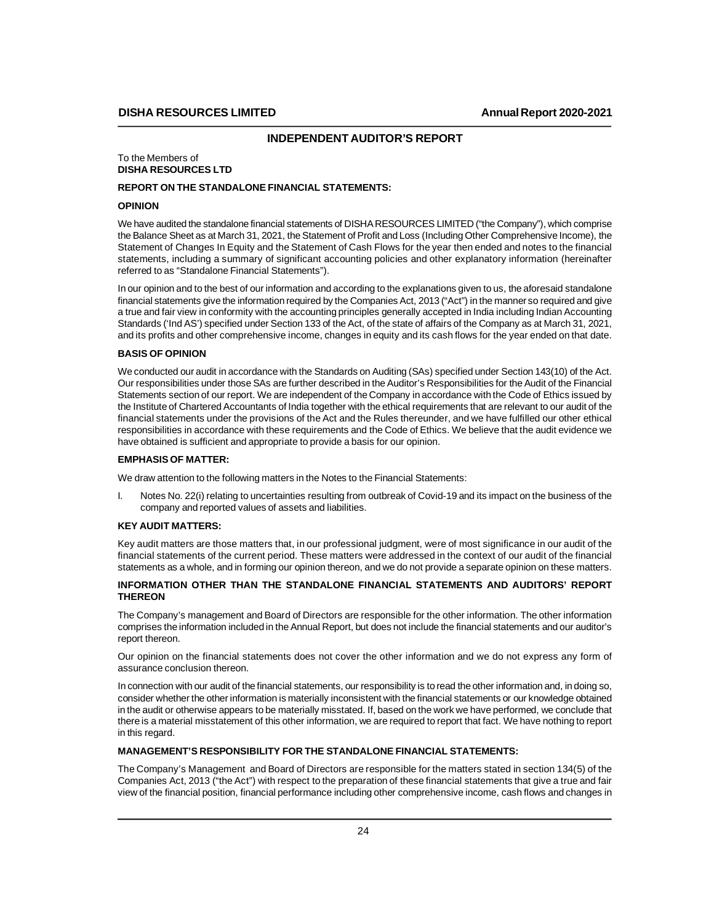## **INDEPENDENT AUDITOR'S REPORT**

#### To the Members of **DISHA RESOURCES LTD**

## **REPORT ON THE STANDALONE FINANCIAL STATEMENTS:**

#### **OPINION**

We have audited the standalone financial statements of DISHA RESOURCES LIMITED ("the Company"), which comprise the Balance Sheet as at March 31, 2021, the Statement of Profit and Loss (Including Other Comprehensive Income), the Statement of Changes In Equity and the Statement of Cash Flows for the year then ended and notes to the financial statements, including a summary of significant accounting policies and other explanatory information (hereinafter referred to as "Standalone Financial Statements").

In our opinion and to the best of our information and according to the explanations given to us, the aforesaid standalone financial statements give the information required by the Companies Act, 2013 ("Act") in the manner so required and give a true and fair view in conformity with the accounting principles generally accepted in India including Indian Accounting Standards ('Ind AS') specified under Section 133 of the Act, of the state of affairs of the Company as at March 31, 2021, and its profits and other comprehensive income, changes in equity and its cash flows for the year ended on that date.

## **BASIS OF OPINION**

We conducted our audit in accordance with the Standards on Auditing (SAs) specified under Section 143(10) of the Act. Our responsibilities under those SAs are further described in the Auditor's Responsibilities for the Audit of the Financial Statements section of our report. We are independent of the Company in accordance with the Code of Ethics issued by the Institute of Chartered Accountants of India together with the ethical requirements that are relevant to our audit of the financial statements under the provisions of the Act and the Rules thereunder, and we have fulfilled our other ethical responsibilities in accordance with these requirements and the Code of Ethics. We believe that the audit evidence we have obtained is sufficient and appropriate to provide a basis for our opinion.

#### **EMPHASIS OF MATTER:**

We draw attention to the following matters in the Notes to the Financial Statements:

I. Notes No. 22(i) relating to uncertainties resulting from outbreak of Covid-19 and its impact on the business of the company and reported values of assets and liabilities.

### **KEY AUDIT MATTERS:**

Key audit matters are those matters that, in our professional judgment, were of most significance in our audit of the financial statements of the current period. These matters were addressed in the context of our audit of the financial statements as a whole, and in forming our opinion thereon, and we do not provide a separate opinion on these matters.

#### **INFORMATION OTHER THAN THE STANDALONE FINANCIAL STATEMENTS AND AUDITORS' REPORT THEREON**

The Company's management and Board of Directors are responsible for the other information. The other information comprises the information included in the Annual Report, but does not include the financial statements and our auditor's report thereon.

Our opinion on the financial statements does not cover the other information and we do not express any form of assurance conclusion thereon.

In connection with our audit of the financial statements, our responsibility is to read the other information and, in doing so, consider whether the other information is materially inconsistent with the financial statements or our knowledge obtained in the audit or otherwise appears to be materially misstated. If, based on the work we have performed, we conclude that there is a material misstatement of this other information, we are required to report that fact. We have nothing to report in this regard.

#### **MANAGEMENT'S RESPONSIBILITY FOR THE STANDALONE FINANCIAL STATEMENTS:**

The Company's Management and Board of Directors are responsible for the matters stated in section 134(5) of the Companies Act, 2013 ("the Act") with respect to the preparation of these financial statements that give a true and fair view of the financial position, financial performance including other comprehensive income, cash flows and changes in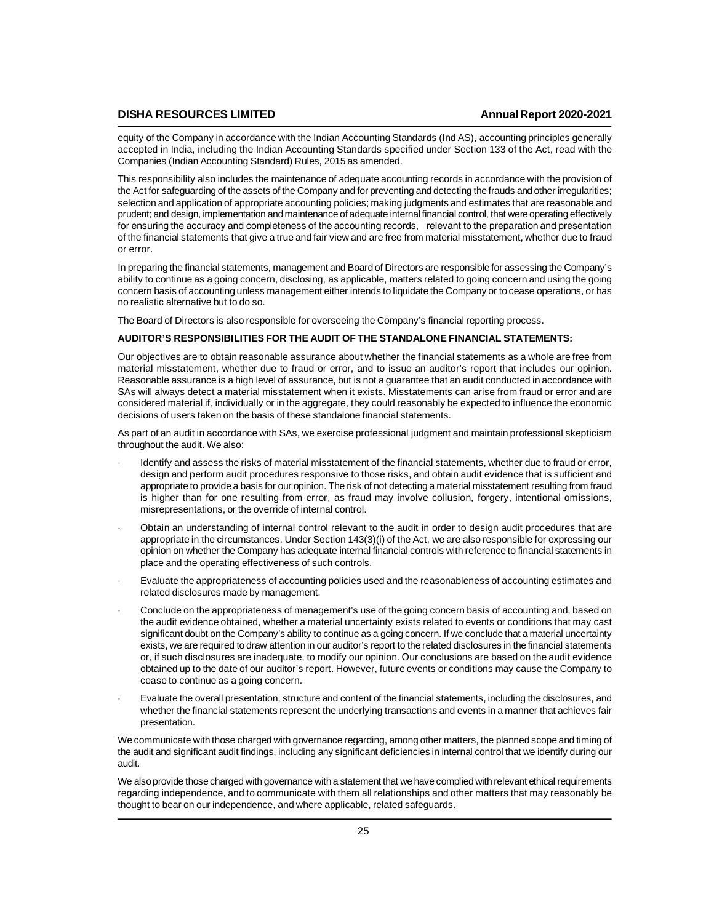equity of the Company in accordance with the Indian Accounting Standards (Ind AS), accounting principles generally accepted in India, including the Indian Accounting Standards specified under Section 133 of the Act, read with the Companies (Indian Accounting Standard) Rules, 2015 as amended.

This responsibility also includes the maintenance of adequate accounting records in accordance with the provision of the Act for safeguarding of the assets of the Company and for preventing and detecting the frauds and other irregularities; selection and application of appropriate accounting policies; making judgments and estimates that are reasonable and prudent; and design, implementation and maintenance of adequate internal financial control, that were operating effectively for ensuring the accuracy and completeness of the accounting records, relevant to the preparation and presentation of the financial statements that give a true and fair view and are free from material misstatement, whether due to fraud or error.

In preparing the financial statements, management and Board of Directors are responsible for assessing the Company's ability to continue as a going concern, disclosing, as applicable, matters related to going concern and using the going concern basis of accounting unless management either intends to liquidate the Company or to cease operations, or has no realistic alternative but to do so.

The Board of Directors is also responsible for overseeing the Company's financial reporting process.

## **AUDITOR'S RESPONSIBILITIES FOR THE AUDIT OF THE STANDALONE FINANCIAL STATEMENTS:**

Our objectives are to obtain reasonable assurance about whether the financial statements as a whole are free from material misstatement, whether due to fraud or error, and to issue an auditor's report that includes our opinion. Reasonable assurance is a high level of assurance, but is not a guarantee that an audit conducted in accordance with SAs will always detect a material misstatement when it exists. Misstatements can arise from fraud or error and are considered material if, individually or in the aggregate, they could reasonably be expected to influence the economic decisions of users taken on the basis of these standalone financial statements.

As part of an audit in accordance with SAs, we exercise professional judgment and maintain professional skepticism throughout the audit. We also:

- · Identify and assess the risks of material misstatement of the financial statements, whether due to fraud or error, design and perform audit procedures responsive to those risks, and obtain audit evidence that is sufficient and appropriate to provide a basis for our opinion. The risk of not detecting a material misstatement resulting from fraud is higher than for one resulting from error, as fraud may involve collusion, forgery, intentional omissions, misrepresentations, or the override of internal control.
- · Obtain an understanding of internal control relevant to the audit in order to design audit procedures that are appropriate in the circumstances. Under Section 143(3)(i) of the Act, we are also responsible for expressing our opinion on whether the Company has adequate internal financial controls with reference to financial statements in place and the operating effectiveness of such controls.
- · Evaluate the appropriateness of accounting policies used and the reasonableness of accounting estimates and related disclosures made by management.
- · Conclude on the appropriateness of management's use of the going concern basis of accounting and, based on the audit evidence obtained, whether a material uncertainty exists related to events or conditions that may cast significant doubt on the Company's ability to continue as a going concern. If we conclude that a material uncertainty exists, we are required to draw attention in our auditor's report to the related disclosures in the financial statements or, if such disclosures are inadequate, to modify our opinion. Our conclusions are based on the audit evidence obtained up to the date of our auditor's report. However, future events or conditions may cause the Company to cease to continue as a going concern.
- · Evaluate the overall presentation, structure and content of the financial statements, including the disclosures, and whether the financial statements represent the underlying transactions and events in a manner that achieves fair presentation.

We communicate with those charged with governance regarding, among other matters, the planned scope and timing of the audit and significant audit findings, including any significant deficiencies in internal control that we identify during our audit.

We also provide those charged with governance with a statement that we have complied with relevant ethical requirements regarding independence, and to communicate with them all relationships and other matters that may reasonably be thought to bear on our independence, and where applicable, related safeguards.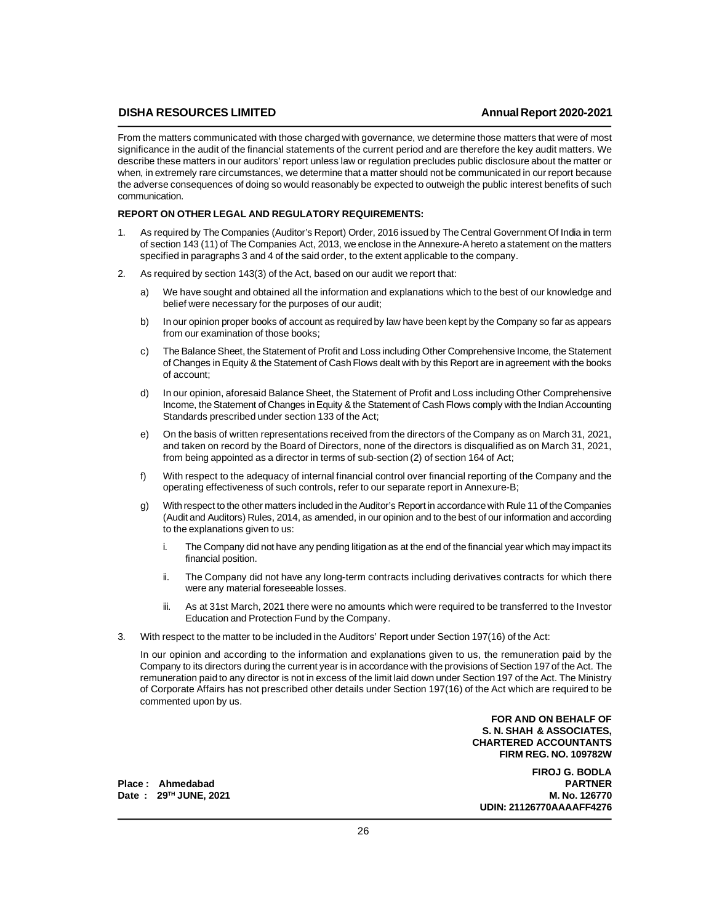From the matters communicated with those charged with governance, we determine those matters that were of most significance in the audit of the financial statements of the current period and are therefore the key audit matters. We describe these matters in our auditors' report unless law or regulation precludes public disclosure about the matter or when, in extremely rare circumstances, we determine that a matter should not be communicated in our report because the adverse consequences of doing so would reasonably be expected to outweigh the public interest benefits of such communication.

#### **REPORT ON OTHER LEGAL AND REGULATORY REQUIREMENTS:**

- 1. As required by The Companies (Auditor's Report) Order, 2016 issued by The Central Government Of India in term of section 143 (11) of The Companies Act, 2013, we enclose in the Annexure-A hereto a statement on the matters specified in paragraphs 3 and 4 of the said order, to the extent applicable to the company.
- 2. As required by section 143(3) of the Act, based on our audit we report that:
	- a) We have sought and obtained all the information and explanations which to the best of our knowledge and belief were necessary for the purposes of our audit;
	- b) In our opinion proper books of account as required by law have been kept by the Company so far as appears from our examination of those books;
	- c) The Balance Sheet, the Statement of Profit and Loss including Other Comprehensive Income, the Statement of Changes in Equity & the Statement of Cash Flows dealt with by this Report are in agreement with the books of account;
	- d) In our opinion, aforesaid Balance Sheet, the Statement of Profit and Loss including Other Comprehensive Income, the Statement of Changes in Equity & the Statement of Cash Flows comply with the Indian Accounting Standards prescribed under section 133 of the Act;
	- e) On the basis of written representations received from the directors of the Company as on March 31, 2021, and taken on record by the Board of Directors, none of the directors is disqualified as on March 31, 2021, from being appointed as a director in terms of sub-section (2) of section 164 of Act;
	- f) With respect to the adequacy of internal financial control over financial reporting of the Company and the operating effectiveness of such controls, refer to our separate report in Annexure-B;
	- g) With respect to the other matters included in the Auditor's Report in accordance with Rule 11 of the Companies (Audit and Auditors) Rules, 2014, as amended, in our opinion and to the best of our information and according to the explanations given to us:
		- i. The Company did not have any pending litigation as at the end of the financial year which may impact its financial position.
		- ii. The Company did not have any long-term contracts including derivatives contracts for which there were any material foreseeable losses.
		- iii. As at 31st March, 2021 there were no amounts which were required to be transferred to the Investor Education and Protection Fund by the Company.
- 3. With respect to the matter to be included in the Auditors' Report under Section 197(16) of the Act:

In our opinion and according to the information and explanations given to us, the remuneration paid by the Company to its directors during the current year is in accordance with the provisions of Section 197 of the Act. The remuneration paid to any director is not in excess of the limit laid down under Section 197 of the Act. The Ministry of Corporate Affairs has not prescribed other details under Section 197(16) of the Act which are required to be commented upon by us.

> **FOR AND ON BEHALF OF S. N. SHAH & ASSOCIATES, CHARTERED ACCOUNTANTS FIRM REG. NO. 109782W**

 $Data: 29<sup>TH</sup>$  JUNE, 2021

 **FIROJ G. BODLA** Place : Ahmedabad **PARTNER**<br>Date : 29™.IUNF 2021 PARTNER **UDIN: 21126770AAAAFF4276**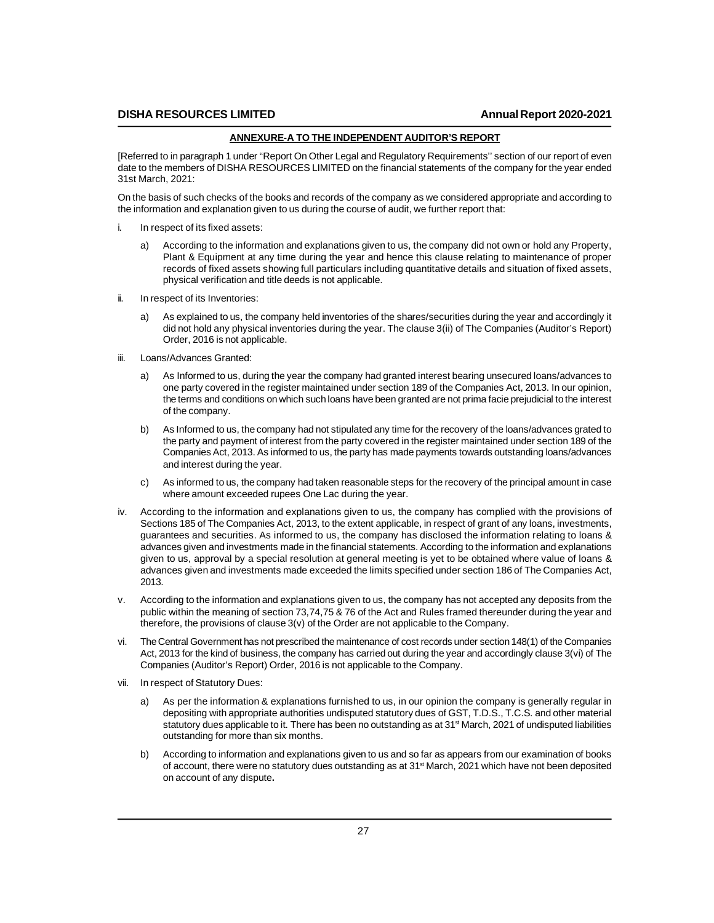### **ANNEXURE-A TO THE INDEPENDENT AUDITOR'S REPORT**

[Referred to in paragraph 1 under "Report On Other Legal and Regulatory Requirements'' section of our report of even date to the members of DISHA RESOURCES LIMITED on the financial statements of the company for the year ended 31st March, 2021:

On the basis of such checks of the books and records of the company as we considered appropriate and according to the information and explanation given to us during the course of audit, we further report that:

- i. In respect of its fixed assets:
	- a) According to the information and explanations given to us, the company did not own or hold any Property, Plant & Equipment at any time during the year and hence this clause relating to maintenance of proper records of fixed assets showing full particulars including quantitative details and situation of fixed assets, physical verification and title deeds is not applicable.
- ii. In respect of its Inventories:
	- As explained to us, the company held inventories of the shares/securities during the year and accordingly it did not hold any physical inventories during the year. The clause 3(ii) of The Companies (Auditor's Report) Order, 2016 is not applicable.
- iii. Loans/Advances Granted:
	- a) As Informed to us, during the year the company had granted interest bearing unsecured loans/advances to one party covered in the register maintained under section 189 of the Companies Act, 2013. In our opinion, the terms and conditions on which such loans have been granted are not prima facie prejudicial to the interest of the company.
	- b) As Informed to us, the company had not stipulated any time for the recovery of the loans/advances grated to the party and payment of interest from the party covered in the register maintained under section 189 of the Companies Act, 2013. As informed to us, the party has made payments towards outstanding loans/advances and interest during the year.
	- c) As informed to us, the company had taken reasonable steps for the recovery of the principal amount in case where amount exceeded rupees One Lac during the year.
- iv. According to the information and explanations given to us, the company has complied with the provisions of Sections 185 of The Companies Act, 2013, to the extent applicable, in respect of grant of any loans, investments, guarantees and securities. As informed to us, the company has disclosed the information relating to loans & advances given and investments made in the financial statements. According to the information and explanations given to us, approval by a special resolution at general meeting is yet to be obtained where value of loans & advances given and investments made exceeded the limits specified under section 186 of The Companies Act, 2013.
- v. According to the information and explanations given to us, the company has not accepted any deposits from the public within the meaning of section 73,74,75 & 76 of the Act and Rules framed thereunder during the year and therefore, the provisions of clause 3(v) of the Order are not applicable to the Company.
- vi. The Central Government has not prescribed the maintenance of cost records under section 148(1) of the Companies Act, 2013 for the kind of business, the company has carried out during the year and accordingly clause 3(vi) of The Companies (Auditor's Report) Order, 2016 is not applicable to the Company.
- vii. In respect of Statutory Dues:
	- a) As per the information & explanations furnished to us, in our opinion the company is generally regular in depositing with appropriate authorities undisputed statutory dues of GST, T.D.S., T.C.S. and other material statutory dues applicable to it. There has been no outstanding as at 31<sup>st</sup> March, 2021 of undisputed liabilities outstanding for more than six months.
	- b) According to information and explanations given to us and so far as appears from our examination of books of account, there were no statutory dues outstanding as at 31<sup>st</sup> March, 2021 which have not been deposited on account of any dispute**.**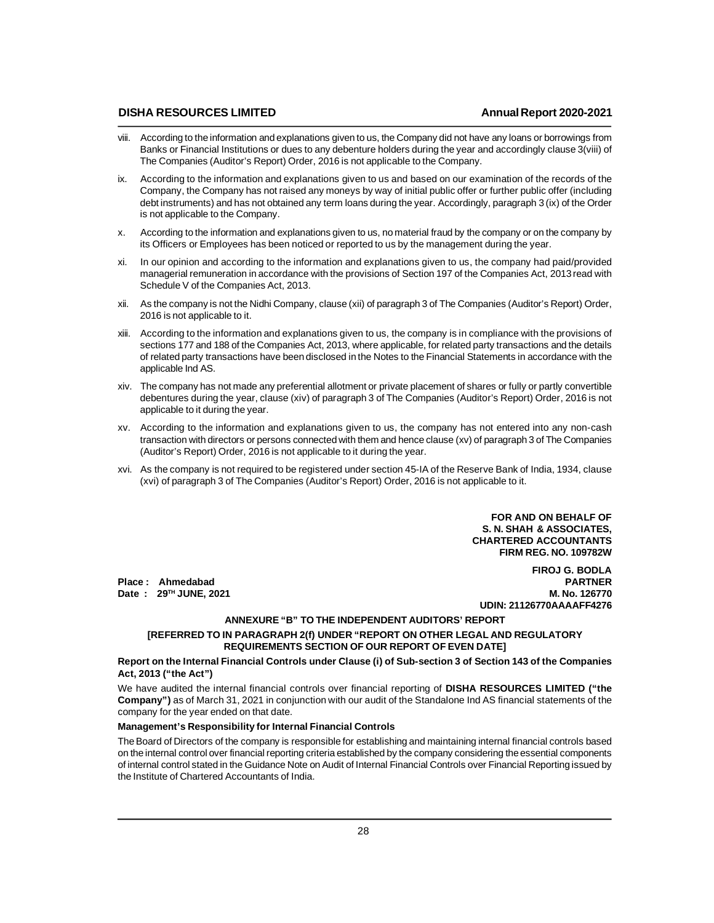- viii. According to the information and explanations given to us, the Company did not have any loans or borrowings from Banks or Financial Institutions or dues to any debenture holders during the year and accordingly clause 3(viii) of The Companies (Auditor's Report) Order, 2016 is not applicable to the Company.
- ix. According to the information and explanations given to us and based on our examination of the records of the Company, the Company has not raised any moneys by way of initial public offer or further public offer (including debt instruments) and has not obtained any term loans during the year. Accordingly, paragraph 3 (ix) of the Order is not applicable to the Company.
- x. According to the information and explanations given to us, no material fraud by the company or on the company by its Officers or Employees has been noticed or reported to us by the management during the year.
- xi. In our opinion and according to the information and explanations given to us, the company had paid/provided managerial remuneration in accordance with the provisions of Section 197 of the Companies Act, 2013 read with Schedule V of the Companies Act, 2013.
- xii. As the company is not the Nidhi Company, clause (xii) of paragraph 3 of The Companies (Auditor's Report) Order, 2016 is not applicable to it.
- xiii. According to the information and explanations given to us, the company is in compliance with the provisions of sections 177 and 188 of the Companies Act, 2013, where applicable, for related party transactions and the details of related party transactions have been disclosed in the Notes to the Financial Statements in accordance with the applicable Ind AS.
- xiv. The company has not made any preferential allotment or private placement of shares or fully or partly convertible debentures during the year, clause (xiv) of paragraph 3 of The Companies (Auditor's Report) Order, 2016 is not applicable to it during the year.
- xv. According to the information and explanations given to us, the company has not entered into any non-cash transaction with directors or persons connected with them and hence clause (xv) of paragraph 3 of The Companies (Auditor's Report) Order, 2016 is not applicable to it during the year.
- xvi. As the company is not required to be registered under section 45-IA of the Reserve Bank of India, 1934, clause (xvi) of paragraph 3 of The Companies (Auditor's Report) Order, 2016 is not applicable to it.

 **FOR AND ON BEHALF OF S. N. SHAH & ASSOCIATES, CHARTERED ACCOUNTANTS FIRM REG. NO. 109782W**

**Place: Ahmedabad** 

 **FIROJ G. BODLA Date : 29TH JUNE, 2021 M. No. 126770 UDIN: 21126770AAAAFF4276**

#### **ANNEXURE "B" TO THE INDEPENDENT AUDITORS' REPORT**

## **[REFERRED TO IN PARAGRAPH 2(f) UNDER "REPORT ON OTHER LEGAL AND REGULATORY REQUIREMENTS SECTION OF OUR REPORT OF EVEN DATE]**

### **Report on the Internal Financial Controls under Clause (i) of Sub-section 3 of Section 143 of the Companies Act, 2013 ("the Act")**

We have audited the internal financial controls over financial reporting of **DISHA RESOURCES LIMITED ("the Company")** as of March 31, 2021 in conjunction with our audit of the Standalone Ind AS financial statements of the company for the year ended on that date.

## **Management's Responsibility for Internal Financial Controls**

The Board of Directors of the company is responsible for establishing and maintaining internal financial controls based on the internal control over financial reporting criteria established by the company considering the essential components of internal control stated in the Guidance Note on Audit of Internal Financial Controls over Financial Reporting issued by the Institute of Chartered Accountants of India.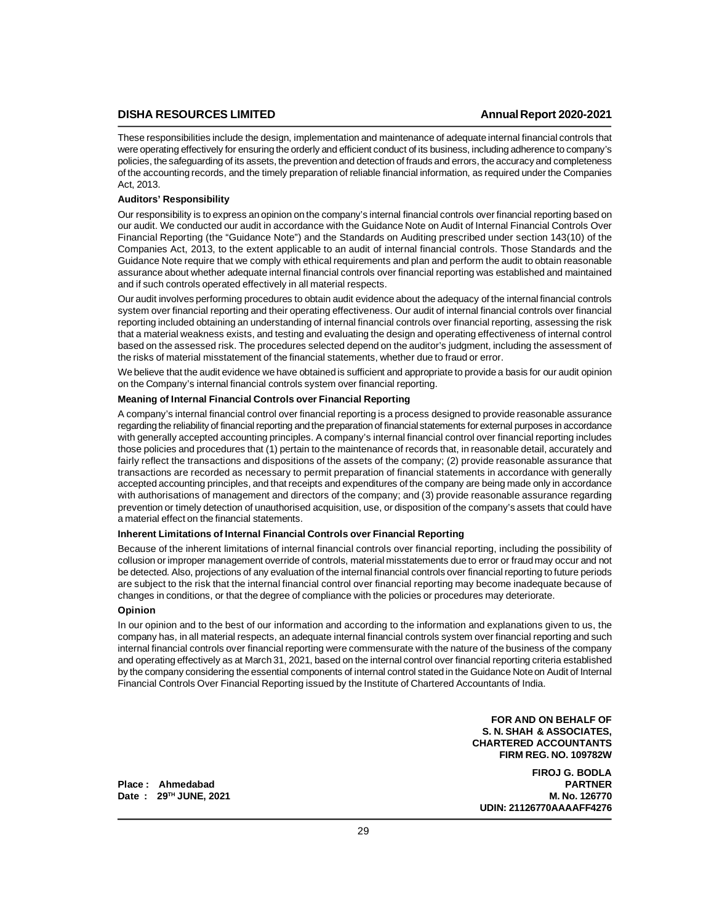These responsibilities include the design, implementation and maintenance of adequate internal financial controls that were operating effectively for ensuring the orderly and efficient conduct of its business, including adherence to company's policies, the safeguarding of its assets, the prevention and detection of frauds and errors, the accuracy and completeness of the accounting records, and the timely preparation of reliable financial information, as required under the Companies Act, 2013.

### **Auditors' Responsibility**

Our responsibility is to express an opinion on the company's internal financial controls over financial reporting based on our audit. We conducted our audit in accordance with the Guidance Note on Audit of Internal Financial Controls Over Financial Reporting (the "Guidance Note") and the Standards on Auditing prescribed under section 143(10) of the Companies Act, 2013, to the extent applicable to an audit of internal financial controls. Those Standards and the Guidance Note require that we comply with ethical requirements and plan and perform the audit to obtain reasonable assurance about whether adequate internal financial controls over financial reporting was established and maintained and if such controls operated effectively in all material respects.

Our audit involves performing procedures to obtain audit evidence about the adequacy of the internal financial controls system over financial reporting and their operating effectiveness. Our audit of internal financial controls over financial reporting included obtaining an understanding of internal financial controls over financial reporting, assessing the risk that a material weakness exists, and testing and evaluating the design and operating effectiveness of internal control based on the assessed risk. The procedures selected depend on the auditor's judgment, including the assessment of the risks of material misstatement of the financial statements, whether due to fraud or error.

We believe that the audit evidence we have obtained is sufficient and appropriate to provide a basis for our audit opinion on the Company's internal financial controls system over financial reporting.

### **Meaning of Internal Financial Controls over Financial Reporting**

A company's internal financial control over financial reporting is a process designed to provide reasonable assurance regarding the reliability of financial reporting and the preparation of financial statements for external purposes in accordance with generally accepted accounting principles. A company's internal financial control over financial reporting includes those policies and procedures that (1) pertain to the maintenance of records that, in reasonable detail, accurately and fairly reflect the transactions and dispositions of the assets of the company; (2) provide reasonable assurance that transactions are recorded as necessary to permit preparation of financial statements in accordance with generally accepted accounting principles, and that receipts and expenditures of the company are being made only in accordance with authorisations of management and directors of the company; and (3) provide reasonable assurance regarding prevention or timely detection of unauthorised acquisition, use, or disposition of the company's assets that could have a material effect on the financial statements.

#### **Inherent Limitations of Internal Financial Controls over Financial Reporting**

Because of the inherent limitations of internal financial controls over financial reporting, including the possibility of collusion or improper management override of controls, material misstatements due to error or fraud may occur and not be detected. Also, projections of any evaluation of the internal financial controls over financial reporting to future periods are subject to the risk that the internal financial control over financial reporting may become inadequate because of changes in conditions, or that the degree of compliance with the policies or procedures may deteriorate.

#### **Opinion**

In our opinion and to the best of our information and according to the information and explanations given to us, the company has, in all material respects, an adequate internal financial controls system over financial reporting and such internal financial controls over financial reporting were commensurate with the nature of the business of the company and operating effectively as at March 31, 2021, based on the internal control over financial reporting criteria established by the company considering the essential components of internal control stated in the Guidance Note on Audit of Internal Financial Controls Over Financial Reporting issued by the Institute of Chartered Accountants of India.

> **FOR AND ON BEHALF OF S. N. SHAH & ASSOCIATES, CHARTERED ACCOUNTANTS FIRM REG. NO. 109782W**

 **FIROJ G. BODLA Place : Ahmedabad Partners in the experiment of the experiment of the experiment of the PARTNER Date : 29TH JUNE, 2021 M. No. 126770 UDIN: 21126770AAAAFF4276**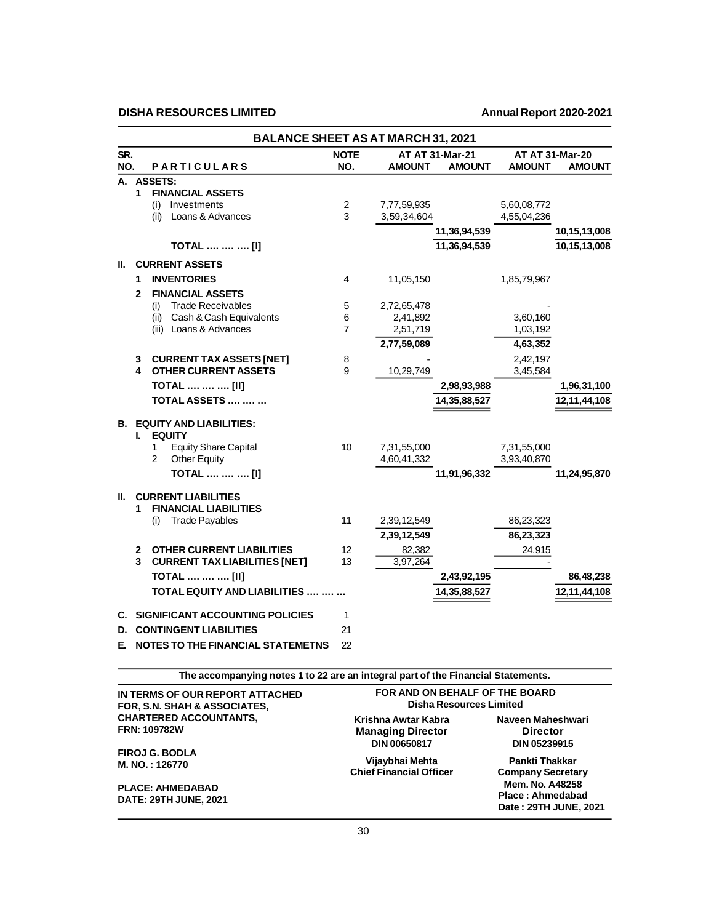| SR.<br><b>NOTE</b><br><b>AT AT 31-Mar-21</b><br><b>AT AT 31-Mar-20</b><br>NO.<br>NO.<br><b>PARTICULARS</b><br><b>AMOUNT</b><br><b>AMOUNT</b><br><b>AMOUNT</b><br><b>AMOUNT</b><br><b>ASSETS:</b><br>А.<br>1<br><b>FINANCIAL ASSETS</b><br>$\overline{2}$<br>7,77,59,935<br>5,60,08,772<br>Investments<br>(i)<br>3<br>Loans & Advances<br>4,55,04,236<br>(ii)<br>3,59,34,604<br>11,36,94,539<br>10,15,13,008<br>TOTAL    [I]<br>11,36,94,539<br>10,15,13,008<br><b>CURRENT ASSETS</b><br>Ш.<br><b>INVENTORIES</b><br>4<br>1<br>11,05,150<br>1,85,79,967<br><b>FINANCIAL ASSETS</b><br>$\mathfrak{p}$<br><b>Trade Receivables</b><br>5<br>2,72,65,478<br>(i)<br>3,60,160<br>Cash & Cash Equivalents<br>6<br>2,41,892<br>(ii)<br>(iii) Loans & Advances<br>$\overline{7}$<br>2,51,719<br>1,03,192<br>2,77,59,089<br>4,63,352<br><b>CURRENT TAX ASSETS [NET]</b><br>2,42,197<br>3<br>8<br>4<br><b>OTHER CURRENT ASSETS</b><br>9<br>10,29,749<br>3,45,584<br><b>TOTAL    [II]</b><br>2,98,93,988<br>1,96,31,100<br>TOTAL ASSETS<br>14,35,88,527<br>12, 11, 44, 108<br><b>EQUITY AND LIABILITIES:</b><br>В.<br><b>EQUITY</b><br>L<br><b>Equity Share Capital</b><br>10<br>1<br>7,31,55,000<br>7,31,55,000<br>Other Equity<br>$\overline{2}$<br>3,93,40,870<br>4,60,41,332<br><b>TOTAL    [I]</b><br>11,91,96,332<br>11,24,95,870<br><b>CURRENT LIABILITIES</b><br><b>FINANCIAL LIABILITIES</b><br>1<br><b>Trade Payables</b><br>11<br>(i)<br>2,39,12,549<br>86,23,323<br>2,39,12,549<br>86,23,323<br><b>OTHER CURRENT LIABILITIES</b><br>12<br>82,382<br>24,915<br>$\mathbf{2}$<br>3,97,264<br>13<br>3<br><b>CURRENT TAX LIABILITIES [NET]</b><br><b>TOTAL    [II]</b><br>2,43,92,195<br>86,48,238<br>TOTAL EQUITY AND LIABILITIES<br>12, 11, 44, 108<br>14,35,88,527<br>1<br>SIGNIFICANT ACCOUNTING POLICIES<br>C.<br><b>CONTINGENT LIABILITIES</b><br>21<br>D.<br><b>NOTES TO THE FINANCIAL STATEMETNS</b><br>22<br>Е. |    | <b>BALANCE SHEET AS AT MARCH 31, 2021</b> |  |  |  |
|--------------------------------------------------------------------------------------------------------------------------------------------------------------------------------------------------------------------------------------------------------------------------------------------------------------------------------------------------------------------------------------------------------------------------------------------------------------------------------------------------------------------------------------------------------------------------------------------------------------------------------------------------------------------------------------------------------------------------------------------------------------------------------------------------------------------------------------------------------------------------------------------------------------------------------------------------------------------------------------------------------------------------------------------------------------------------------------------------------------------------------------------------------------------------------------------------------------------------------------------------------------------------------------------------------------------------------------------------------------------------------------------------------------------------------------------------------------------------------------------------------------------------------------------------------------------------------------------------------------------------------------------------------------------------------------------------------------------------------------------------------------------------------------------------------------------------------------------------------------------------------------------------------------------|----|-------------------------------------------|--|--|--|
|                                                                                                                                                                                                                                                                                                                                                                                                                                                                                                                                                                                                                                                                                                                                                                                                                                                                                                                                                                                                                                                                                                                                                                                                                                                                                                                                                                                                                                                                                                                                                                                                                                                                                                                                                                                                                                                                                                                    |    |                                           |  |  |  |
|                                                                                                                                                                                                                                                                                                                                                                                                                                                                                                                                                                                                                                                                                                                                                                                                                                                                                                                                                                                                                                                                                                                                                                                                                                                                                                                                                                                                                                                                                                                                                                                                                                                                                                                                                                                                                                                                                                                    |    |                                           |  |  |  |
|                                                                                                                                                                                                                                                                                                                                                                                                                                                                                                                                                                                                                                                                                                                                                                                                                                                                                                                                                                                                                                                                                                                                                                                                                                                                                                                                                                                                                                                                                                                                                                                                                                                                                                                                                                                                                                                                                                                    |    |                                           |  |  |  |
|                                                                                                                                                                                                                                                                                                                                                                                                                                                                                                                                                                                                                                                                                                                                                                                                                                                                                                                                                                                                                                                                                                                                                                                                                                                                                                                                                                                                                                                                                                                                                                                                                                                                                                                                                                                                                                                                                                                    |    |                                           |  |  |  |
|                                                                                                                                                                                                                                                                                                                                                                                                                                                                                                                                                                                                                                                                                                                                                                                                                                                                                                                                                                                                                                                                                                                                                                                                                                                                                                                                                                                                                                                                                                                                                                                                                                                                                                                                                                                                                                                                                                                    |    |                                           |  |  |  |
|                                                                                                                                                                                                                                                                                                                                                                                                                                                                                                                                                                                                                                                                                                                                                                                                                                                                                                                                                                                                                                                                                                                                                                                                                                                                                                                                                                                                                                                                                                                                                                                                                                                                                                                                                                                                                                                                                                                    |    |                                           |  |  |  |
|                                                                                                                                                                                                                                                                                                                                                                                                                                                                                                                                                                                                                                                                                                                                                                                                                                                                                                                                                                                                                                                                                                                                                                                                                                                                                                                                                                                                                                                                                                                                                                                                                                                                                                                                                                                                                                                                                                                    |    |                                           |  |  |  |
|                                                                                                                                                                                                                                                                                                                                                                                                                                                                                                                                                                                                                                                                                                                                                                                                                                                                                                                                                                                                                                                                                                                                                                                                                                                                                                                                                                                                                                                                                                                                                                                                                                                                                                                                                                                                                                                                                                                    |    |                                           |  |  |  |
|                                                                                                                                                                                                                                                                                                                                                                                                                                                                                                                                                                                                                                                                                                                                                                                                                                                                                                                                                                                                                                                                                                                                                                                                                                                                                                                                                                                                                                                                                                                                                                                                                                                                                                                                                                                                                                                                                                                    |    |                                           |  |  |  |
|                                                                                                                                                                                                                                                                                                                                                                                                                                                                                                                                                                                                                                                                                                                                                                                                                                                                                                                                                                                                                                                                                                                                                                                                                                                                                                                                                                                                                                                                                                                                                                                                                                                                                                                                                                                                                                                                                                                    |    |                                           |  |  |  |
|                                                                                                                                                                                                                                                                                                                                                                                                                                                                                                                                                                                                                                                                                                                                                                                                                                                                                                                                                                                                                                                                                                                                                                                                                                                                                                                                                                                                                                                                                                                                                                                                                                                                                                                                                                                                                                                                                                                    |    |                                           |  |  |  |
|                                                                                                                                                                                                                                                                                                                                                                                                                                                                                                                                                                                                                                                                                                                                                                                                                                                                                                                                                                                                                                                                                                                                                                                                                                                                                                                                                                                                                                                                                                                                                                                                                                                                                                                                                                                                                                                                                                                    |    |                                           |  |  |  |
|                                                                                                                                                                                                                                                                                                                                                                                                                                                                                                                                                                                                                                                                                                                                                                                                                                                                                                                                                                                                                                                                                                                                                                                                                                                                                                                                                                                                                                                                                                                                                                                                                                                                                                                                                                                                                                                                                                                    |    |                                           |  |  |  |
|                                                                                                                                                                                                                                                                                                                                                                                                                                                                                                                                                                                                                                                                                                                                                                                                                                                                                                                                                                                                                                                                                                                                                                                                                                                                                                                                                                                                                                                                                                                                                                                                                                                                                                                                                                                                                                                                                                                    |    |                                           |  |  |  |
|                                                                                                                                                                                                                                                                                                                                                                                                                                                                                                                                                                                                                                                                                                                                                                                                                                                                                                                                                                                                                                                                                                                                                                                                                                                                                                                                                                                                                                                                                                                                                                                                                                                                                                                                                                                                                                                                                                                    |    |                                           |  |  |  |
|                                                                                                                                                                                                                                                                                                                                                                                                                                                                                                                                                                                                                                                                                                                                                                                                                                                                                                                                                                                                                                                                                                                                                                                                                                                                                                                                                                                                                                                                                                                                                                                                                                                                                                                                                                                                                                                                                                                    |    |                                           |  |  |  |
|                                                                                                                                                                                                                                                                                                                                                                                                                                                                                                                                                                                                                                                                                                                                                                                                                                                                                                                                                                                                                                                                                                                                                                                                                                                                                                                                                                                                                                                                                                                                                                                                                                                                                                                                                                                                                                                                                                                    |    |                                           |  |  |  |
|                                                                                                                                                                                                                                                                                                                                                                                                                                                                                                                                                                                                                                                                                                                                                                                                                                                                                                                                                                                                                                                                                                                                                                                                                                                                                                                                                                                                                                                                                                                                                                                                                                                                                                                                                                                                                                                                                                                    |    |                                           |  |  |  |
|                                                                                                                                                                                                                                                                                                                                                                                                                                                                                                                                                                                                                                                                                                                                                                                                                                                                                                                                                                                                                                                                                                                                                                                                                                                                                                                                                                                                                                                                                                                                                                                                                                                                                                                                                                                                                                                                                                                    |    |                                           |  |  |  |
|                                                                                                                                                                                                                                                                                                                                                                                                                                                                                                                                                                                                                                                                                                                                                                                                                                                                                                                                                                                                                                                                                                                                                                                                                                                                                                                                                                                                                                                                                                                                                                                                                                                                                                                                                                                                                                                                                                                    |    |                                           |  |  |  |
|                                                                                                                                                                                                                                                                                                                                                                                                                                                                                                                                                                                                                                                                                                                                                                                                                                                                                                                                                                                                                                                                                                                                                                                                                                                                                                                                                                                                                                                                                                                                                                                                                                                                                                                                                                                                                                                                                                                    |    |                                           |  |  |  |
|                                                                                                                                                                                                                                                                                                                                                                                                                                                                                                                                                                                                                                                                                                                                                                                                                                                                                                                                                                                                                                                                                                                                                                                                                                                                                                                                                                                                                                                                                                                                                                                                                                                                                                                                                                                                                                                                                                                    |    |                                           |  |  |  |
|                                                                                                                                                                                                                                                                                                                                                                                                                                                                                                                                                                                                                                                                                                                                                                                                                                                                                                                                                                                                                                                                                                                                                                                                                                                                                                                                                                                                                                                                                                                                                                                                                                                                                                                                                                                                                                                                                                                    |    |                                           |  |  |  |
|                                                                                                                                                                                                                                                                                                                                                                                                                                                                                                                                                                                                                                                                                                                                                                                                                                                                                                                                                                                                                                                                                                                                                                                                                                                                                                                                                                                                                                                                                                                                                                                                                                                                                                                                                                                                                                                                                                                    | Ш. |                                           |  |  |  |
|                                                                                                                                                                                                                                                                                                                                                                                                                                                                                                                                                                                                                                                                                                                                                                                                                                                                                                                                                                                                                                                                                                                                                                                                                                                                                                                                                                                                                                                                                                                                                                                                                                                                                                                                                                                                                                                                                                                    |    |                                           |  |  |  |
|                                                                                                                                                                                                                                                                                                                                                                                                                                                                                                                                                                                                                                                                                                                                                                                                                                                                                                                                                                                                                                                                                                                                                                                                                                                                                                                                                                                                                                                                                                                                                                                                                                                                                                                                                                                                                                                                                                                    |    |                                           |  |  |  |
|                                                                                                                                                                                                                                                                                                                                                                                                                                                                                                                                                                                                                                                                                                                                                                                                                                                                                                                                                                                                                                                                                                                                                                                                                                                                                                                                                                                                                                                                                                                                                                                                                                                                                                                                                                                                                                                                                                                    |    |                                           |  |  |  |
|                                                                                                                                                                                                                                                                                                                                                                                                                                                                                                                                                                                                                                                                                                                                                                                                                                                                                                                                                                                                                                                                                                                                                                                                                                                                                                                                                                                                                                                                                                                                                                                                                                                                                                                                                                                                                                                                                                                    |    |                                           |  |  |  |
|                                                                                                                                                                                                                                                                                                                                                                                                                                                                                                                                                                                                                                                                                                                                                                                                                                                                                                                                                                                                                                                                                                                                                                                                                                                                                                                                                                                                                                                                                                                                                                                                                                                                                                                                                                                                                                                                                                                    |    |                                           |  |  |  |
|                                                                                                                                                                                                                                                                                                                                                                                                                                                                                                                                                                                                                                                                                                                                                                                                                                                                                                                                                                                                                                                                                                                                                                                                                                                                                                                                                                                                                                                                                                                                                                                                                                                                                                                                                                                                                                                                                                                    |    |                                           |  |  |  |
|                                                                                                                                                                                                                                                                                                                                                                                                                                                                                                                                                                                                                                                                                                                                                                                                                                                                                                                                                                                                                                                                                                                                                                                                                                                                                                                                                                                                                                                                                                                                                                                                                                                                                                                                                                                                                                                                                                                    |    |                                           |  |  |  |
|                                                                                                                                                                                                                                                                                                                                                                                                                                                                                                                                                                                                                                                                                                                                                                                                                                                                                                                                                                                                                                                                                                                                                                                                                                                                                                                                                                                                                                                                                                                                                                                                                                                                                                                                                                                                                                                                                                                    |    |                                           |  |  |  |
|                                                                                                                                                                                                                                                                                                                                                                                                                                                                                                                                                                                                                                                                                                                                                                                                                                                                                                                                                                                                                                                                                                                                                                                                                                                                                                                                                                                                                                                                                                                                                                                                                                                                                                                                                                                                                                                                                                                    |    |                                           |  |  |  |
|                                                                                                                                                                                                                                                                                                                                                                                                                                                                                                                                                                                                                                                                                                                                                                                                                                                                                                                                                                                                                                                                                                                                                                                                                                                                                                                                                                                                                                                                                                                                                                                                                                                                                                                                                                                                                                                                                                                    |    |                                           |  |  |  |

| The accompanying notes 1 to 22 are an integral part of the Financial Statements. |                                                                        |                                                              |  |  |  |  |
|----------------------------------------------------------------------------------|------------------------------------------------------------------------|--------------------------------------------------------------|--|--|--|--|
| IN TERMS OF OUR REPORT ATTACHED<br>FOR, S.N. SHAH & ASSOCIATES,                  | FOR AND ON BEHALF OF THE BOARD<br><b>Disha Resources Limited</b>       |                                                              |  |  |  |  |
| <b>CHARTERED ACCOUNTANTS,</b><br><b>FRN: 109782W</b>                             | Krishna Awtar Kabra<br><b>Managing Director</b><br><b>DIN 00650817</b> | Naveen Maheshwari<br><b>Director</b><br>DIN 05239915         |  |  |  |  |
| <b>FIROJ G. BODLA</b><br>M. NO.: 126770                                          | Vijaybhai Mehta<br><b>Chief Financial Officer</b>                      | Pankti Thakkar<br><b>Company Secretary</b>                   |  |  |  |  |
| <b>PLACE: AHMEDABAD</b><br><b>DATE: 29TH JUNE, 2021</b>                          |                                                                        | Mem. No. A48258<br>Place: Ahmedabad<br>Date: 29TH JUNE, 2021 |  |  |  |  |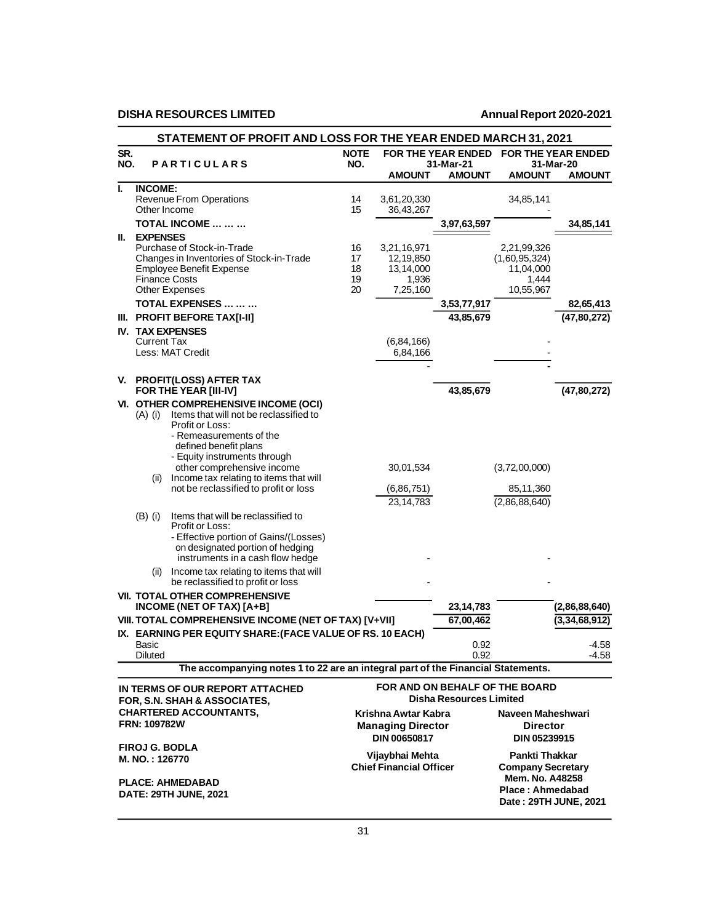|            |                       | STATEMENT OF PROFIT AND LOSS FOR THE YEAR ENDED MARCH 31, 2021                     |                    |                                |                                |                                           |                                |
|------------|-----------------------|------------------------------------------------------------------------------------|--------------------|--------------------------------|--------------------------------|-------------------------------------------|--------------------------------|
| SR.<br>NO. |                       | <b>PARTICULARS</b>                                                                 | <b>NOTE</b><br>NO. |                                | 31-Mar-21                      | FOR THE YEAR ENDED FOR THE YEAR ENDED     | 31-Mar-20                      |
|            |                       |                                                                                    |                    | <b>AMOUNT</b>                  | <b>AMOUNT</b>                  | <b>AMOUNT</b>                             | <b>AMOUNT</b>                  |
| L          | <b>INCOME:</b>        |                                                                                    |                    |                                |                                |                                           |                                |
|            | Other Income          | Revenue From Operations                                                            | 14<br>15           | 3,61,20,330<br>36,43,267       |                                | 34,85,141                                 |                                |
|            |                       | TOTAL INCOME                                                                       |                    |                                | 3,97,63,597                    |                                           | 34,85,141                      |
| II.        | <b>EXPENSES</b>       |                                                                                    |                    |                                |                                |                                           |                                |
|            |                       | Purchase of Stock-in-Trade<br>Changes in Inventories of Stock-in-Trade             | 16<br>17           | 3,21,16,971                    |                                | 2,21,99,326                               |                                |
|            |                       | <b>Employee Benefit Expense</b>                                                    | 18                 | 12,19,850<br>13,14,000         |                                | (1,60,95,324)<br>11,04,000                |                                |
|            | <b>Finance Costs</b>  |                                                                                    | 19                 | 1,936                          |                                | 1,444                                     |                                |
|            |                       | <b>Other Expenses</b>                                                              | 20                 | 7,25,160                       |                                | 10,55,967                                 |                                |
|            |                       | TOTAL EXPENSES                                                                     |                    |                                | 3,53,77,917                    |                                           | 82,65,413                      |
|            |                       | III. PROFIT BEFORE TAX[I-II]                                                       |                    |                                | 43,85,679                      |                                           | (47, 80, 272)                  |
|            | <b>Current Tax</b>    | <b>IV. TAX EXPENSES</b>                                                            |                    | (6, 84, 166)                   |                                |                                           |                                |
|            |                       | Less: MAT Credit                                                                   |                    | 6,84,166                       |                                |                                           |                                |
|            |                       |                                                                                    |                    |                                |                                |                                           |                                |
| V.         |                       | <b>PROFIT(LOSS) AFTER TAX</b>                                                      |                    |                                |                                |                                           |                                |
|            |                       | FOR THE YEAR [III-IV]                                                              |                    |                                | 43,85,679                      |                                           | (47,80,272)                    |
|            | $(A)$ (i)             | VI. OTHER COMPREHENSIVE INCOME (OCI)<br>Items that will not be reclassified to     |                    |                                |                                |                                           |                                |
|            |                       | Profit or Loss:                                                                    |                    |                                |                                |                                           |                                |
|            |                       | - Remeasurements of the                                                            |                    |                                |                                |                                           |                                |
|            |                       | defined benefit plans<br>- Equity instruments through                              |                    |                                |                                |                                           |                                |
|            |                       | other comprehensive income                                                         |                    | 30,01,534                      |                                | (3,72,00,000)                             |                                |
|            | (ii)                  | Income tax relating to items that will<br>not be reclassified to profit or loss    |                    |                                |                                |                                           |                                |
|            |                       |                                                                                    |                    | (6,86,751)<br>23, 14, 783      |                                | 85,11,360<br>(2,86,88,640)                |                                |
|            | $(B)$ (i)             | Items that will be reclassified to                                                 |                    |                                |                                |                                           |                                |
|            |                       | Profit or Loss:                                                                    |                    |                                |                                |                                           |                                |
|            |                       | - Effective portion of Gains/(Losses)                                              |                    |                                |                                |                                           |                                |
|            |                       | on designated portion of hedging<br>instruments in a cash flow hedge               |                    |                                |                                |                                           |                                |
|            | (ii)                  | Income tax relating to items that will                                             |                    |                                |                                |                                           |                                |
|            |                       | be reclassified to profit or loss                                                  |                    |                                |                                |                                           |                                |
|            |                       | <b>VII. TOTAL OTHER COMPREHENSIVE</b>                                              |                    |                                |                                |                                           |                                |
|            |                       | INCOME (NET OF TAX) [A+B]<br>VIII. TOTAL COMPREHENSIVE INCOME (NET OF TAX) [V+VII] |                    |                                | 23, 14, 783<br>67,00,462       |                                           | (2,86,88,640)<br>(3,34,68,912) |
|            |                       | IX. EARNING PER EQUITY SHARE: (FACE VALUE OF RS. 10 EACH)                          |                    |                                |                                |                                           |                                |
|            | Basic                 |                                                                                    |                    |                                | 0.92                           |                                           | -4.58                          |
|            | <b>Diluted</b>        |                                                                                    |                    |                                | 0.92                           |                                           | $-4.58$                        |
|            |                       | The accompanying notes 1 to 22 are an integral part of the Financial Statements.   |                    |                                |                                |                                           |                                |
|            |                       | IN TERMS OF OUR REPORT ATTACHED                                                    |                    |                                | <b>Disha Resources Limited</b> | FOR AND ON BEHALF OF THE BOARD            |                                |
|            |                       | FOR, S.N. SHAH & ASSOCIATES,<br><b>CHARTERED ACCOUNTANTS,</b>                      |                    | Krishna Awtar Kabra            |                                | Naveen Maheshwari                         |                                |
|            | <b>FRN: 109782W</b>   |                                                                                    |                    | <b>Managing Director</b>       |                                | <b>Director</b>                           |                                |
|            |                       |                                                                                    |                    | DIN 00650817                   |                                | DIN 05239915                              |                                |
|            | <b>FIROJ G. BODLA</b> |                                                                                    |                    | Vijaybhai Mehta                |                                | Pankti Thakkar                            |                                |
|            | M. NO.: 126770        |                                                                                    |                    | <b>Chief Financial Officer</b> |                                | <b>Company Secretary</b>                  |                                |
|            |                       | <b>PLACE: AHMEDABAD</b>                                                            |                    |                                |                                | Mem. No. A48258                           |                                |
|            |                       | <b>DATE: 29TH JUNE, 2021</b>                                                       |                    |                                |                                | Place: Ahmedabad<br>Date: 29TH JUNE, 2021 |                                |
|            |                       |                                                                                    |                    |                                |                                |                                           |                                |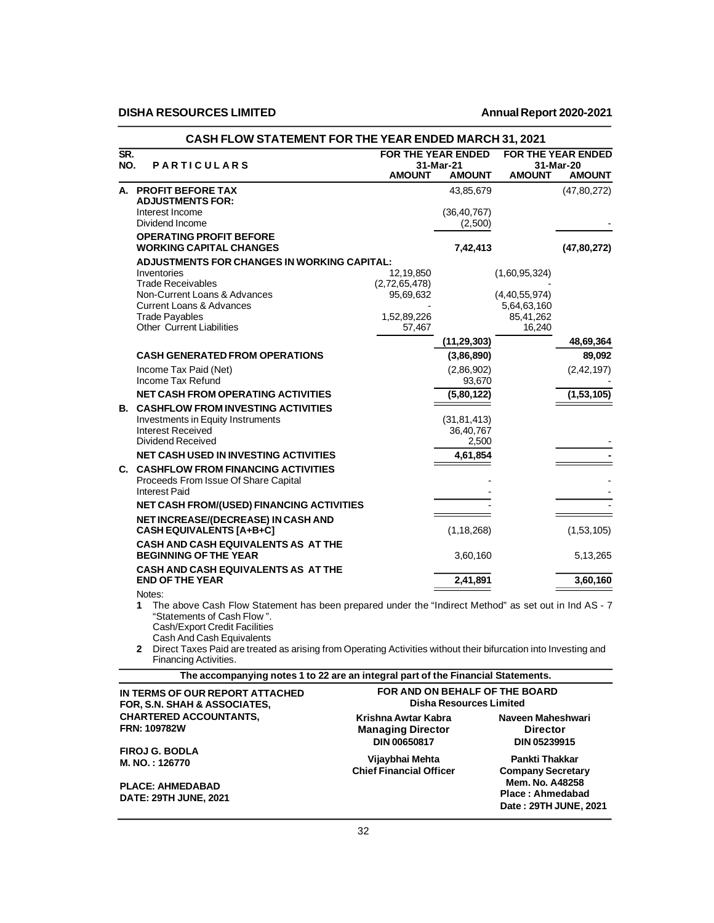| SR. |                                                                                                                                                                                                       |                       | FOR THE YEAR ENDED |                     | FOR THE YEAR ENDED |
|-----|-------------------------------------------------------------------------------------------------------------------------------------------------------------------------------------------------------|-----------------------|--------------------|---------------------|--------------------|
| NO. | <b>PARTICULARS</b>                                                                                                                                                                                    |                       | 31-Mar-21          |                     | 31-Mar-20          |
|     |                                                                                                                                                                                                       | <b>AMOUNT</b>         | <b>AMOUNT</b>      | <b>AMOUNT</b>       | <b>AMOUNT</b>      |
|     | A. PROFIT BEFORE TAX<br><b>ADJUSTMENTS FOR:</b>                                                                                                                                                       |                       | 43,85,679          |                     | (47, 80, 272)      |
|     | Interest Income                                                                                                                                                                                       |                       | (36, 40, 767)      |                     |                    |
|     | Dividend Income                                                                                                                                                                                       |                       | (2,500)            |                     |                    |
|     | <b>OPERATING PROFIT BEFORE</b><br><b>WORKING CAPITAL CHANGES</b>                                                                                                                                      |                       | 7,42,413           |                     | (47, 80, 272)      |
|     | <b>ADJUSTMENTS FOR CHANGES IN WORKING CAPITAL:</b>                                                                                                                                                    |                       |                    |                     |                    |
|     | Inventories                                                                                                                                                                                           | 12,19,850             |                    | (1,60,95,324)       |                    |
|     | <b>Trade Receivables</b>                                                                                                                                                                              | (2,72,65,478)         |                    |                     |                    |
|     | Non-Current Loans & Advances                                                                                                                                                                          | 95,69,632             |                    | (4, 40, 55, 974)    |                    |
|     | <b>Current Loans &amp; Advances</b>                                                                                                                                                                   |                       |                    | 5,64,63,160         |                    |
|     | <b>Trade Payables</b><br><b>Other Current Liabilities</b>                                                                                                                                             | 1,52,89,226<br>57,467 |                    | 85,41,262<br>16,240 |                    |
|     |                                                                                                                                                                                                       |                       |                    |                     |                    |
|     |                                                                                                                                                                                                       |                       | (11, 29, 303)      |                     | 48,69,364          |
|     | <b>CASH GENERATED FROM OPERATIONS</b>                                                                                                                                                                 |                       | (3,86,890)         |                     | 89,092             |
|     | Income Tax Paid (Net)                                                                                                                                                                                 |                       | (2,86,902)         |                     | (2, 42, 197)       |
|     | Income Tax Refund                                                                                                                                                                                     |                       | 93,670             |                     |                    |
|     | <b>NET CASH FROM OPERATING ACTIVITIES</b>                                                                                                                                                             |                       | (5,80,122)         |                     | (1,53,105)         |
|     | <b>B. CASHFLOW FROM INVESTING ACTIVITIES</b>                                                                                                                                                          |                       |                    |                     |                    |
|     | Investments in Equity Instruments                                                                                                                                                                     |                       | (31, 81, 413)      |                     |                    |
|     | Interest Received<br><b>Dividend Received</b>                                                                                                                                                         |                       | 36,40,767<br>2,500 |                     |                    |
|     | <b>NET CASH USED IN INVESTING ACTIVITIES</b>                                                                                                                                                          |                       |                    |                     |                    |
|     |                                                                                                                                                                                                       |                       | 4,61,854           |                     |                    |
|     | C. CASHFLOW FROM FINANCING ACTIVITIES<br>Proceeds From Issue Of Share Capital                                                                                                                         |                       |                    |                     |                    |
|     | <b>Interest Paid</b>                                                                                                                                                                                  |                       |                    |                     |                    |
|     | <b>NET CASH FROM/(USED) FINANCING ACTIVITIES</b>                                                                                                                                                      |                       |                    |                     |                    |
|     | NET INCREASE/(DECREASE) IN CASH AND                                                                                                                                                                   |                       |                    |                     |                    |
|     | <b>CASH EQUIVALENTS [A+B+C]</b>                                                                                                                                                                       |                       | (1, 18, 268)       |                     | (1,53,105)         |
|     | CASH AND CASH EQUIVALENTS AS AT THE                                                                                                                                                                   |                       |                    |                     |                    |
|     | <b>BEGINNING OF THE YEAR</b>                                                                                                                                                                          |                       | 3,60,160           |                     | 5,13,265           |
|     | <b>CASH AND CASH EQUIVALENTS AS AT THE</b>                                                                                                                                                            |                       |                    |                     |                    |
|     | <b>END OF THE YEAR</b>                                                                                                                                                                                |                       | 2,41,891           |                     | 3,60,160           |
|     | Notes:                                                                                                                                                                                                |                       |                    |                     |                    |
|     | The above Cash Flow Statement has been prepared under the "Indirect Method" as set out in Ind AS - 7<br>1<br>"Statements of Cash Flow".<br>Cash/Export Credit Facilities<br>Cash And Cash Equivalents |                       |                    |                     |                    |

**2** Direct Taxes Paid are treated as arising from Operating Activities without their bifurcation into Investing and Financing Activities.

**The accompanying notes 1 to 22 are an integral part of the Financial Statements.**

|                                                                 | The accompanying notes T to 22 are an integral part of the Financial Statements. |                                                                     |  |
|-----------------------------------------------------------------|----------------------------------------------------------------------------------|---------------------------------------------------------------------|--|
| IN TERMS OF OUR REPORT ATTACHED<br>FOR, S.N. SHAH & ASSOCIATES, | FOR AND ON BEHALF OF THE BOARD<br><b>Disha Resources Limited</b>                 |                                                                     |  |
| <b>CHARTERED ACCOUNTANTS,</b><br><b>FRN: 109782W</b>            | Krishna Awtar Kabra<br><b>Managing Director</b><br><b>DIN 00650817</b>           | Naveen Maheshwari<br><b>Director</b><br>DIN 05239915                |  |
| <b>FIROJ G. BODLA</b><br>M. NO.: 126770                         | Vijaybhai Mehta<br><b>Chief Financial Officer</b>                                | Pankti Thakkar<br><b>Company Secretary</b>                          |  |
| <b>PLACE: AHMEDABAD</b><br><b>DATE: 29TH JUNE, 2021</b>         |                                                                                  | <b>Mem. No. A48258</b><br>Place: Ahmedabad<br>Date: 29TH JUNE, 2021 |  |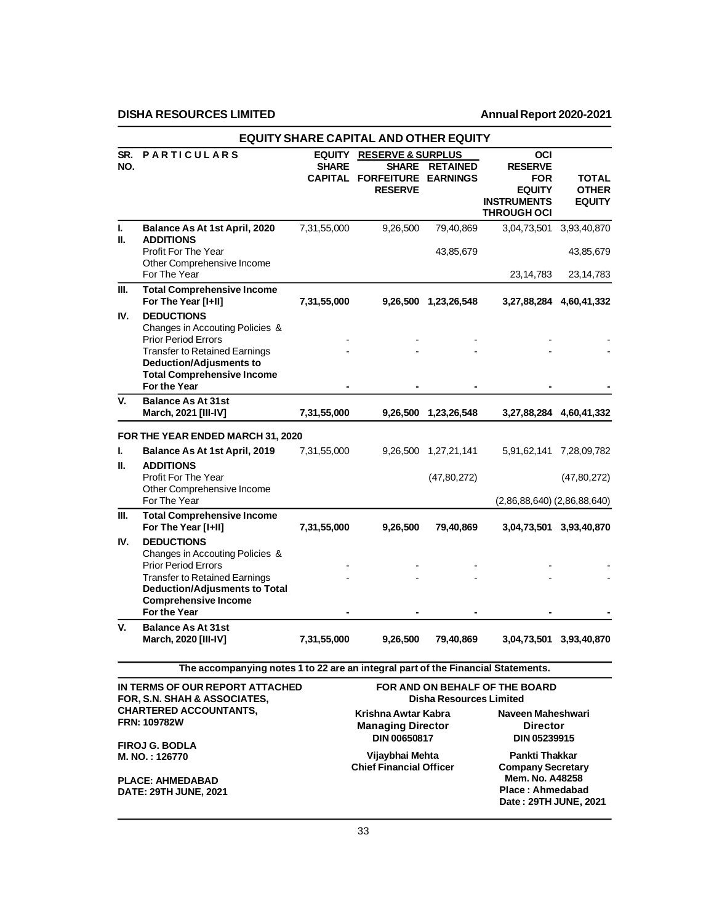|                     |                                                                                                                                                                                                                   |                                          | <b>EQUITY SHARE CAPITAL AND OTHER EQUITY</b>                                 |                                |                                                                                                            |                                               |
|---------------------|-------------------------------------------------------------------------------------------------------------------------------------------------------------------------------------------------------------------|------------------------------------------|------------------------------------------------------------------------------|--------------------------------|------------------------------------------------------------------------------------------------------------|-----------------------------------------------|
| SR.<br>NO.          | <b>PARTICULARS</b>                                                                                                                                                                                                | <b>EQUITY</b><br><b>SHARE</b><br>CAPITAL | <b>RESERVE &amp; SURPLUS</b><br><b>FORFEITURE EARNINGS</b><br><b>RESERVE</b> | SHARE RETAINED                 | OCI<br><b>RESERVE</b><br><b>FOR</b><br><b>EQUITY</b><br><b>INSTRUMENTS</b><br><b>THROUGH OCI</b>           | <b>TOTAL</b><br><b>OTHER</b><br><b>EQUITY</b> |
| L<br>II.            | Balance As At 1st April, 2020<br><b>ADDITIONS</b>                                                                                                                                                                 | 7,31,55,000                              | 9,26,500                                                                     | 79,40,869                      | 3,04,73,501                                                                                                | 3,93,40,870                                   |
|                     | Profit For The Year<br>Other Comprehensive Income<br>For The Year                                                                                                                                                 |                                          |                                                                              | 43,85,679                      | 23,14,783                                                                                                  | 43,85,679<br>23,14,783                        |
| III.                | <b>Total Comprehensive Income</b><br>For The Year [I+II]                                                                                                                                                          | 7,31,55,000                              |                                                                              | 9,26,500 1,23,26,548           | 3,27,88,284                                                                                                | 4,60,41,332                                   |
| IV.                 | <b>DEDUCTIONS</b><br>Changes in Accouting Policies &<br><b>Prior Period Errors</b><br><b>Transfer to Retained Earnings</b><br><b>Deduction/Adjusments to</b><br><b>Total Comprehensive Income</b><br>For the Year |                                          |                                                                              |                                |                                                                                                            |                                               |
| V.                  | <b>Balance As At 31st</b><br>March, 2021 [III-IV]                                                                                                                                                                 | 7,31,55,000                              | 9,26,500                                                                     | 1,23,26,548                    |                                                                                                            | 3,27,88,284 4,60,41,332                       |
|                     | FOR THE YEAR ENDED MARCH 31, 2020                                                                                                                                                                                 |                                          |                                                                              |                                |                                                                                                            |                                               |
| L                   | Balance As At 1st April, 2019                                                                                                                                                                                     | 7,31,55,000                              |                                                                              | 9,26,500 1,27,21,141           |                                                                                                            | 5,91,62,141 7,28,09,782                       |
| II.                 | <b>ADDITIONS</b><br>Profit For The Year<br>Other Comprehensive Income<br>For The Year                                                                                                                             |                                          |                                                                              | (47, 80, 272)                  |                                                                                                            | (47, 80, 272)                                 |
| Ш.                  | <b>Total Comprehensive Income</b>                                                                                                                                                                                 |                                          |                                                                              |                                | $(2,86,88,640)$ $(2,86,88,640)$                                                                            |                                               |
|                     | For The Year [I+II]                                                                                                                                                                                               | 7,31,55,000                              | 9,26,500                                                                     | 79,40,869                      | 3,04,73,501                                                                                                | 3,93,40,870                                   |
| IV.                 | <b>DEDUCTIONS</b><br>Changes in Accouting Policies &<br><b>Prior Period Errors</b><br><b>Transfer to Retained Earnings</b><br><b>Deduction/Adjusments to Total</b><br><b>Comprehensive Income</b><br>For the Year |                                          |                                                                              |                                |                                                                                                            |                                               |
| V.                  | <b>Balance As At 31st</b><br>March, 2020 [III-IV]                                                                                                                                                                 | 7,31,55,000                              | 9,26,500                                                                     | 79,40,869                      | 3,04,73,501                                                                                                | 3,93,40,870                                   |
|                     | The accompanying notes 1 to 22 are an integral part of the Financial Statements.                                                                                                                                  |                                          |                                                                              |                                |                                                                                                            |                                               |
|                     | IN TERMS OF OUR REPORT ATTACHED<br>FOR, S.N. SHAH & ASSOCIATES,                                                                                                                                                   |                                          |                                                                              | <b>Disha Resources Limited</b> | FOR AND ON BEHALF OF THE BOARD                                                                             |                                               |
|                     | <b>CHARTERED ACCOUNTANTS,</b>                                                                                                                                                                                     |                                          | Krishna Awtar Kabra                                                          |                                | Naveen Maheshwari                                                                                          |                                               |
| <b>FRN: 109782W</b> |                                                                                                                                                                                                                   |                                          | <b>Managing Director</b><br>DIN 00650817                                     |                                | <b>Director</b><br>DIN 05239915                                                                            |                                               |
|                     | <b>FIROJ G. BODLA</b>                                                                                                                                                                                             |                                          |                                                                              |                                |                                                                                                            |                                               |
|                     | M. NO.: 126770<br><b>PLACE: AHMEDABAD</b><br><b>DATE: 29TH JUNE, 2021</b>                                                                                                                                         |                                          | Vijaybhai Mehta<br><b>Chief Financial Officer</b>                            |                                | Pankti Thakkar<br><b>Company Secretary</b><br>Mem. No. A48258<br>Place: Ahmedabad<br>Date: 29TH JUNE, 2021 |                                               |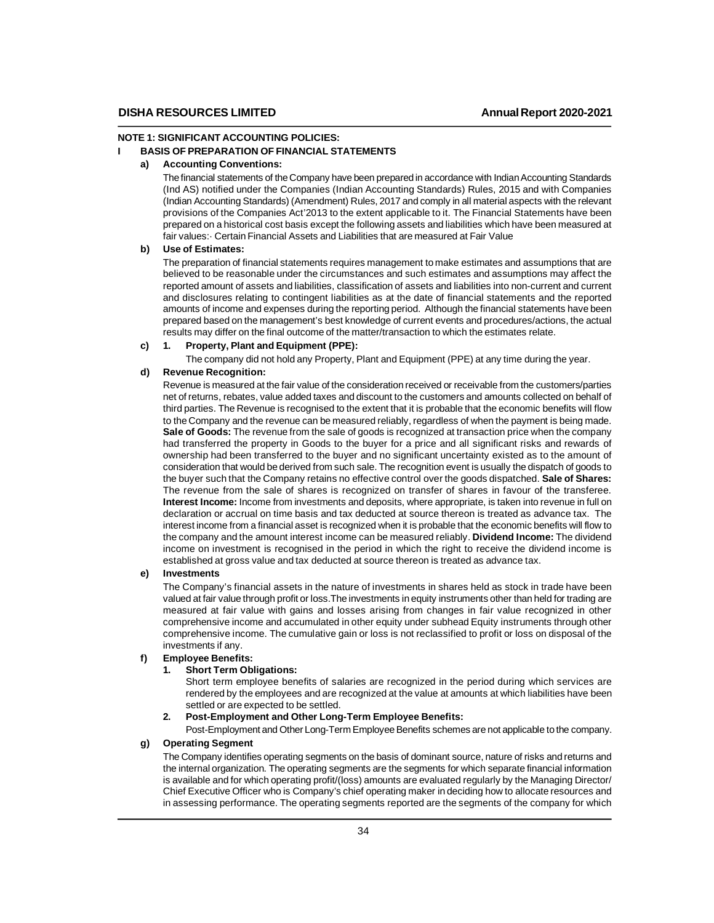## **NOTE 1: SIGNIFICANT ACCOUNTING POLICIES:**

# **I BASIS OF PREPARATION OF FINANCIAL STATEMENTS**

#### **a) Accounting Conventions:**

The financial statements of the Company have been prepared in accordance with Indian Accounting Standards (Ind AS) notified under the Companies (Indian Accounting Standards) Rules, 2015 and with Companies (Indian Accounting Standards) (Amendment) Rules, 2017 and comply in all material aspects with the relevant provisions of the Companies Act'2013 to the extent applicable to it. The Financial Statements have been prepared on a historical cost basis except the following assets and liabilities which have been measured at fair values:· Certain Financial Assets and Liabilities that are measured at Fair Value

#### **b) Use of Estimates:**

The preparation of financial statements requires management to make estimates and assumptions that are believed to be reasonable under the circumstances and such estimates and assumptions may affect the reported amount of assets and liabilities, classification of assets and liabilities into non-current and current and disclosures relating to contingent liabilities as at the date of financial statements and the reported amounts of income and expenses during the reporting period. Although the financial statements have been prepared based on the management's best knowledge of current events and procedures/actions, the actual results may differ on the final outcome of the matter/transaction to which the estimates relate.

## **c) 1. Property, Plant and Equipment (PPE):**

The company did not hold any Property, Plant and Equipment (PPE) at any time during the year.

## **d) Revenue Recognition:**

Revenue is measured at the fair value of the consideration received or receivable from the customers/parties net of returns, rebates, value added taxes and discount to the customers and amounts collected on behalf of third parties. The Revenue is recognised to the extent that it is probable that the economic benefits will flow to the Company and the revenue can be measured reliably, regardless of when the payment is being made. **Sale of Goods:** The revenue from the sale of goods is recognized at transaction price when the company had transferred the property in Goods to the buyer for a price and all significant risks and rewards of ownership had been transferred to the buyer and no significant uncertainty existed as to the amount of consideration that would be derived from such sale. The recognition event is usually the dispatch of goods to the buyer such that the Company retains no effective control over the goods dispatched. **Sale of Shares:** The revenue from the sale of shares is recognized on transfer of shares in favour of the transferee. **Interest Income:** Income from investments and deposits, where appropriate, is taken into revenue in full on declaration or accrual on time basis and tax deducted at source thereon is treated as advance tax. The interest income from a financial asset is recognized when it is probable that the economic benefits will flow to the company and the amount interest income can be measured reliably. **Dividend Income:** The dividend income on investment is recognised in the period in which the right to receive the dividend income is established at gross value and tax deducted at source thereon is treated as advance tax.

#### **e) Investments**

The Company's financial assets in the nature of investments in shares held as stock in trade have been valued at fair value through profit or loss.The investments in equity instruments other than held for trading are measured at fair value with gains and losses arising from changes in fair value recognized in other comprehensive income and accumulated in other equity under subhead Equity instruments through other comprehensive income. The cumulative gain or loss is not reclassified to profit or loss on disposal of the investments if any.

#### **f) Employee Benefits:**

#### **1. Short Term Obligations:**

Short term employee benefits of salaries are recognized in the period during which services are rendered by the employees and are recognized at the value at amounts at which liabilities have been settled or are expected to be settled.

**2. Post-Employment and Other Long-Term Employee Benefits:**

Post-Employment and Other Long-Term Employee Benefits schemes are not applicable to the company.

## **g) Operating Segment**

The Company identifies operating segments on the basis of dominant source, nature of risks and returns and the internal organization. The operating segments are the segments for which separate financial information is available and for which operating profit/(loss) amounts are evaluated regularly by the Managing Director/ Chief Executive Officer who is Company's chief operating maker in deciding how to allocate resources and in assessing performance. The operating segments reported are the segments of the company for which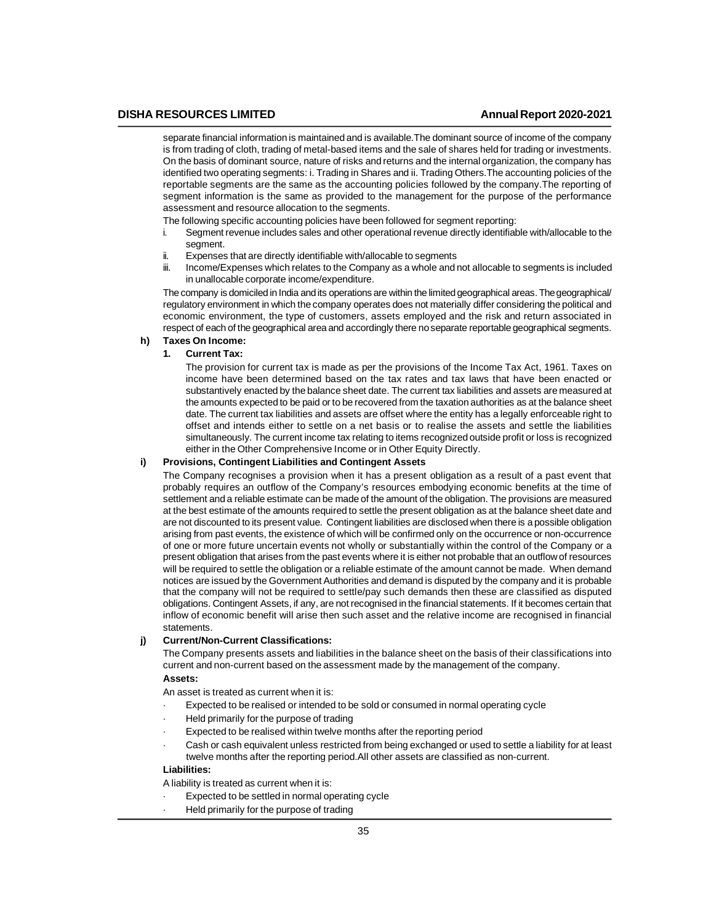separate financial information is maintained and is available.The dominant source of income of the company is from trading of cloth, trading of metal-based items and the sale of shares held for trading or investments. On the basis of dominant source, nature of risks and returns and the internal organization, the company has identified two operating segments: i. Trading in Shares and ii. Trading Others.The accounting policies of the reportable segments are the same as the accounting policies followed by the company.The reporting of segment information is the same as provided to the management for the purpose of the performance assessment and resource allocation to the segments.

The following specific accounting policies have been followed for segment reporting:

- i. Segment revenue includes sales and other operational revenue directly identifiable with/allocable to the segment.
- ii. Expenses that are directly identifiable with/allocable to segments
- iii. Income/Expenses which relates to the Company as a whole and not allocable to segments is included in unallocable corporate income/expenditure.

The company is domiciled in India and its operations are within the limited geographical areas. The geographical/ regulatory environment in which the company operates does not materially differ considering the political and economic environment, the type of customers, assets employed and the risk and return associated in respect of each of the geographical area and accordingly there no separate reportable geographical segments.

#### **h) Taxes On Income:**

# **1. Current Tax:**

The provision for current tax is made as per the provisions of the Income Tax Act, 1961. Taxes on income have been determined based on the tax rates and tax laws that have been enacted or substantively enacted by the balance sheet date. The current tax liabilities and assets are measured at the amounts expected to be paid or to be recovered from the taxation authorities as at the balance sheet date. The current tax liabilities and assets are offset where the entity has a legally enforceable right to offset and intends either to settle on a net basis or to realise the assets and settle the liabilities simultaneously. The current income tax relating to items recognized outside profit or loss is recognized either in the Other Comprehensive Income or in Other Equity Directly.

## **i) Provisions, Contingent Liabilities and Contingent Assets**

The Company recognises a provision when it has a present obligation as a result of a past event that probably requires an outflow of the Company's resources embodying economic benefits at the time of settlement and a reliable estimate can be made of the amount of the obligation. The provisions are measured at the best estimate of the amounts required to settle the present obligation as at the balance sheet date and are not discounted to its present value. Contingent liabilities are disclosed when there is a possible obligation arising from past events, the existence of which will be confirmed only on the occurrence or non-occurrence of one or more future uncertain events not wholly or substantially within the control of the Company or a present obligation that arises from the past events where it is either not probable that an outflow of resources will be required to settle the obligation or a reliable estimate of the amount cannot be made. When demand notices are issued by the Government Authorities and demand is disputed by the company and it is probable that the company will not be required to settle/pay such demands then these are classified as disputed obligations. Contingent Assets, if any, are not recognised in the financial statements. If it becomes certain that inflow of economic benefit will arise then such asset and the relative income are recognised in financial statements.

## **j) Current/Non-Current Classifications:**

The Company presents assets and liabilities in the balance sheet on the basis of their classifications into current and non-current based on the assessment made by the management of the company.

# **Assets:**

An asset is treated as current when it is:

- Expected to be realised or intended to be sold or consumed in normal operating cycle
- Held primarily for the purpose of trading
- Expected to be realised within twelve months after the reporting period
- Cash or cash equivalent unless restricted from being exchanged or used to settle a liability for at least twelve months after the reporting period.All other assets are classified as non-current.

# **Liabilities:**

A liability is treated as current when it is:

- Expected to be settled in normal operating cycle
- · Held primarily for the purpose of trading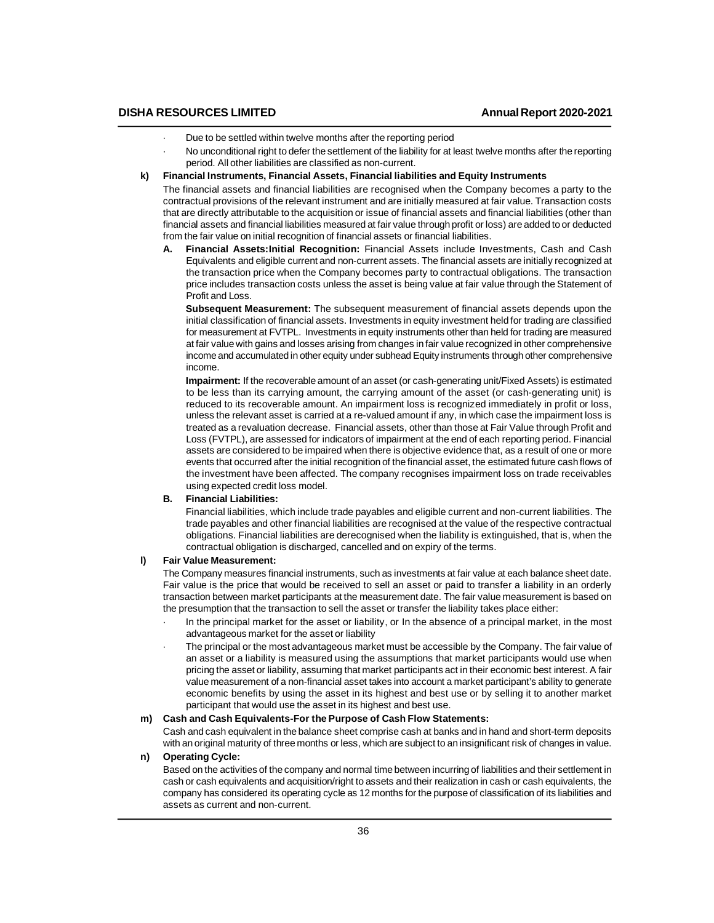- Due to be settled within twelve months after the reporting period
- · No unconditional right to defer the settlement of the liability for at least twelve months after the reporting period. All other liabilities are classified as non-current.

#### **k) Financial Instruments, Financial Assets, Financial liabilities and Equity Instruments**

The financial assets and financial liabilities are recognised when the Company becomes a party to the contractual provisions of the relevant instrument and are initially measured at fair value. Transaction costs that are directly attributable to the acquisition or issue of financial assets and financial liabilities (other than financial assets and financial liabilities measured at fair value through profit or loss) are added to or deducted from the fair value on initial recognition of financial assets or financial liabilities.

**A. Financial Assets:Initial Recognition:** Financial Assets include Investments, Cash and Cash Equivalents and eligible current and non-current assets. The financial assets are initially recognized at the transaction price when the Company becomes party to contractual obligations. The transaction price includes transaction costs unless the asset is being value at fair value through the Statement of Profit and Loss.

**Subsequent Measurement:** The subsequent measurement of financial assets depends upon the initial classification of financial assets. Investments in equity investment held for trading are classified for measurement at FVTPL. Investments in equity instruments other than held for trading are measured at fair value with gains and losses arising from changes in fair value recognized in other comprehensive income and accumulated in other equity under subhead Equity instruments through other comprehensive income.

**Impairment:** If the recoverable amount of an asset (or cash-generating unit/Fixed Assets) is estimated to be less than its carrying amount, the carrying amount of the asset (or cash-generating unit) is reduced to its recoverable amount. An impairment loss is recognized immediately in profit or loss, unless the relevant asset is carried at a re-valued amount if any, in which case the impairment loss is treated as a revaluation decrease. Financial assets, other than those at Fair Value through Profit and Loss (FVTPL), are assessed for indicators of impairment at the end of each reporting period. Financial assets are considered to be impaired when there is objective evidence that, as a result of one or more events that occurred after the initial recognition of the financial asset, the estimated future cash flows of the investment have been affected. The company recognises impairment loss on trade receivables using expected credit loss model.

### **B. Financial Liabilities:**

Financial liabilities, which include trade payables and eligible current and non-current liabilities. The trade payables and other financial liabilities are recognised at the value of the respective contractual obligations. Financial liabilities are derecognised when the liability is extinguished, that is, when the contractual obligation is discharged, cancelled and on expiry of the terms.

#### **l) Fair Value Measurement:**

The Company measures financial instruments, such as investments at fair value at each balance sheet date. Fair value is the price that would be received to sell an asset or paid to transfer a liability in an orderly transaction between market participants at the measurement date. The fair value measurement is based on the presumption that the transaction to sell the asset or transfer the liability takes place either:

- In the principal market for the asset or liability, or In the absence of a principal market, in the most advantageous market for the asset or liability
- The principal or the most advantageous market must be accessible by the Company. The fair value of an asset or a liability is measured using the assumptions that market participants would use when pricing the asset or liability, assuming that market participants act in their economic best interest. A fair value measurement of a non-financial asset takes into account a market participant's ability to generate economic benefits by using the asset in its highest and best use or by selling it to another market participant that would use the asset in its highest and best use.

## **m) Cash and Cash Equivalents-For the Purpose of Cash Flow Statements:**

Cash and cash equivalent in the balance sheet comprise cash at banks and in hand and short-term deposits with an original maturity of three months or less, which are subject to an insignificant risk of changes in value.

### **n) Operating Cycle:**

Based on the activities of the company and normal time between incurring of liabilities and their settlement in cash or cash equivalents and acquisition/right to assets and their realization in cash or cash equivalents, the company has considered its operating cycle as 12 months for the purpose of classification of its liabilities and assets as current and non-current.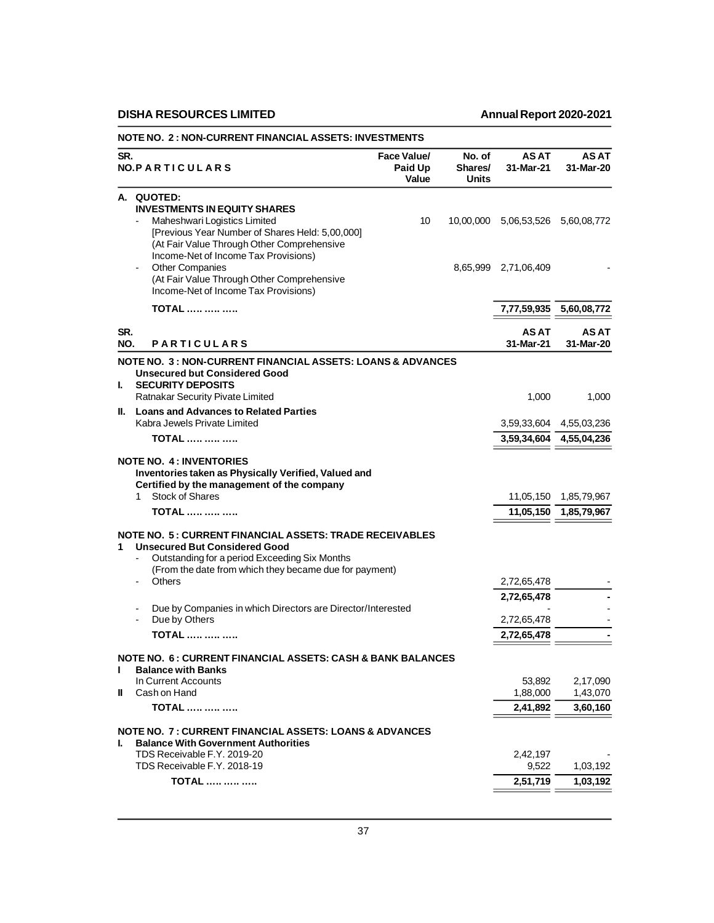| SR.          | NO.PARTICULARS                                                                                                                                                                                                               | Face Value/<br>Paid Up<br>Value | No. of<br>Shares/<br><b>Units</b> | <b>AS AT</b><br>31-Mar-21         | <b>AS AT</b><br>31-Mar-20            |
|--------------|------------------------------------------------------------------------------------------------------------------------------------------------------------------------------------------------------------------------------|---------------------------------|-----------------------------------|-----------------------------------|--------------------------------------|
|              | A. QUOTED:<br><b>INVESTMENTS IN EQUITY SHARES</b><br>Maheshwari Logistics Limited<br>[Previous Year Number of Shares Held: 5,00,000]<br>(At Fair Value Through Other Comprehensive<br>Income-Net of Income Tax Provisions)   | 10                              |                                   | 10,00,000 5,06,53,526 5,60,08,772 |                                      |
|              | <b>Other Companies</b><br>(At Fair Value Through Other Comprehensive<br>Income-Net of Income Tax Provisions)                                                                                                                 |                                 |                                   | 8,65,999 2,71,06,409              |                                      |
|              | <b>TOTAL</b>                                                                                                                                                                                                                 |                                 |                                   |                                   | 7,77,59,935 5,60,08,772              |
| SR.<br>NO.   | <b>PARTICULARS</b>                                                                                                                                                                                                           |                                 |                                   | AS AT<br>31-Mar-21                | <b>AS AT</b><br>31-Mar-20            |
|              | NOTE NO. 3: NON-CURRENT FINANCIAL ASSETS: LOANS & ADVANCES                                                                                                                                                                   |                                 |                                   |                                   |                                      |
| L.           | <b>Unsecured but Considered Good</b><br><b>SECURITY DEPOSITS</b><br>Ratnakar Security Pivate Limited                                                                                                                         |                                 |                                   | 1,000                             | 1,000                                |
|              | II. Loans and Advances to Related Parties<br>Kabra Jewels Private Limited                                                                                                                                                    |                                 |                                   |                                   | 3,59,33,604 4,55,03,236              |
|              | <b>TOTAL</b>                                                                                                                                                                                                                 |                                 |                                   | 3,59,34,604                       | 4,55,04,236                          |
|              | <b>NOTE NO. 4: INVENTORIES</b><br>Inventories taken as Physically Verified, Valued and<br>Certified by the management of the company                                                                                         |                                 |                                   |                                   |                                      |
|              | <b>Stock of Shares</b><br>1<br><b>TOTAL</b>                                                                                                                                                                                  |                                 |                                   | 11,05,150                         | 11,05,150 1,85,79,967<br>1,85,79,967 |
| 1            | NOTE NO. 5 : CURRENT FINANCIAL ASSETS: TRADE RECEIVABLES<br><b>Unsecured But Considered Good</b><br>Outstanding for a period Exceeding Six Months<br>(From the date from which they became due for payment)<br><b>Others</b> |                                 |                                   | 2,72,65,478                       |                                      |
|              |                                                                                                                                                                                                                              |                                 |                                   | 2,72,65,478                       |                                      |
|              | Due by Companies in which Directors are Director/Interested<br>Due by Others<br>$\overline{\phantom{a}}$                                                                                                                     |                                 |                                   | 2,72,65,478                       |                                      |
|              | <b>TOTAL</b>                                                                                                                                                                                                                 |                                 |                                   | 2,72,65,478                       |                                      |
| $\mathbf{I}$ | <b>NOTE NO. 6 : CURRENT FINANCIAL ASSETS: CASH &amp; BANK BALANCES</b><br><b>Balance with Banks</b>                                                                                                                          |                                 |                                   |                                   |                                      |
|              | In Current Accounts                                                                                                                                                                                                          |                                 |                                   | 53,892                            | 2,17,090                             |
| Ш            | Cash on Hand<br><b>TOTAL</b>                                                                                                                                                                                                 |                                 |                                   | 1,88,000<br>2,41,892              | 1,43,070<br>3,60,160                 |
| L.           | NOTE NO. 7: CURRENT FINANCIAL ASSETS: LOANS & ADVANCES<br><b>Balance With Government Authorities</b>                                                                                                                         |                                 |                                   |                                   |                                      |
|              | TDS Receivable F.Y. 2019-20                                                                                                                                                                                                  |                                 |                                   | 2,42,197                          |                                      |
|              | TDS Receivable F.Y. 2018-19<br><b>TOTAL</b>                                                                                                                                                                                  |                                 |                                   | 9,522<br>2,51,719                 | 1,03,192<br>1,03,192                 |
|              |                                                                                                                                                                                                                              |                                 |                                   |                                   |                                      |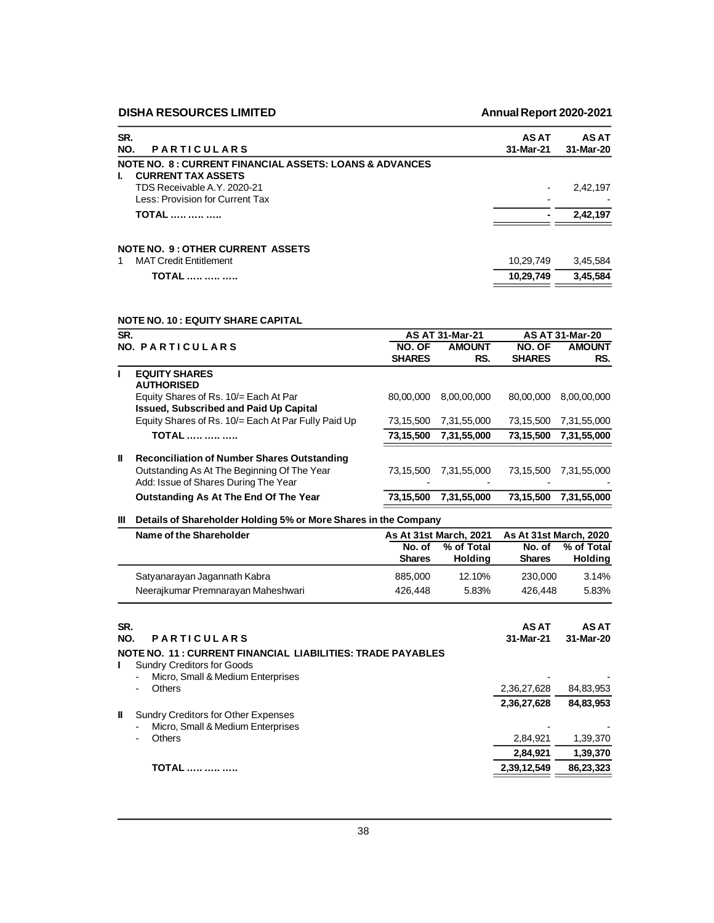| SR.                                                               | <b>AS AT</b> | <b>AS AT</b> |
|-------------------------------------------------------------------|--------------|--------------|
| <b>PARTICULARS</b><br>NO.                                         | 31-Mar-21    | 31-Mar-20    |
| <b>NOTE NO. 8: CURRENT FINANCIAL ASSETS: LOANS &amp; ADVANCES</b> |              |              |
| <b>CURRENT TAX ASSETS</b><br>L.                                   |              |              |
| TDS Receivable A.Y. 2020-21                                       |              | 2,42,197     |
| Less: Provision for Current Tax                                   |              |              |
| <b>TOTAL</b>                                                      |              | 2,42,197     |
| <b>NOTE NO. 9: OTHER CURRENT ASSETS</b>                           |              |              |
| <b>MAT Credit Entitlement</b>                                     | 10,29,749    | 3.45.584     |
| <b>TOTAL</b>                                                      | 10,29,749    | 3,45,584     |

# **NOTE NO. 10 : EQUITY SHARE CAPITAL**

| SR. |                                                                                                                                           |               | <b>AS AT 31-Mar-21</b><br><b>AS AT 31-Mar-20</b> |               |               |  |
|-----|-------------------------------------------------------------------------------------------------------------------------------------------|---------------|--------------------------------------------------|---------------|---------------|--|
|     | NO. PARTICULARS                                                                                                                           | NO. OF        | <b>AMOUNT</b>                                    | NO. OF        | <b>AMOUNT</b> |  |
|     |                                                                                                                                           | <b>SHARES</b> | RS.                                              | <b>SHARES</b> | RS.           |  |
|     | <b>EQUITY SHARES</b>                                                                                                                      |               |                                                  |               |               |  |
|     | <b>AUTHORISED</b>                                                                                                                         |               |                                                  |               |               |  |
|     | Equity Shares of Rs. 10/= Each At Par                                                                                                     | 80.00.000     | 8,00,00,000                                      | 80.00.000     | 8,00,00,000   |  |
|     | <b>Issued, Subscribed and Paid Up Capital</b>                                                                                             |               |                                                  |               |               |  |
|     | Equity Shares of Rs. 10/= Each At Par Fully Paid Up                                                                                       | 73.15.500     | 7.31.55.000                                      | 73.15.500     | 7,31,55,000   |  |
|     | <b>TOTAL</b>                                                                                                                              | 73,15,500     | 7,31,55,000                                      | 73.15.500     | 7,31,55,000   |  |
| Ш   | <b>Reconciliation of Number Shares Outstanding</b><br>Outstanding As At The Beginning Of The Year<br>Add: Issue of Shares During The Year | 73.15.500     | 7,31,55,000                                      | 73.15.500     | 7.31.55.000   |  |
|     | <b>Outstanding As At The End Of The Year</b>                                                                                              | 73,15,500     | 7,31,55,000                                      | 73.15.500     | 7,31,55,000   |  |
|     |                                                                                                                                           |               |                                                  |               |               |  |

# **III Details of Shareholder Holding 5% or More Shares in the Company**

| As At 31st March, 2021 |            | As At 31st March, 2020 |                |  |
|------------------------|------------|------------------------|----------------|--|
| No. of                 | % of Total | No. of                 | % of Total     |  |
| <b>Shares</b>          | Holdina    | <b>Shares</b>          | <b>Holding</b> |  |
| 885,000                | 12.10%     | 230,000                | 3.14%          |  |
| 426.448                | 5.83%      | 426.448                | 5.83%          |  |
|                        |            |                        |                |  |

|                                            | <b>AS AT</b>                                                                                    | <b>AS AT</b> |
|--------------------------------------------|-------------------------------------------------------------------------------------------------|--------------|
|                                            |                                                                                                 | 31-Mar-20    |
|                                            |                                                                                                 |              |
| <b>Sundry Creditors for Goods</b>          |                                                                                                 |              |
| Micro, Small & Medium Enterprises          |                                                                                                 |              |
| Others                                     | 2,36,27,628                                                                                     | 84,83,953    |
|                                            | 2,36,27,628                                                                                     | 84,83,953    |
| <b>Sundry Creditors for Other Expenses</b> |                                                                                                 |              |
| Micro, Small & Medium Enterprises          |                                                                                                 |              |
| Others                                     | 2,84,921                                                                                        | 1,39,370     |
|                                            | 2,84,921                                                                                        | 1,39,370     |
| TOTAL                                      | 2,39,12,549                                                                                     | 86,23,323    |
|                                            | SR.<br>NO.<br><b>PARTICULARS</b><br>NOTE NO. 11 : CURRENT FINANCIAL LIABILITIES: TRADE PAYABLES | 31-Mar-21    |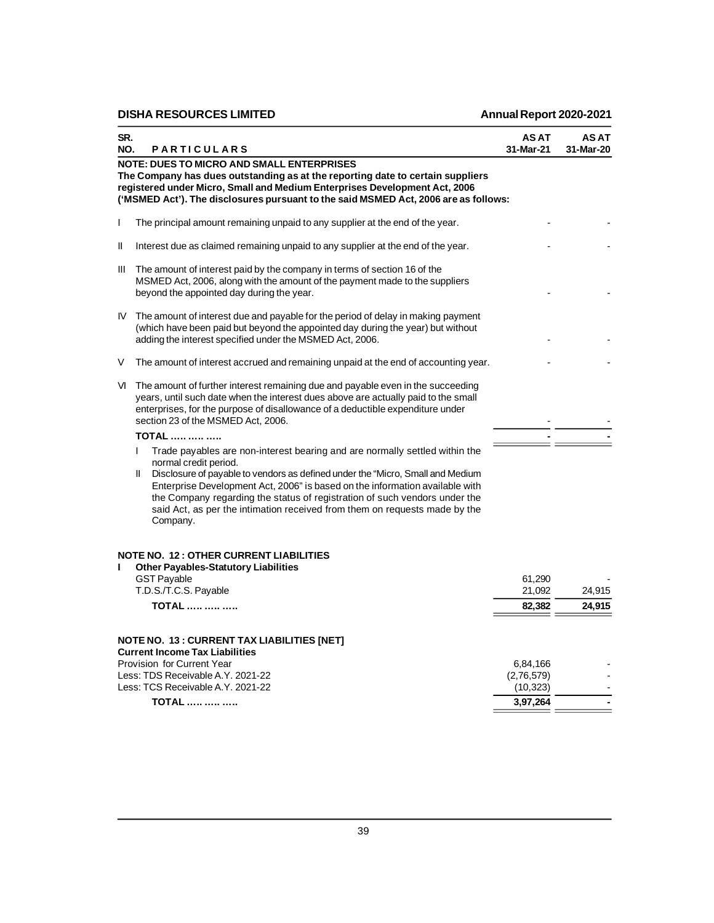| SR.<br>NO.   | <b>PARTICULARS</b>                                                                                                                                                                                                                                                                                                                                                                                                                                       | AS AT<br>31-Mar-21 | <b>AS AT</b><br>31-Mar-20 |
|--------------|----------------------------------------------------------------------------------------------------------------------------------------------------------------------------------------------------------------------------------------------------------------------------------------------------------------------------------------------------------------------------------------------------------------------------------------------------------|--------------------|---------------------------|
|              | <b>NOTE: DUES TO MICRO AND SMALL ENTERPRISES</b><br>The Company has dues outstanding as at the reporting date to certain suppliers<br>registered under Micro, Small and Medium Enterprises Development Act, 2006<br>('MSMED Act'). The disclosures pursuant to the said MSMED Act, 2006 are as follows:                                                                                                                                                  |                    |                           |
| $\mathbf{I}$ | The principal amount remaining unpaid to any supplier at the end of the year.                                                                                                                                                                                                                                                                                                                                                                            |                    |                           |
| Ш            | Interest due as claimed remaining unpaid to any supplier at the end of the year.                                                                                                                                                                                                                                                                                                                                                                         |                    |                           |
| Ш            | The amount of interest paid by the company in terms of section 16 of the<br>MSMED Act, 2006, along with the amount of the payment made to the suppliers<br>beyond the appointed day during the year.                                                                                                                                                                                                                                                     |                    |                           |
| IV.          | The amount of interest due and payable for the period of delay in making payment<br>(which have been paid but beyond the appointed day during the year) but without<br>adding the interest specified under the MSMED Act, 2006.                                                                                                                                                                                                                          |                    |                           |
| V            | The amount of interest accrued and remaining unpaid at the end of accounting year.                                                                                                                                                                                                                                                                                                                                                                       |                    |                           |
| VI.          | The amount of further interest remaining due and payable even in the succeeding<br>years, until such date when the interest dues above are actually paid to the small<br>enterprises, for the purpose of disallowance of a deductible expenditure under<br>section 23 of the MSMED Act, 2006.                                                                                                                                                            |                    |                           |
|              | <b>TOTAL</b>                                                                                                                                                                                                                                                                                                                                                                                                                                             |                    |                           |
|              | T<br>Trade payables are non-interest bearing and are normally settled within the<br>normal credit period.<br>Disclosure of payable to vendors as defined under the "Micro, Small and Medium<br>Ш<br>Enterprise Development Act, 2006" is based on the information available with<br>the Company regarding the status of registration of such vendors under the<br>said Act, as per the intimation received from them on requests made by the<br>Company. |                    |                           |
| $\mathbf{I}$ | <b>NOTE NO. 12: OTHER CURRENT LIABILITIES</b><br><b>Other Payables-Statutory Liabilities</b><br><b>GST Payable</b><br>T.D.S./T.C.S. Payable                                                                                                                                                                                                                                                                                                              | 61,290<br>21,092   | 24,915                    |
|              | <b>TOTAL</b>                                                                                                                                                                                                                                                                                                                                                                                                                                             | 82,382             | 24,915                    |
|              |                                                                                                                                                                                                                                                                                                                                                                                                                                                          |                    |                           |

## **NOTE NO. 13 : CURRENT TAX LIABILITIES [NET]**

| <b>Current Income Tax Liabilities</b> |            |    |
|---------------------------------------|------------|----|
| Provision for Current Year            | 6.84.166   |    |
| Less: TDS Receivable A.Y. 2021-22     | (2,76,579) |    |
| Less: TCS Receivable A.Y. 2021-22     | (10.323)   |    |
| TOTAL …… …… ……                        | 3.97.264   | ۰. |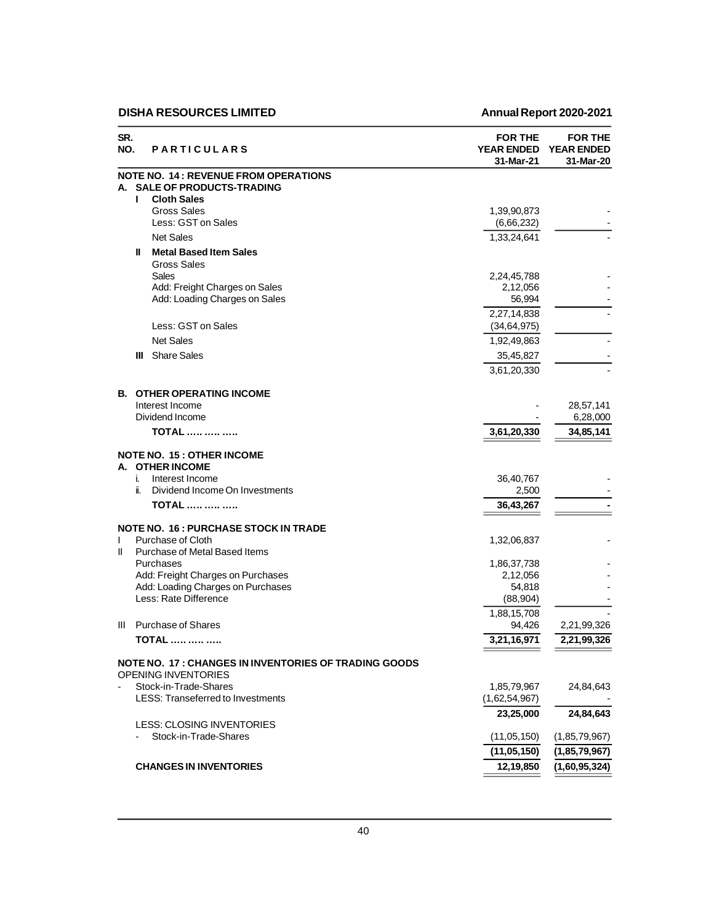| SR.<br>NO. |     | <b>PARTICULARS</b>                                           | <b>FOR THE</b><br>31-Mar-21 | <b>FOR THE</b><br><b>YEAR ENDED YEAR ENDED</b><br>31-Mar-20 |
|------------|-----|--------------------------------------------------------------|-----------------------------|-------------------------------------------------------------|
|            |     | <b>NOTE NO. 14: REVENUE FROM OPERATIONS</b>                  |                             |                                                             |
|            |     | A. SALE OF PRODUCTS-TRADING                                  |                             |                                                             |
|            | L   | <b>Cloth Sales</b>                                           |                             |                                                             |
|            |     | <b>Gross Sales</b>                                           | 1,39,90,873                 |                                                             |
|            |     | Less: GST on Sales                                           | (6,66,232)                  |                                                             |
|            |     | <b>Net Sales</b>                                             | 1,33,24,641                 |                                                             |
|            | Ш   | <b>Metal Based Item Sales</b>                                |                             |                                                             |
|            |     | <b>Gross Sales</b><br>Sales                                  |                             |                                                             |
|            |     | Add: Freight Charges on Sales                                | 2,24,45,788<br>2,12,056     |                                                             |
|            |     | Add: Loading Charges on Sales                                | 56,994                      |                                                             |
|            |     |                                                              | 2,27,14,838                 |                                                             |
|            |     | Less: GST on Sales                                           | (34, 64, 975)               |                                                             |
|            |     | <b>Net Sales</b>                                             | 1,92,49,863                 |                                                             |
|            |     | <b>III</b> Share Sales                                       | 35,45,827                   |                                                             |
|            |     |                                                              |                             |                                                             |
|            |     |                                                              | 3,61,20,330                 |                                                             |
|            |     | <b>B. OTHER OPERATING INCOME</b>                             |                             |                                                             |
|            |     | Interest Income                                              |                             | 28,57,141                                                   |
|            |     | Dividend Income                                              |                             | 6,28,000                                                    |
|            |     | <b>TOTAL</b>                                                 | 3,61,20,330                 | 34,85,141                                                   |
|            |     |                                                              |                             |                                                             |
|            |     | <b>NOTE NO. 15: OTHER INCOME</b>                             |                             |                                                             |
|            | j.  | A. OTHER INCOME<br>Interest Income                           |                             |                                                             |
|            | ii. | Dividend Income On Investments                               | 36,40,767<br>2,500          |                                                             |
|            |     | <b>TOTAL</b>                                                 |                             |                                                             |
|            |     |                                                              | 36,43,267                   |                                                             |
|            |     | <b>NOTE NO. 16: PURCHASE STOCK IN TRADE</b>                  |                             |                                                             |
| L          |     | Purchase of Cloth                                            | 1,32,06,837                 |                                                             |
| Ш          |     | Purchase of Metal Based Items                                |                             |                                                             |
|            |     | Purchases                                                    | 1,86,37,738                 |                                                             |
|            |     | Add: Freight Charges on Purchases                            | 2,12,056                    |                                                             |
|            |     | Add: Loading Charges on Purchases<br>Less: Rate Difference   | 54,818                      |                                                             |
|            |     |                                                              | (88,904)                    |                                                             |
| Ш          |     | Purchase of Shares                                           | 1,88,15,708<br>94,426       |                                                             |
|            |     |                                                              |                             | 2,21,99,326                                                 |
|            |     | <b>TOTAL</b>                                                 | 3,21,16,971                 | 2,21,99,326                                                 |
|            |     | <b>NOTE NO. 17 : CHANGES IN INVENTORIES OF TRADING GOODS</b> |                             |                                                             |
|            |     | <b>OPENING INVENTORIES</b>                                   |                             |                                                             |
|            |     | Stock-in-Trade-Shares                                        | 1,85,79,967                 | 24,84,643                                                   |
|            |     | <b>LESS: Transeferred to Investments</b>                     | (1,62,54,967)               |                                                             |
|            |     |                                                              | 23,25,000                   | 24,84,643                                                   |
|            |     | LESS: CLOSING INVENTORIES                                    |                             |                                                             |
|            |     | Stock-in-Trade-Shares                                        | (11,05,150)                 | (1,85,79,967)                                               |
|            |     |                                                              | (11, 05, 150)               | (1,85,79,967)                                               |
|            |     | <b>CHANGES IN INVENTORIES</b>                                | 12,19,850                   | (1,60,95,324)                                               |
|            |     |                                                              |                             |                                                             |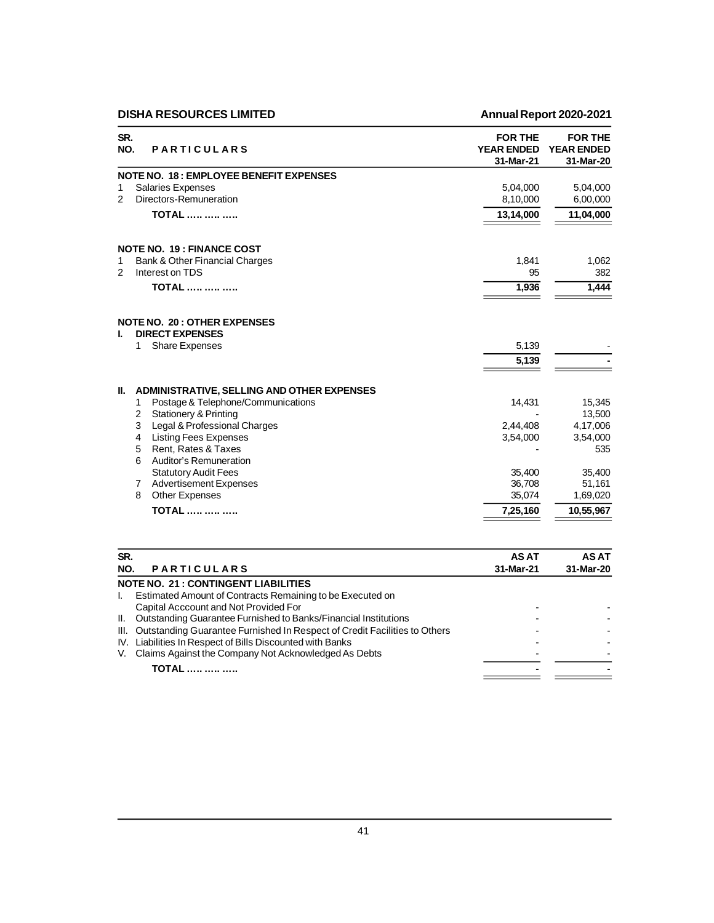| SR.<br>NO.     | PARTICULARS                                                                                                  | <b>FOR THE</b><br><b>YEAR ENDED</b><br>31-Mar-21 | FOR THE<br><b>YEAR ENDED</b><br>31-Mar-20 |
|----------------|--------------------------------------------------------------------------------------------------------------|--------------------------------------------------|-------------------------------------------|
|                | <b>NOTE NO. 18: EMPLOYEE BENEFIT EXPENSES</b>                                                                |                                                  |                                           |
| 1              | Salaries Expenses                                                                                            | 5,04,000                                         | 5,04,000                                  |
| $\overline{2}$ | Directors-Remuneration                                                                                       | 8,10,000                                         | 6,00,000                                  |
|                | <b>TOTAL</b>                                                                                                 | 13,14,000                                        | 11,04,000                                 |
|                | <b>NOTE NO. 19: FINANCE COST</b>                                                                             |                                                  |                                           |
| 1              | Bank & Other Financial Charges                                                                               | 1,841                                            | 1,062                                     |
| $\mathcal{P}$  | Interest on TDS                                                                                              | 95                                               | 382                                       |
|                | <b>TOTAL</b>                                                                                                 | 1,936                                            | 1,444                                     |
|                | <b>NOTE NO. 20: OTHER EXPENSES</b>                                                                           |                                                  |                                           |
| L              | <b>DIRECT EXPENSES</b><br><b>Share Expenses</b><br>1                                                         | 5,139                                            |                                           |
|                |                                                                                                              | 5,139                                            |                                           |
|                |                                                                                                              |                                                  |                                           |
| Ш.             | ADMINISTRATIVE, SELLING AND OTHER EXPENSES                                                                   |                                                  |                                           |
|                | Postage & Telephone/Communications<br>1                                                                      | 14,431                                           | 15,345                                    |
|                | 2<br><b>Stationery &amp; Printing</b>                                                                        |                                                  | 13,500                                    |
|                | 3<br>Legal & Professional Charges                                                                            | 2,44,408                                         | 4,17,006                                  |
|                | 4<br><b>Listing Fees Expenses</b>                                                                            | 3,54,000                                         | 3,54,000                                  |
|                | Rent, Rates & Taxes<br>5                                                                                     |                                                  | 535                                       |
|                | 6<br>Auditor's Remuneration<br><b>Statutory Audit Fees</b>                                                   | 35,400                                           | 35,400                                    |
|                | $\overline{7}$<br><b>Advertisement Expenses</b>                                                              | 36,708                                           | 51,161                                    |
|                | 8<br><b>Other Expenses</b>                                                                                   | 35,074                                           | 1,69,020                                  |
|                | <b>TOTAL</b>                                                                                                 | 7,25,160                                         | 10,55,967                                 |
|                |                                                                                                              |                                                  |                                           |
| SR.            |                                                                                                              | <b>AS AT</b>                                     | <b>AS AT</b>                              |
| NO.            | <b>PARTICULARS</b>                                                                                           | 31-Mar-21                                        | 31-Mar-20                                 |
|                | <b>NOTE NO. 21: CONTINGENT LIABILITIES</b>                                                                   |                                                  |                                           |
| L.             | Estimated Amount of Contracts Remaining to be Executed on                                                    |                                                  |                                           |
|                | Capital Acccount and Not Provided For<br>II. Outstanding Guarantee Furnished to Banks/Financial Institutions |                                                  |                                           |
|                | III. Outstanding Guarantee Furnished In Respect of Credit Facilities to Others                               |                                                  |                                           |
|                | IV. Liabilities In Respect of Bills Discounted with Banks                                                    |                                                  |                                           |
| V.             | Claims Against the Company Not Acknowledged As Debts                                                         |                                                  |                                           |
|                | <b>TOTAL</b>                                                                                                 |                                                  |                                           |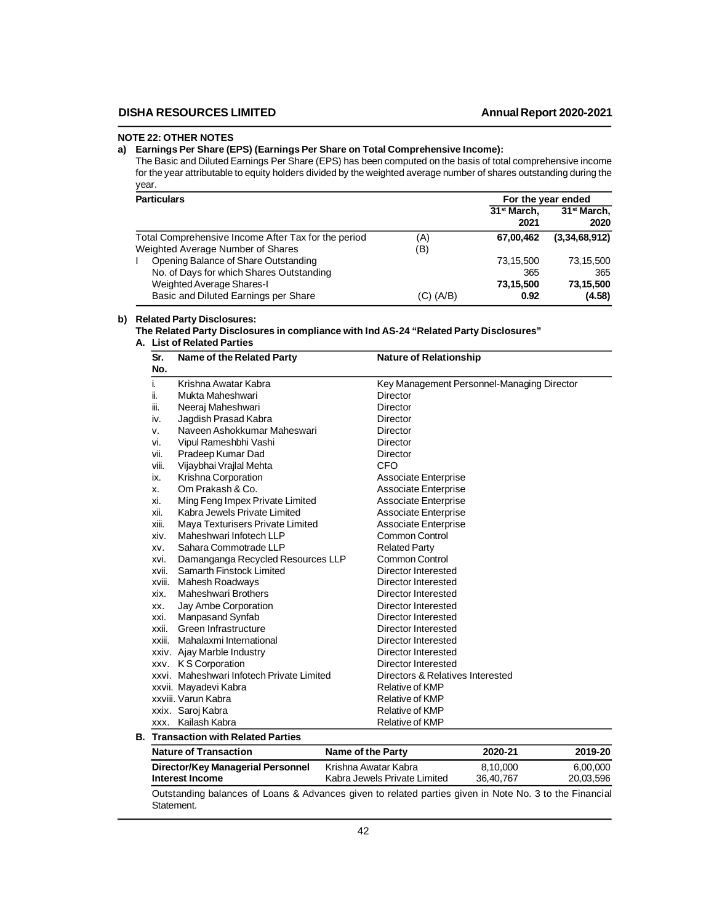# **NOTE 22: OTHER NOTES**

**a) Earnings Per Share (EPS) (Earnings Per Share on Total Comprehensive Income):**

The Basic and Diluted Earnings Per Share (EPS) has been computed on the basis of total comprehensive income for the year attributable to equity holders divided by the weighted average number of shares outstanding during the year.

| <b>Particulars</b>                                  |           |                         | For the year ended      |
|-----------------------------------------------------|-----------|-------------------------|-------------------------|
|                                                     |           | 31 <sup>st</sup> March. | 31 <sup>st</sup> March. |
|                                                     |           | 2021                    | 2020                    |
| Total Comprehensive Income After Tax for the period | (A)       | 67,00,462               | (3,34,68,912)           |
| Weighted Average Number of Shares                   | Έ)        |                         |                         |
| Opening Balance of Share Outstanding                |           | 73, 15, 500             | 73,15,500               |
| No. of Days for which Shares Outstanding            |           | 365                     | 365                     |
| Weighted Average Shares-I                           |           | 73,15,500               | 73,15,500               |
| Basic and Diluted Earnings per Share                | (C) (A/B) | 0.92                    | (4.58)                  |

#### **b) Related Party Disclosures:**

**The Related Party Disclosures in compliance with Ind AS-24 "Related Party Disclosures" A. List of Related Parties**

| Sr.<br>No. | Name of the Related Party                 | <b>Nature of Relationship</b>              |
|------------|-------------------------------------------|--------------------------------------------|
| L.         | Krishna Awatar Kabra                      | Key Management Personnel-Managing Director |
| ii.        | Mukta Maheshwari                          | Director                                   |
| iii.       | Neeraj Maheshwari                         | Director                                   |
| iv.        | Jagdish Prasad Kabra                      | Director                                   |
| v.         | Naveen Ashokkumar Maheswari               | Director                                   |
| vi.        | Vipul Rameshbhi Vashi                     | Director                                   |
| vii.       | Pradeep Kumar Dad                         | Director                                   |
| viii.      | Vijaybhai Vrajlal Mehta                   | CFO                                        |
| ix.        | Krishna Corporation                       | Associate Enterprise                       |
| X.         | Om Prakash & Co.                          | Associate Enterprise                       |
| xi.        | Ming Feng Impex Private Limited           | Associate Enterprise                       |
| хii.       | Kabra Jewels Private Limited              | Associate Enterprise                       |
| xiii.      | Maya Texturisers Private Limited          | Associate Enterprise                       |
| xiv.       | Maheshwari Infotech LLP                   | Common Control                             |
| XV.        | Sahara Commotrade LLP                     | <b>Related Party</b>                       |
| xvi.       | Damanganga Recycled Resources LLP         | <b>Common Control</b>                      |
| xvii.      | Samarth Finstock Limited                  | Director Interested                        |
| xviii.     | Mahesh Roadways                           | Director Interested                        |
| xix.       | <b>Maheshwari Brothers</b>                | Director Interested                        |
| XX.        | Jay Ambe Corporation                      | Director Interested                        |
| xxi.       | Manpasand Synfab                          | Director Interested                        |
| xxii.      | Green Infrastructure                      | Director Interested                        |
|            | xxiii. Mahalaxmi International            | Director Interested                        |
|            | xxiv. Ajay Marble Industry                | Director Interested                        |
|            | xxv. KS Corporation                       | Director Interested                        |
|            | xxvi. Maheshwari Infotech Private Limited | Directors & Relatives Interested           |
|            | xxvii. Mayadevi Kabra                     | Relative of KMP                            |
|            | xxviii. Varun Kabra                       | Relative of KMP                            |
|            | xxix. Saroj Kabra                         | Relative of KMP                            |
| XXX.       | Kailash Kabra                             | Relative of KMP                            |

| <b>Nature of Transaction</b>      | Name of the Party            | 2020-21   | 2019-20   |
|-----------------------------------|------------------------------|-----------|-----------|
| Director/Key Managerial Personnel | Krishna Awatar Kabra         | 8.10.000  | 6.00.000  |
| Interest Income                   | Kabra Jewels Private Limited | 36.40.767 | 20,03,596 |

Outstanding balances of Loans & Advances given to related parties given in Note No. 3 to the Financial Statement.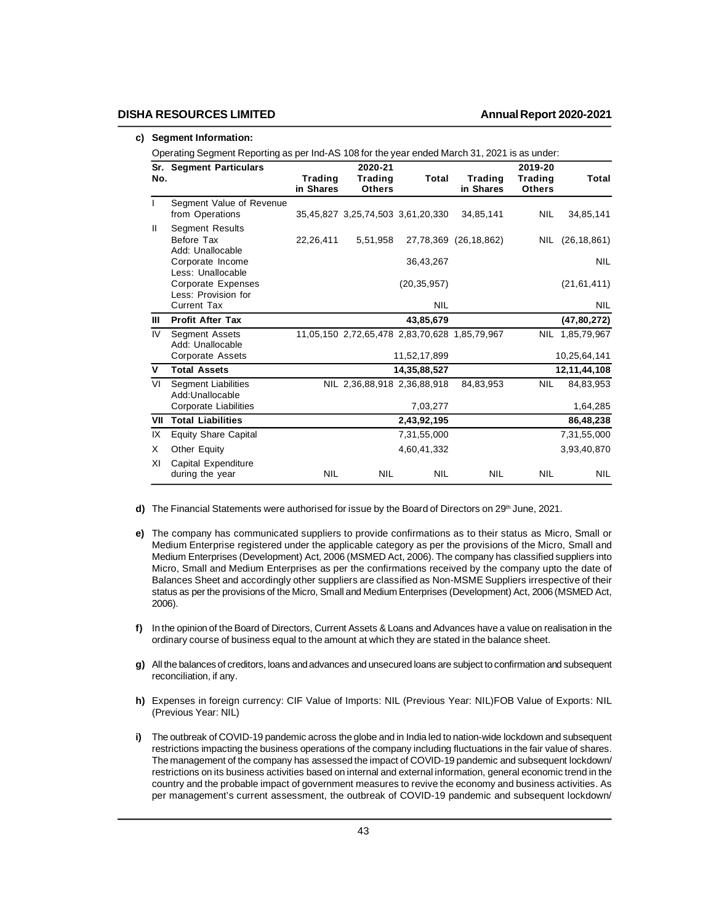**c) Segment Information:**

|              | Operating Segment Reporting as per Ind-AS 108 for the year ended March 31, 2021 is as under: |                             |                                     |                                               |                             |                                     |                 |
|--------------|----------------------------------------------------------------------------------------------|-----------------------------|-------------------------------------|-----------------------------------------------|-----------------------------|-------------------------------------|-----------------|
| No.          | <b>Sr. Segment Particulars</b>                                                               | <b>Trading</b><br>in Shares | 2020-21<br>Trading<br><b>Others</b> | Total                                         | <b>Trading</b><br>in Shares | 2019-20<br>Trading<br><b>Others</b> | Total           |
|              | Segment Value of Revenue<br>from Operations                                                  |                             |                                     | 35,45,827 3,25,74,503 3,61,20,330             | 34,85,141                   | <b>NIL</b>                          | 34,85,141       |
| $\mathbf{H}$ | <b>Segment Results</b><br>Before Tax<br>Add: Unallocable                                     | 22,26,411                   | 5,51,958                            |                                               | 27,78,369 (26,18,862)       |                                     | NIL (26,18,861) |
|              | Corporate Income<br>Less: Unallocable                                                        |                             |                                     | 36,43,267                                     |                             |                                     | NIL.            |
|              | <b>Corporate Expenses</b><br>Less: Provision for                                             |                             |                                     | (20, 35, 957)                                 |                             |                                     | (21, 61, 411)   |
|              | <b>Current Tax</b>                                                                           |                             |                                     | <b>NIL</b>                                    |                             |                                     | NIL.            |
| Ш            | <b>Profit After Tax</b>                                                                      |                             |                                     | 43,85,679                                     |                             |                                     | (47,80,272)     |
| IV           | Segment Assets<br>Add: Unallocable                                                           |                             |                                     | 11,05,150 2,72,65,478 2,83,70,628 1,85,79,967 |                             |                                     | NIL 1,85,79,967 |
|              | <b>Corporate Assets</b>                                                                      |                             |                                     | 11,52,17,899                                  |                             |                                     | 10,25,64,141    |
| V            | <b>Total Assets</b>                                                                          |                             |                                     | 14,35,88,527                                  |                             |                                     | 12,11,44,108    |
| VI           | <b>Segment Liabilities</b><br>Add:Unallocable                                                |                             | NIL 2,36,88,918 2,36,88,918         |                                               | 84,83,953                   | <b>NIL</b>                          | 84,83,953       |
|              | <b>Corporate Liabilities</b>                                                                 |                             |                                     | 7,03,277                                      |                             |                                     | 1,64,285        |
| VII          | <b>Total Liabilities</b>                                                                     |                             |                                     | 2,43,92,195                                   |                             |                                     | 86,48,238       |
| IX           | <b>Equity Share Capital</b>                                                                  |                             |                                     | 7,31,55,000                                   |                             |                                     | 7,31,55,000     |
| X            | Other Equity                                                                                 |                             |                                     | 4,60,41,332                                   |                             |                                     | 3,93,40,870     |
| ΧI           | Capital Expenditure<br>during the year                                                       | <b>NIL</b>                  | <b>NIL</b>                          | <b>NIL</b>                                    | <b>NIL</b>                  | <b>NIL</b>                          | <b>NIL</b>      |

**d)** The Financial Statements were authorised for issue by the Board of Directors on 29<sup>th</sup> June, 2021.

- **e)** The company has communicated suppliers to provide confirmations as to their status as Micro, Small or Medium Enterprise registered under the applicable category as per the provisions of the Micro, Small and Medium Enterprises (Development) Act, 2006 (MSMED Act, 2006). The company has classified suppliers into Micro, Small and Medium Enterprises as per the confirmations received by the company upto the date of Balances Sheet and accordingly other suppliers are classified as Non-MSME Suppliers irrespective of their status as per the provisions of the Micro, Small and Medium Enterprises (Development) Act, 2006 (MSMED Act, 2006).
- **f)** In the opinion of the Board of Directors, Current Assets & Loans and Advances have a value on realisation in the ordinary course of business equal to the amount at which they are stated in the balance sheet.
- **g)** All the balances of creditors, loans and advances and unsecured loans are subject to confirmation and subsequent reconciliation, if any.
- **h)** Expenses in foreign currency: CIF Value of Imports: NIL (Previous Year: NIL)FOB Value of Exports: NIL (Previous Year: NIL)
- **i)** The outbreak of COVID-19 pandemic across the globe and in India led to nation-wide lockdown and subsequent restrictions impacting the business operations of the company including fluctuations in the fair value of shares. The management of the company has assessed the impact of COVID-19 pandemic and subsequent lockdown/ restrictions on its business activities based on internal and external information, general economic trend in the country and the probable impact of government measures to revive the economy and business activities. As per management's current assessment, the outbreak of COVID-19 pandemic and subsequent lockdown/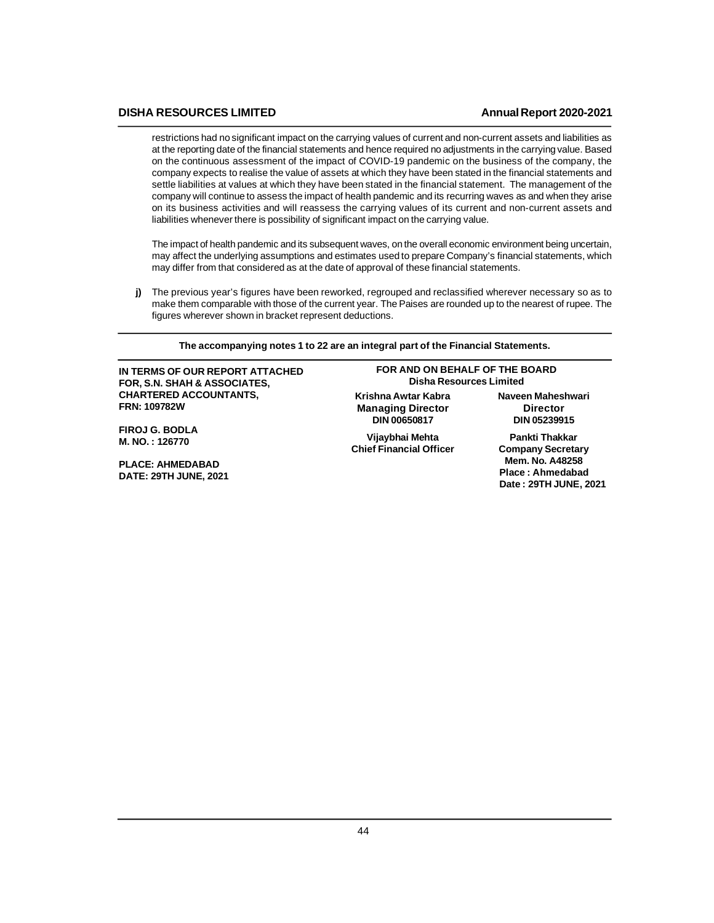restrictions had no significant impact on the carrying values of current and non-current assets and liabilities as at the reporting date of the financial statements and hence required no adjustments in the carrying value. Based on the continuous assessment of the impact of COVID-19 pandemic on the business of the company, the company expects to realise the value of assets at which they have been stated in the financial statements and settle liabilities at values at which they have been stated in the financial statement. The management of the company will continue to assess the impact of health pandemic and its recurring waves as and when they arise on its business activities and will reassess the carrying values of its current and non-current assets and liabilities whenever there is possibility of significant impact on the carrying value.

The impact of health pandemic and its subsequent waves, on the overall economic environment being uncertain, may affect the underlying assumptions and estimates used to prepare Company's financial statements, which may differ from that considered as at the date of approval of these financial statements.

**j)** The previous year's figures have been reworked, regrouped and reclassified wherever necessary so as to make them comparable with those of the current year. The Paises are rounded up to the nearest of rupee. The figures wherever shown in bracket represent deductions.

**The accompanying notes 1 to 22 are an integral part of the Financial Statements.**

**IN TERMS OF OUR REPORT ATTACHED FOR, S.N. SHAH & ASSOCIATES, CHARTERED ACCOUNTANTS, FRN: 109782W**

**FIROJ G. BODLA M. NO. : 126770**

**PLACE: AHMEDABAD DATE: 29TH JUNE, 2021** 

#### **FOR AND ON BEHALF OF THE BOARD Disha Resources Limited**

**Krishna Awtar Kabra Naveen Maheshwari Managing Director Director**

**DIN 00650817 DIN 05239915**

**Vijaybhai Mehta Pankti Thakkar Chief Financial Officer** 

**Mem. No. A48258**<br>Place : Ahmedabad **Date : 29TH JUNE, 2021**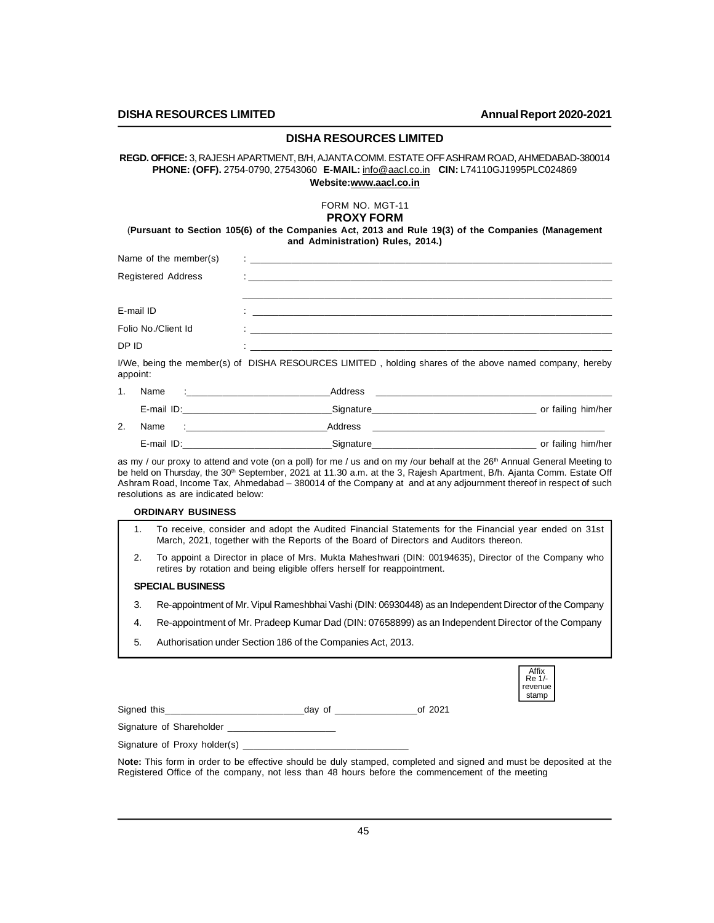## **DISHA RESOURCES LIMITED**

**REGD. OFFICE:** 3, RAJESH APARTMENT, B/H, AJANTA COMM. ESTATE OFF ASHRAM ROAD, AHMEDABAD-380014 **PHONE: (OFF).** 2754-0790, 27543060 **E-MAIL:** [info@aacl.co.in](mailto:info@aacl.co.in) **CIN:** L74110GJ1995PLC024869 **Website:[www.aacl.co.in](http://www.aacl.co.in)**

# FORM NO. MGT-11 **PROXY FORM**

(**Pursuant to Section 105(6) of the Companies Act, 2013 and Rule 19(3) of the Companies (Management and Administration) Rules, 2014.)**

|                           | Name of the member(s) | <u> 1980 - Johann Johann Harry Maria (h. 1980).</u>                                                                   |
|---------------------------|-----------------------|-----------------------------------------------------------------------------------------------------------------------|
| <b>Registered Address</b> |                       |                                                                                                                       |
|                           |                       |                                                                                                                       |
| E-mail ID                 |                       | <u> 1980 - Jan Stein Stein Stein Stein Stein Stein Stein Stein Stein Stein Stein Stein Stein Stein Stein Stein St</u> |
| Folio No./Client Id       |                       | <u> 1980 - Johann Stein, marwolaethau ar cyfan y cyfan y cyfan y cyfan y cyfan y cyfan y cyfan y cyfan y cyfan y</u>  |
| DP ID                     |                       |                                                                                                                       |
| appoint:                  |                       | I/We, being the member(s) of DISHA RESOURCES LIMITED, holding shares of the above named company, hereby               |
| 1.                        | Name                  | Address                                                                                                               |

|    | $E$ -mail ID: | Signature | or failing him/her |
|----|---------------|-----------|--------------------|
| 2. | Name          | Address   |                    |
|    | E-mail ID:    | Signature | or failing him/her |

as my / our proxy to attend and vote (on a poll) for me / us and on my /our behalf at the 26<sup>th</sup> Annual General Meeting to be held on Thursday, the 30<sup>th</sup> September, 2021 at 11.30 a.m. at the 3, Rajesh Apartment, B/h. Ajanta Comm. Estate Off Ashram Road, Income Tax, Ahmedabad – 380014 of the Company at and at any adjournment thereof in respect of such resolutions as are indicated below:

#### **ORDINARY BUSINESS**

- 1. To receive, consider and adopt the Audited Financial Statements for the Financial year ended on 31st March, 2021, together with the Reports of the Board of Directors and Auditors thereon.
- 2. To appoint a Director in place of Mrs. Mukta Maheshwari (DIN: 00194635), Director of the Company who retires by rotation and being eligible offers herself for reappointment.

#### **SPECIAL BUSINESS**

- 3. Re-appointment of Mr. Vipul Rameshbhai Vashi (DIN: 06930448) as an Independent Director of the Company
- 4. Re-appointment of Mr. Pradeep Kumar Dad (DIN: 07658899) as an Independent Director of the Company
- 5. Authorisation under Section 186 of the Companies Act, 2013.

| Affix<br>Re 1/- |  |  |  |
|-----------------|--|--|--|
| I<br>revenue    |  |  |  |
| stamp           |  |  |  |

Signed this Signed this and the set of 2021

Signature of Shareholder \_\_\_\_\_\_\_\_\_\_\_\_\_\_\_\_\_\_\_\_\_

Signature of Proxy holder(s) \_

N**ote:** This form in order to be effective should be duly stamped, completed and signed and must be deposited at the Registered Office of the company, not less than 48 hours before the commencement of the meeting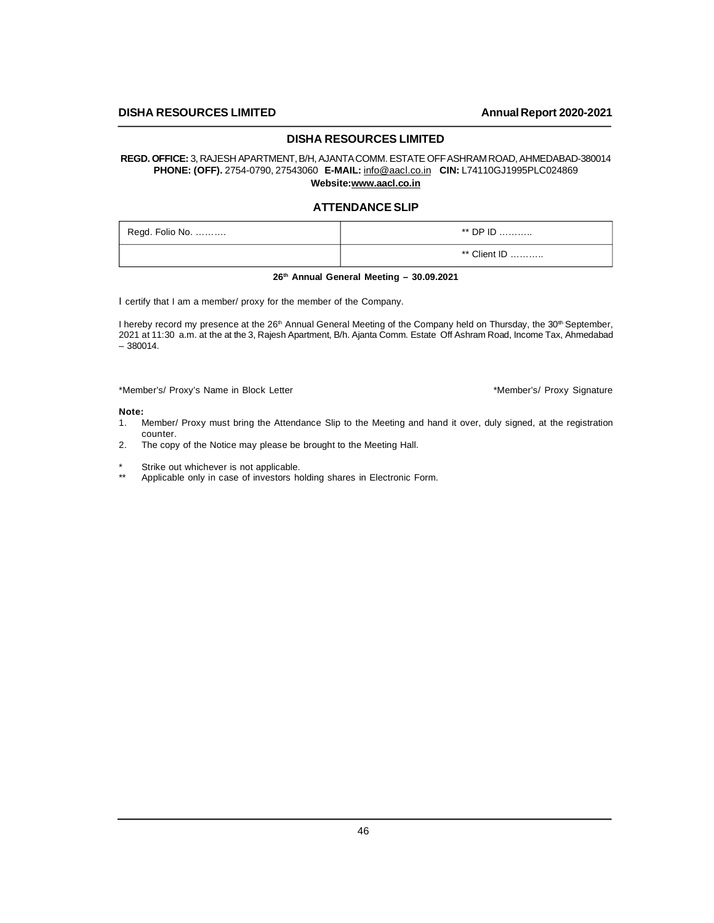# **DISHA RESOURCES LIMITED**

# **REGD. OFFICE:** 3, RAJESH APARTMENT, B/H, AJANTA COMM. ESTATE OFF ASHRAM ROAD, AHMEDABAD-380014 **PHONE: (OFF).** 2754-0790, 27543060 **E-MAIL:** [info@aacl.co.in](mailto:info@aacl.co.in) **CIN:** L74110GJ1995PLC024869 **Website[:www.aacl.co.in](http://www.aacl.co.in)**

# **ATTENDANCE SLIP**

| Regd. Folio No. | ** DP ID $\dots \dots$ |  |
|-----------------|------------------------|--|
|                 | ** Client ID           |  |

#### **26th Annual General Meeting – 30.09.2021**

I certify that I am a member/ proxy for the member of the Company.

I hereby record my presence at the 26<sup>th</sup> Annual General Meeting of the Company held on Thursday, the 30<sup>th</sup> September, 2021 at 11:30 a.m. at the at the 3, Rajesh Apartment, B/h. Ajanta Comm. Estate Off Ashram Road, Income Tax, Ahmedabad – 380014.

\*Member's/ Proxy's Name in Block Letter \*Member's/ Proxy Signature

#### **Note:**

- 1. Member/ Proxy must bring the Attendance Slip to the Meeting and hand it over, duly signed, at the registration counter.
- 2. The copy of the Notice may please be brought to the Meeting Hall.
- \* Strike out whichever is not applicable.
- Applicable only in case of investors holding shares in Electronic Form.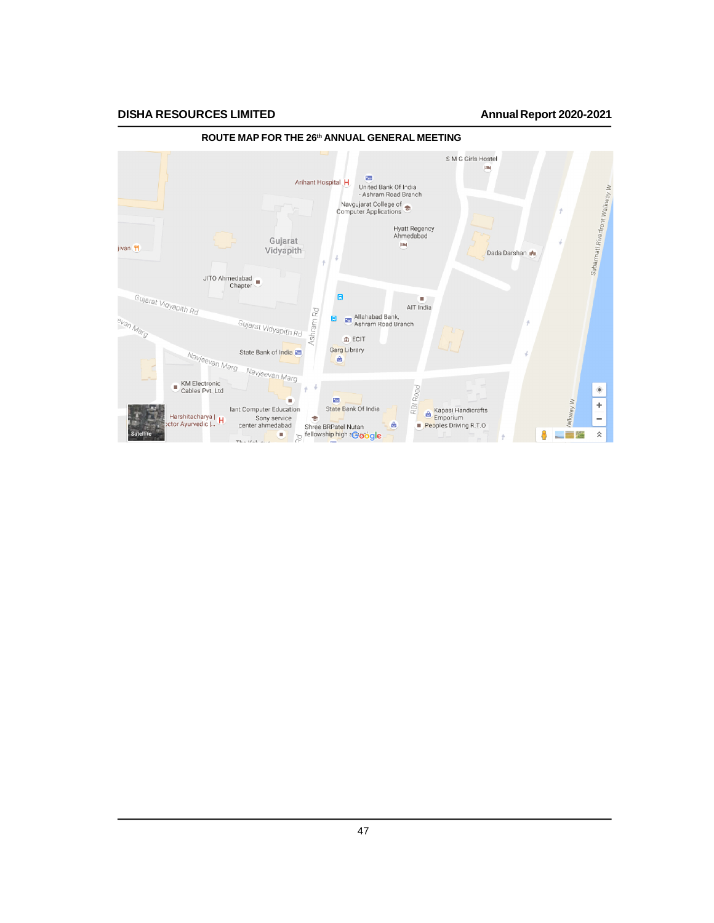

# **ROUTE MAP FOR THE 26th ANNUAL GENERAL MEETING**